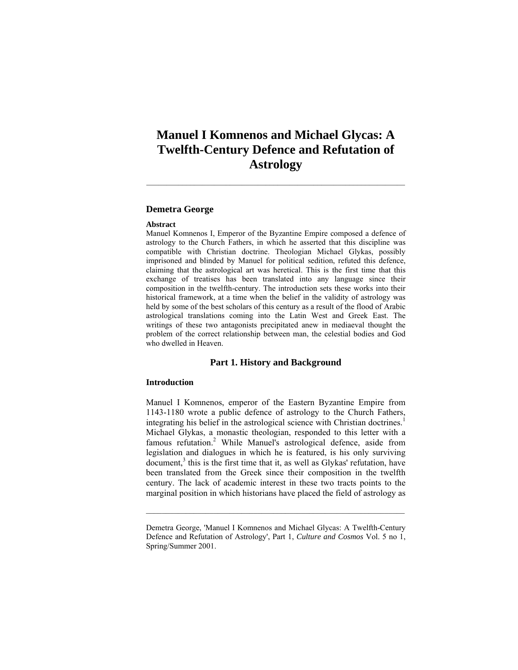# **Manuel I Komnenos and Michael Glycas: A Twelfth-Century Defence and Refutation of Astrology**

# **Demetra George**

#### **Abstract**

Manuel Komnenos I, Emperor of the Byzantine Empire composed a defence of astrology to the Church Fathers, in which he asserted that this discipline was compatible with Christian doctrine. Theologian Michael Glykas, possibly imprisoned and blinded by Manuel for political sedition, refuted this defence, claiming that the astrological art was heretical. This is the first time that this exchange of treatises has been translated into any language since their composition in the twelfth-century. The introduction sets these works into their historical framework, at a time when the belief in the validity of astrology was held by some of the best scholars of this century as a result of the flood of Arabic astrological translations coming into the Latin West and Greek East. The writings of these two antagonists precipitated anew in mediaeval thought the problem of the correct relationship between man, the celestial bodies and God who dwelled in Heaven.

# **Part 1. History and Background**

### **Introduction**

Manuel I Komnenos, emperor of the Eastern Byzantine Empire from 1143-1180 wrote a public defence of astrology to the Church Fathers, integrating his belief in the astrological science with Christian doctrines.<sup>1</sup> Michael Glykas, a monastic theologian, responded to this letter with a famous refutation.<sup>2</sup> While Manuel's astrological defence, aside from legislation and dialogues in which he is featured, is his only surviving document,<sup>3</sup> this is the first time that it, as well as Glykas' refutation, have been translated from the Greek since their composition in the twelfth century. The lack of academic interest in these two tracts points to the marginal position in which historians have placed the field of astrology as

Demetra George, 'Manuel I Komnenos and Michael Glycas: A Twelfth-Century Defence and Refutation of Astrology', Part 1, *Culture and Cosmos* Vol. 5 no 1, Spring/Summer 2001.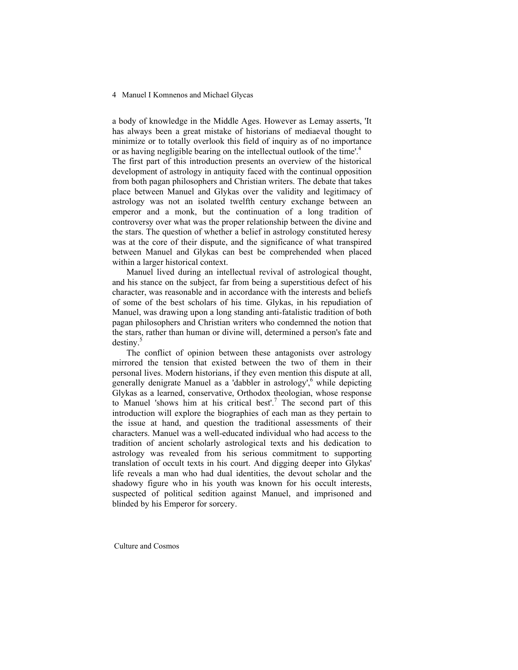a body of knowledge in the Middle Ages. However as Lemay asserts, 'It has always been a great mistake of historians of mediaeval thought to minimize or to totally overlook this field of inquiry as of no importance or as having negligible bearing on the intellectual outlook of the time'.<sup>4</sup>

The first part of this introduction presents an overview of the historical development of astrology in antiquity faced with the continual opposition from both pagan philosophers and Christian writers. The debate that takes place between Manuel and Glykas over the validity and legitimacy of astrology was not an isolated twelfth century exchange between an emperor and a monk, but the continuation of a long tradition of controversy over what was the proper relationship between the divine and the stars. The question of whether a belief in astrology constituted heresy was at the core of their dispute, and the significance of what transpired between Manuel and Glykas can best be comprehended when placed within a larger historical context.

 Manuel lived during an intellectual revival of astrological thought, and his stance on the subject, far from being a superstitious defect of his character, was reasonable and in accordance with the interests and beliefs of some of the best scholars of his time. Glykas, in his repudiation of Manuel, was drawing upon a long standing anti-fatalistic tradition of both pagan philosophers and Christian writers who condemned the notion that the stars, rather than human or divine will, determined a person's fate and destiny.

 The conflict of opinion between these antagonists over astrology mirrored the tension that existed between the two of them in their personal lives. Modern historians, if they even mention this dispute at all, generally denigrate Manuel as a 'dabbler in astrology',<sup>6</sup> while depicting Glykas as a learned, conservative, Orthodox theologian, whose response to Manuel 'shows him at his critical best'.<sup>7</sup> The second part of this introduction will explore the biographies of each man as they pertain to the issue at hand, and question the traditional assessments of their characters. Manuel was a well-educated individual who had access to the tradition of ancient scholarly astrological texts and his dedication to astrology was revealed from his serious commitment to supporting translation of occult texts in his court. And digging deeper into Glykas' life reveals a man who had dual identities, the devout scholar and the shadowy figure who in his youth was known for his occult interests, suspected of political sedition against Manuel, and imprisoned and blinded by his Emperor for sorcery.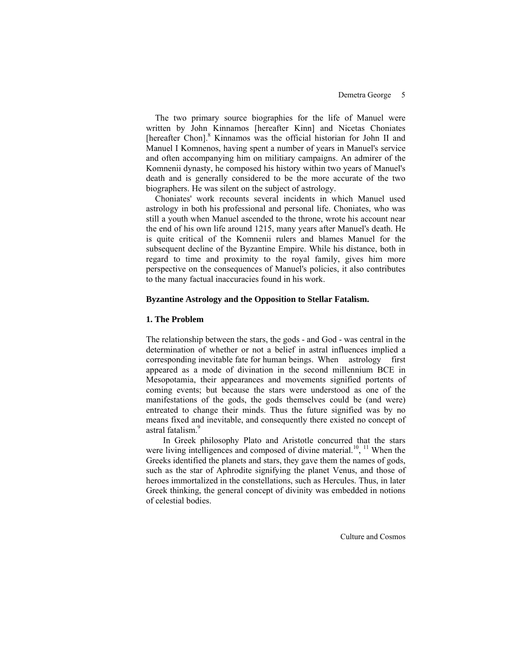The two primary source biographies for the life of Manuel were written by John Kinnamos [hereafter Kinn] and Nicetas Choniates [hereafter Chon].<sup>8</sup> Kinnamos was the official historian for John II and Manuel I Komnenos, having spent a number of years in Manuel's service and often accompanying him on militiary campaigns. An admirer of the Komnenii dynasty, he composed his history within two years of Manuel's death and is generally considered to be the more accurate of the two biographers. He was silent on the subject of astrology.

 Choniates' work recounts several incidents in which Manuel used astrology in both his professional and personal life. Choniates, who was still a youth when Manuel ascended to the throne, wrote his account near the end of his own life around 1215, many years after Manuel's death. He is quite critical of the Komnenii rulers and blames Manuel for the subsequent decline of the Byzantine Empire. While his distance, both in regard to time and proximity to the royal family, gives him more perspective on the consequences of Manuel's policies, it also contributes to the many factual inaccuracies found in his work.

#### **Byzantine Astrology and the Opposition to Stellar Fatalism.**

### **1. The Problem**

The relationship between the stars, the gods - and God - was central in the determination of whether or not a belief in astral influences implied a corresponding inevitable fate for human beings. When astrology first appeared as a mode of divination in the second millennium BCE in Mesopotamia, their appearances and movements signified portents of coming events; but because the stars were understood as one of the manifestations of the gods, the gods themselves could be (and were) entreated to change their minds. Thus the future signified was by no means fixed and inevitable, and consequently there existed no concept of astral fatalism.<sup>9</sup>

 In Greek philosophy Plato and Aristotle concurred that the stars were living intelligences and composed of divine material.<sup>10</sup>, <sup>11</sup> When the Greeks identified the planets and stars, they gave them the names of gods, such as the star of Aphrodite signifying the planet Venus, and those of heroes immortalized in the constellations, such as Hercules. Thus, in later Greek thinking, the general concept of divinity was embedded in notions of celestial bodies.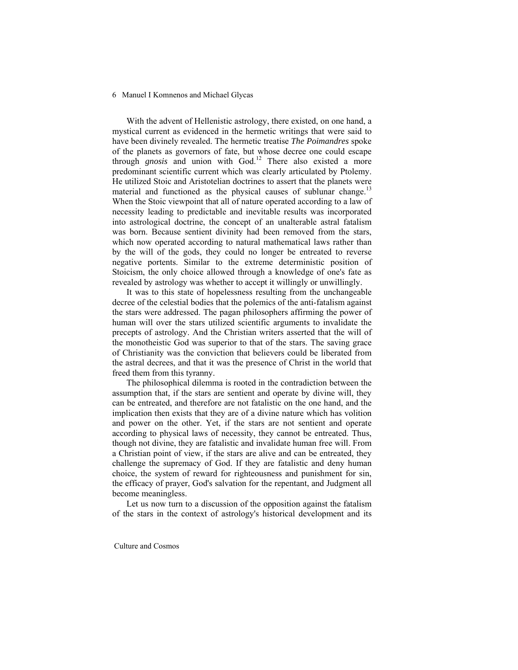With the advent of Hellenistic astrology, there existed, on one hand, a mystical current as evidenced in the hermetic writings that were said to have been divinely revealed. The hermetic treatise *The Poimandres* spoke of the planets as governors of fate, but whose decree one could escape through *gnosis* and union with God.<sup>12</sup> There also existed a more predominant scientific current which was clearly articulated by Ptolemy. He utilized Stoic and Aristotelian doctrines to assert that the planets were material and functioned as the physical causes of sublunar change.<sup>13</sup> When the Stoic viewpoint that all of nature operated according to a law of necessity leading to predictable and inevitable results was incorporated into astrological doctrine, the concept of an unalterable astral fatalism was born. Because sentient divinity had been removed from the stars, which now operated according to natural mathematical laws rather than by the will of the gods, they could no longer be entreated to reverse negative portents. Similar to the extreme deterministic position of Stoicism, the only choice allowed through a knowledge of one's fate as revealed by astrology was whether to accept it willingly or unwillingly.

 It was to this state of hopelessness resulting from the unchangeable decree of the celestial bodies that the polemics of the anti-fatalism against the stars were addressed. The pagan philosophers affirming the power of human will over the stars utilized scientific arguments to invalidate the precepts of astrology. And the Christian writers asserted that the will of the monotheistic God was superior to that of the stars. The saving grace of Christianity was the conviction that believers could be liberated from the astral decrees, and that it was the presence of Christ in the world that freed them from this tyranny.

 The philosophical dilemma is rooted in the contradiction between the assumption that, if the stars are sentient and operate by divine will, they can be entreated, and therefore are not fatalistic on the one hand, and the implication then exists that they are of a divine nature which has volition and power on the other. Yet, if the stars are not sentient and operate according to physical laws of necessity, they cannot be entreated. Thus, though not divine, they are fatalistic and invalidate human free will. From a Christian point of view, if the stars are alive and can be entreated, they challenge the supremacy of God. If they are fatalistic and deny human choice, the system of reward for righteousness and punishment for sin, the efficacy of prayer, God's salvation for the repentant, and Judgment all become meaningless.

 Let us now turn to a discussion of the opposition against the fatalism of the stars in the context of astrology's historical development and its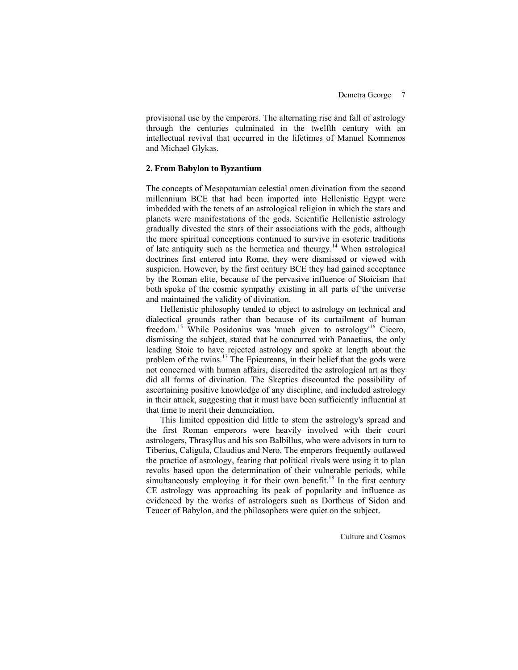provisional use by the emperors. The alternating rise and fall of astrology through the centuries culminated in the twelfth century with an intellectual revival that occurred in the lifetimes of Manuel Komnenos and Michael Glykas.

# **2. From Babylon to Byzantium**

The concepts of Mesopotamian celestial omen divination from the second millennium BCE that had been imported into Hellenistic Egypt were imbedded with the tenets of an astrological religion in which the stars and planets were manifestations of the gods. Scientific Hellenistic astrology gradually divested the stars of their associations with the gods, although the more spiritual conceptions continued to survive in esoteric traditions of late antiquity such as the hermetica and theurgy.<sup>14</sup> When astrological doctrines first entered into Rome, they were dismissed or viewed with suspicion. However, by the first century BCE they had gained acceptance by the Roman elite, because of the pervasive influence of Stoicism that both spoke of the cosmic sympathy existing in all parts of the universe and maintained the validity of divination.

 Hellenistic philosophy tended to object to astrology on technical and dialectical grounds rather than because of its curtailment of human freedom.<sup>15</sup> While Posidonius was 'much given to astrology<sup> $16$ </sup> Cicero, dismissing the subject, stated that he concurred with Panaetius, the only leading Stoic to have rejected astrology and spoke at length about the problem of the twins.17 The Epicureans, in their belief that the gods were not concerned with human affairs, discredited the astrological art as they did all forms of divination. The Skeptics discounted the possibility of ascertaining positive knowledge of any discipline, and included astrology in their attack, suggesting that it must have been sufficiently influential at that time to merit their denunciation.

 This limited opposition did little to stem the astrology's spread and the first Roman emperors were heavily involved with their court astrologers, Thrasyllus and his son Balbillus, who were advisors in turn to Tiberius, Caligula, Claudius and Nero. The emperors frequently outlawed the practice of astrology, fearing that political rivals were using it to plan revolts based upon the determination of their vulnerable periods, while simultaneously employing it for their own benefit.<sup>18</sup> In the first century CE astrology was approaching its peak of popularity and influence as evidenced by the works of astrologers such as Dortheus of Sidon and Teucer of Babylon, and the philosophers were quiet on the subject.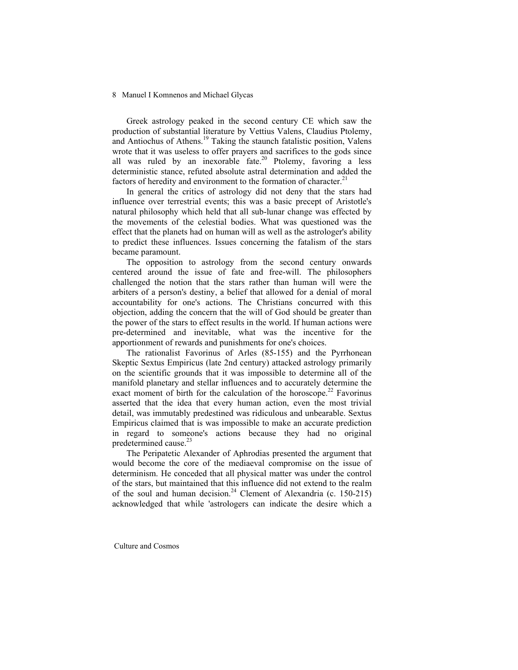Greek astrology peaked in the second century CE which saw the production of substantial literature by Vettius Valens, Claudius Ptolemy, and Antiochus of Athens.19 Taking the staunch fatalistic position, Valens wrote that it was useless to offer prayers and sacrifices to the gods since all was ruled by an inexorable fate.<sup>20</sup> Ptolemy, favoring a less deterministic stance, refuted absolute astral determination and added the factors of heredity and environment to the formation of character. $21$ 

 In general the critics of astrology did not deny that the stars had influence over terrestrial events; this was a basic precept of Aristotle's natural philosophy which held that all sub-lunar change was effected by the movements of the celestial bodies. What was questioned was the effect that the planets had on human will as well as the astrologer's ability to predict these influences. Issues concerning the fatalism of the stars became paramount.

 The opposition to astrology from the second century onwards centered around the issue of fate and free-will. The philosophers challenged the notion that the stars rather than human will were the arbiters of a person's destiny, a belief that allowed for a denial of moral accountability for one's actions. The Christians concurred with this objection, adding the concern that the will of God should be greater than the power of the stars to effect results in the world. If human actions were pre-determined and inevitable, what was the incentive for the apportionment of rewards and punishments for one's choices.

 The rationalist Favorinus of Arles (85-155) and the Pyrrhonean Skeptic Sextus Empiricus (late 2nd century) attacked astrology primarily on the scientific grounds that it was impossible to determine all of the manifold planetary and stellar influences and to accurately determine the exact moment of birth for the calculation of the horoscope.<sup>22</sup> Favorinus asserted that the idea that every human action, even the most trivial detail, was immutably predestined was ridiculous and unbearable. Sextus Empiricus claimed that is was impossible to make an accurate prediction in regard to someone's actions because they had no original predetermined cause.<sup>23</sup>

 The Peripatetic Alexander of Aphrodias presented the argument that would become the core of the mediaeval compromise on the issue of determinism. He conceded that all physical matter was under the control of the stars, but maintained that this influence did not extend to the realm of the soul and human decision.<sup>24</sup> Clement of Alexandria (c. 150-215) acknowledged that while 'astrologers can indicate the desire which a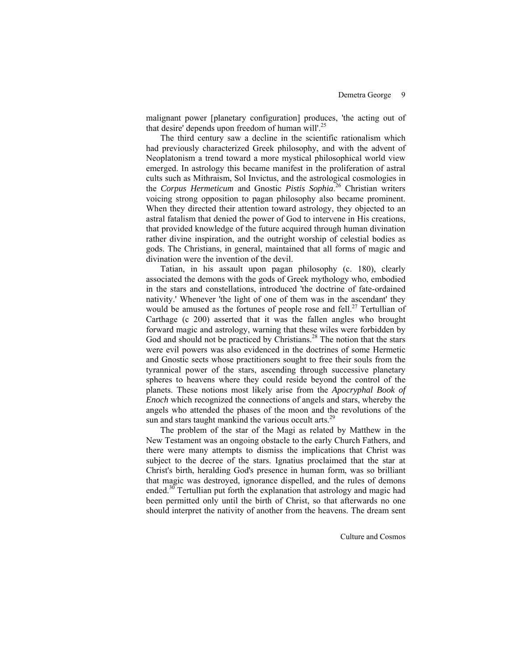malignant power [planetary configuration] produces, 'the acting out of that desire' depends upon freedom of human will'.<sup>25</sup>

 The third century saw a decline in the scientific rationalism which had previously characterized Greek philosophy, and with the advent of Neoplatonism a trend toward a more mystical philosophical world view emerged. In astrology this became manifest in the proliferation of astral cults such as Mithraism, Sol Invictus, and the astrological cosmologies in the *Corpus Hermeticum* and Gnostic *Pistis Sophia*. 26 Christian writers voicing strong opposition to pagan philosophy also became prominent. When they directed their attention toward astrology, they objected to an astral fatalism that denied the power of God to intervene in His creations, that provided knowledge of the future acquired through human divination rather divine inspiration, and the outright worship of celestial bodies as gods. The Christians, in general, maintained that all forms of magic and divination were the invention of the devil.

 Tatian, in his assault upon pagan philosophy (c. 180), clearly associated the demons with the gods of Greek mythology who, embodied in the stars and constellations, introduced 'the doctrine of fate-ordained nativity.' Whenever 'the light of one of them was in the ascendant' they would be amused as the fortunes of people rose and fell.<sup>27</sup> Tertullian of Carthage (c 200) asserted that it was the fallen angles who brought forward magic and astrology, warning that these wiles were forbidden by God and should not be practiced by Christians.<sup>28</sup> The notion that the stars were evil powers was also evidenced in the doctrines of some Hermetic and Gnostic sects whose practitioners sought to free their souls from the tyrannical power of the stars, ascending through successive planetary spheres to heavens where they could reside beyond the control of the planets. These notions most likely arise from the *Apocryphal Book of Enoch* which recognized the connections of angels and stars, whereby the angels who attended the phases of the moon and the revolutions of the sun and stars taught mankind the various occult arts.<sup>29</sup>

 The problem of the star of the Magi as related by Matthew in the New Testament was an ongoing obstacle to the early Church Fathers, and there were many attempts to dismiss the implications that Christ was subject to the decree of the stars. Ignatius proclaimed that the star at Christ's birth, heralding God's presence in human form, was so brilliant that magic was destroyed, ignorance dispelled, and the rules of demons ended.<sup>30</sup> Tertullian put forth the explanation that astrology and magic had been permitted only until the birth of Christ, so that afterwards no one should interpret the nativity of another from the heavens. The dream sent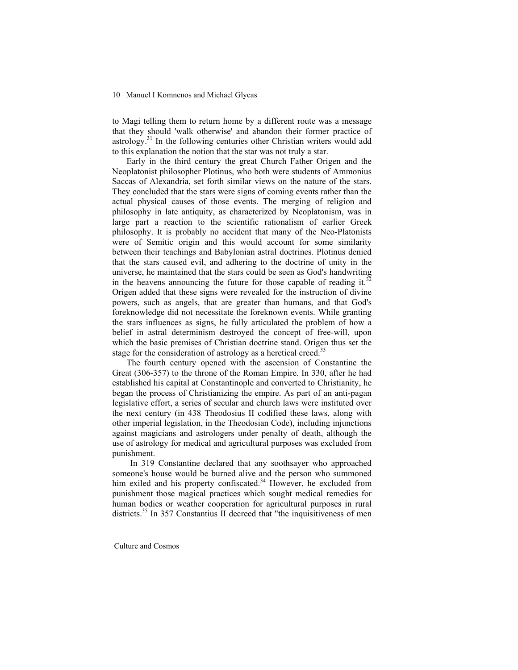to Magi telling them to return home by a different route was a message that they should 'walk otherwise' and abandon their former practice of astrology.<sup>31</sup> In the following centuries other Christian writers would add to this explanation the notion that the star was not truly a star.

 Early in the third century the great Church Father Origen and the Neoplatonist philosopher Plotinus, who both were students of Ammonius Saccas of Alexandria, set forth similar views on the nature of the stars. They concluded that the stars were signs of coming events rather than the actual physical causes of those events. The merging of religion and philosophy in late antiquity, as characterized by Neoplatonism, was in large part a reaction to the scientific rationalism of earlier Greek philosophy. It is probably no accident that many of the Neo-Platonists were of Semitic origin and this would account for some similarity between their teachings and Babylonian astral doctrines. Plotinus denied that the stars caused evil, and adhering to the doctrine of unity in the universe, he maintained that the stars could be seen as God's handwriting in the heavens announcing the future for those capable of reading it.<sup>32</sup> Origen added that these signs were revealed for the instruction of divine powers, such as angels, that are greater than humans, and that God's foreknowledge did not necessitate the foreknown events. While granting the stars influences as signs, he fully articulated the problem of how a belief in astral determinism destroyed the concept of free-will, upon which the basic premises of Christian doctrine stand. Origen thus set the stage for the consideration of astrology as a heretical creed.<sup>33</sup>

 The fourth century opened with the ascension of Constantine the Great (306-357) to the throne of the Roman Empire. In 330, after he had established his capital at Constantinople and converted to Christianity, he began the process of Christianizing the empire. As part of an anti-pagan legislative effort, a series of secular and church laws were instituted over the next century (in 438 Theodosius II codified these laws, along with other imperial legislation, in the Theodosian Code), including injunctions against magicians and astrologers under penalty of death, although the use of astrology for medical and agricultural purposes was excluded from punishment.

 In 319 Constantine declared that any soothsayer who approached someone's house would be burned alive and the person who summoned him exiled and his property confiscated.<sup>34</sup> However, he excluded from punishment those magical practices which sought medical remedies for human bodies or weather cooperation for agricultural purposes in rural districts.<sup>35</sup> In 357 Constantius II decreed that "the inquisitiveness of men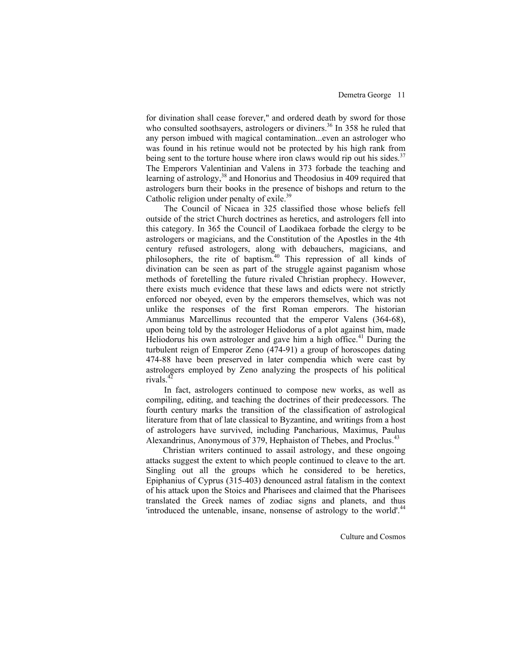for divination shall cease forever," and ordered death by sword for those who consulted soothsayers, astrologers or diviners.<sup>36</sup> In 358 he ruled that any person imbued with magical contamination...even an astrologer who was found in his retinue would not be protected by his high rank from being sent to the torture house where iron claws would rip out his sides.<sup>37</sup> The Emperors Valentinian and Valens in 373 forbade the teaching and learning of astrology,<sup>38</sup> and Honorius and Theodosius in 409 required that astrologers burn their books in the presence of bishops and return to the Catholic religion under penalty of exile.<sup>39</sup>

 The Council of Nicaea in 325 classified those whose beliefs fell outside of the strict Church doctrines as heretics, and astrologers fell into this category. In 365 the Council of Laodikaea forbade the clergy to be astrologers or magicians, and the Constitution of the Apostles in the 4th century refused astrologers, along with debauchers, magicians, and philosophers, the rite of baptism.<sup>40</sup> This repression of all kinds of divination can be seen as part of the struggle against paganism whose methods of foretelling the future rivaled Christian prophecy. However, there exists much evidence that these laws and edicts were not strictly enforced nor obeyed, even by the emperors themselves, which was not unlike the responses of the first Roman emperors. The historian Ammianus Marcellinus recounted that the emperor Valens (364-68), upon being told by the astrologer Heliodorus of a plot against him, made Heliodorus his own astrologer and gave him a high office. $41$  During the turbulent reign of Emperor Zeno (474-91) a group of horoscopes dating 474-88 have been preserved in later compendia which were cast by astrologers employed by Zeno analyzing the prospects of his political rivals. $4\overline{2}$ 

 In fact, astrologers continued to compose new works, as well as compiling, editing, and teaching the doctrines of their predecessors. The fourth century marks the transition of the classification of astrological literature from that of late classical to Byzantine, and writings from a host of astrologers have survived, including Pancharious, Maximus, Paulus Alexandrinus, Anonymous of 379, Hephaiston of Thebes, and Proclus.<sup>43</sup>

 Christian writers continued to assail astrology, and these ongoing attacks suggest the extent to which people continued to cleave to the art. Singling out all the groups which he considered to be heretics, Epiphanius of Cyprus (315-403) denounced astral fatalism in the context of his attack upon the Stoics and Pharisees and claimed that the Pharisees translated the Greek names of zodiac signs and planets, and thus 'introduced the untenable, insane, nonsense of astrology to the world'.<sup>44</sup>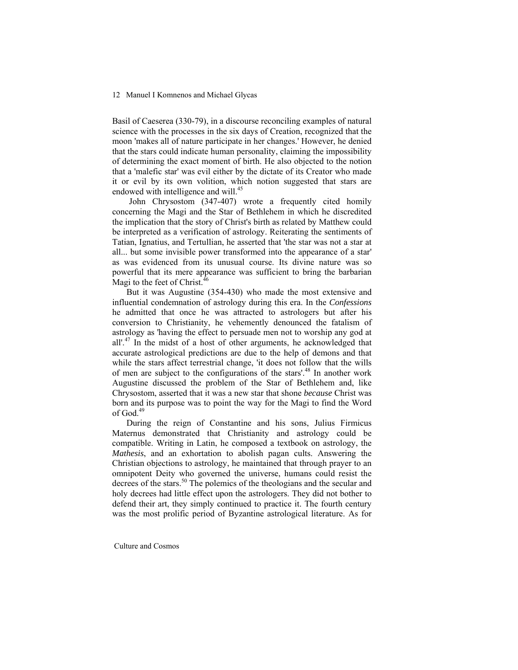Basil of Caeserea (330-79), in a discourse reconciling examples of natural science with the processes in the six days of Creation, recognized that the moon 'makes all of nature participate in her changes.' However, he denied that the stars could indicate human personality, claiming the impossibility of determining the exact moment of birth. He also objected to the notion that a 'malefic star' was evil either by the dictate of its Creator who made it or evil by its own volition, which notion suggested that stars are endowed with intelligence and will.<sup>45</sup>

 John Chrysostom (347-407) wrote a frequently cited homily concerning the Magi and the Star of Bethlehem in which he discredited the implication that the story of Christ's birth as related by Matthew could be interpreted as a verification of astrology. Reiterating the sentiments of Tatian, Ignatius, and Tertullian, he asserted that 'the star was not a star at all... but some invisible power transformed into the appearance of a star' as was evidenced from its unusual course. Its divine nature was so powerful that its mere appearance was sufficient to bring the barbarian Magi to the feet of Christ.<sup>46</sup>

 But it was Augustine (354-430) who made the most extensive and influential condemnation of astrology during this era. In the *Confessions* he admitted that once he was attracted to astrologers but after his conversion to Christianity, he vehemently denounced the fatalism of astrology as 'having the effect to persuade men not to worship any god at all'.<sup>47</sup> In the midst of a host of other arguments, he acknowledged that accurate astrological predictions are due to the help of demons and that while the stars affect terrestrial change, 'it does not follow that the wills of men are subject to the configurations of the stars'.<sup>48</sup> In another work Augustine discussed the problem of the Star of Bethlehem and, like Chrysostom, asserted that it was a new star that shone *because* Christ was born and its purpose was to point the way for the Magi to find the Word of God.<sup>49</sup>

 During the reign of Constantine and his sons, Julius Firmicus Maternus demonstrated that Christianity and astrology could be compatible. Writing in Latin, he composed a textbook on astrology, the *Mathesis*, and an exhortation to abolish pagan cults. Answering the Christian objections to astrology, he maintained that through prayer to an omnipotent Deity who governed the universe, humans could resist the decrees of the stars.<sup>50</sup> The polemics of the theologians and the secular and holy decrees had little effect upon the astrologers. They did not bother to defend their art, they simply continued to practice it. The fourth century was the most prolific period of Byzantine astrological literature. As for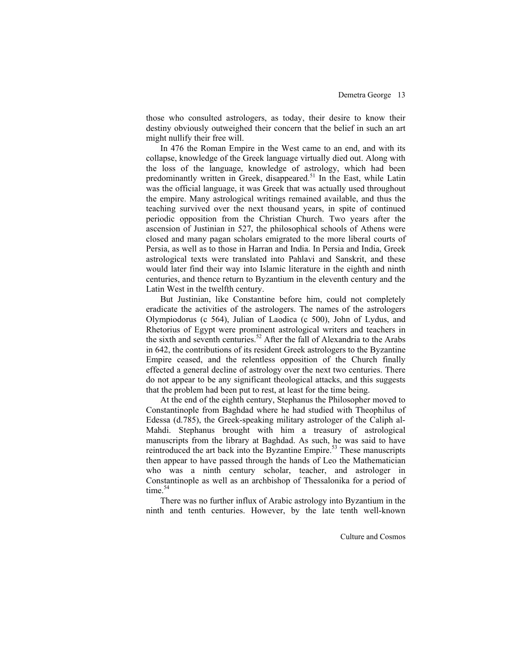those who consulted astrologers, as today, their desire to know their destiny obviously outweighed their concern that the belief in such an art might nullify their free will.

 In 476 the Roman Empire in the West came to an end, and with its collapse, knowledge of the Greek language virtually died out. Along with the loss of the language, knowledge of astrology, which had been predominantly written in Greek, disappeared.<sup>51</sup> In the East, while Latin was the official language, it was Greek that was actually used throughout the empire. Many astrological writings remained available, and thus the teaching survived over the next thousand years, in spite of continued periodic opposition from the Christian Church. Two years after the ascension of Justinian in 527, the philosophical schools of Athens were closed and many pagan scholars emigrated to the more liberal courts of Persia, as well as to those in Harran and India. In Persia and India, Greek astrological texts were translated into Pahlavi and Sanskrit, and these would later find their way into Islamic literature in the eighth and ninth centuries, and thence return to Byzantium in the eleventh century and the Latin West in the twelfth century.

 But Justinian, like Constantine before him, could not completely eradicate the activities of the astrologers. The names of the astrologers Olympiodorus (c 564), Julian of Laodica (c 500), John of Lydus, and Rhetorius of Egypt were prominent astrological writers and teachers in the sixth and seventh centuries.<sup>52</sup> After the fall of Alexandria to the Arabs in 642, the contributions of its resident Greek astrologers to the Byzantine Empire ceased, and the relentless opposition of the Church finally effected a general decline of astrology over the next two centuries. There do not appear to be any significant theological attacks, and this suggests that the problem had been put to rest, at least for the time being.

 At the end of the eighth century, Stephanus the Philosopher moved to Constantinople from Baghdad where he had studied with Theophilus of Edessa (d.785), the Greek-speaking military astrologer of the Caliph al-Mahdi. Stephanus brought with him a treasury of astrological manuscripts from the library at Baghdad. As such, he was said to have reintroduced the art back into the Byzantine Empire.<sup>53</sup> These manuscripts then appear to have passed through the hands of Leo the Mathematician who was a ninth century scholar, teacher, and astrologer in Constantinople as well as an archbishop of Thessalonika for a period of time $^{54}$ 

 There was no further influx of Arabic astrology into Byzantium in the ninth and tenth centuries. However, by the late tenth well-known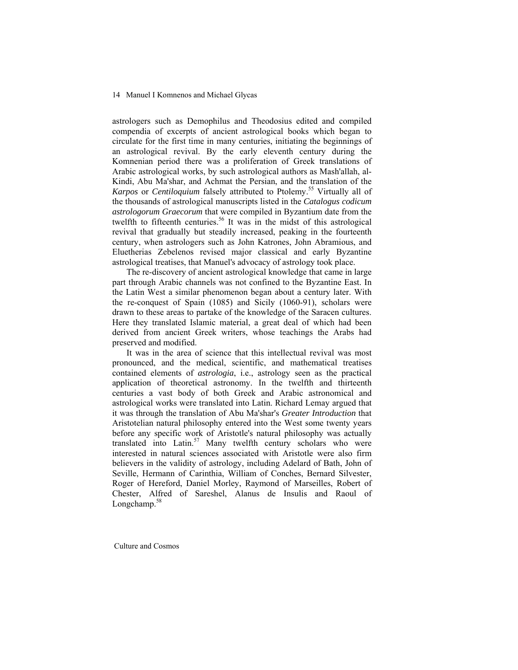astrologers such as Demophilus and Theodosius edited and compiled compendia of excerpts of ancient astrological books which began to circulate for the first time in many centuries, initiating the beginnings of an astrological revival. By the early eleventh century during the Komnenian period there was a proliferation of Greek translations of Arabic astrological works, by such astrological authors as Mash'allah, al-Kindi, Abu Ma'shar, and Achmat the Persian, and the translation of the *Karpos* or *Centiloquium* falsely attributed to Ptolemy.55 Virtually all of the thousands of astrological manuscripts listed in the *Catalogus codicum astrologorum Graecorum* that were compiled in Byzantium date from the twelfth to fifteenth centuries.<sup>56</sup> It was in the midst of this astrological revival that gradually but steadily increased, peaking in the fourteenth century, when astrologers such as John Katrones, John Abramious, and Eluetherias Zebelenos revised major classical and early Byzantine astrological treatises, that Manuel's advocacy of astrology took place.

 The re-discovery of ancient astrological knowledge that came in large part through Arabic channels was not confined to the Byzantine East. In the Latin West a similar phenomenon began about a century later. With the re-conquest of Spain (1085) and Sicily (1060-91), scholars were drawn to these areas to partake of the knowledge of the Saracen cultures. Here they translated Islamic material, a great deal of which had been derived from ancient Greek writers, whose teachings the Arabs had preserved and modified.

 It was in the area of science that this intellectual revival was most pronounced, and the medical, scientific, and mathematical treatises contained elements of *astrologia*, i.e., astrology seen as the practical application of theoretical astronomy. In the twelfth and thirteenth centuries a vast body of both Greek and Arabic astronomical and astrological works were translated into Latin. Richard Lemay argued that it was through the translation of Abu Ma'shar's *Greater Introduction* that Aristotelian natural philosophy entered into the West some twenty years before any specific work of Aristotle's natural philosophy was actually translated into Latin.<sup>57</sup> Many twelfth century scholars who were interested in natural sciences associated with Aristotle were also firm believers in the validity of astrology, including Adelard of Bath, John of Seville, Hermann of Carinthia, William of Conches, Bernard Silvester, Roger of Hereford, Daniel Morley, Raymond of Marseilles, Robert of Chester, Alfred of Sareshel, Alanus de Insulis and Raoul of Longchamp. $58$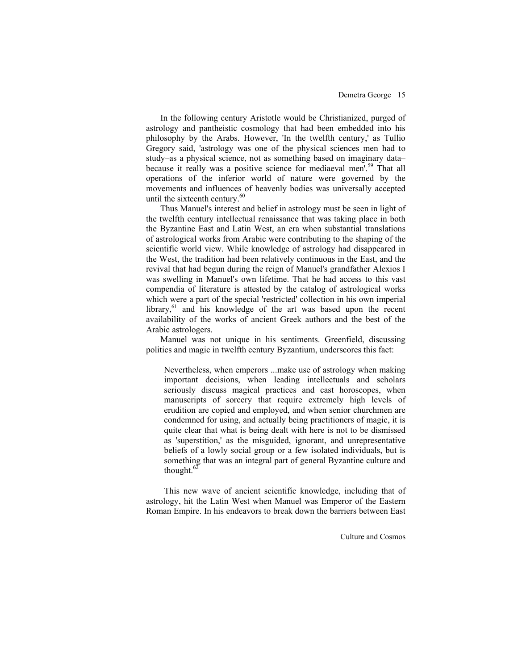In the following century Aristotle would be Christianized, purged of astrology and pantheistic cosmology that had been embedded into his philosophy by the Arabs. However, 'In the twelfth century,' as Tullio Gregory said, 'astrology was one of the physical sciences men had to study–as a physical science, not as something based on imaginary data– because it really was a positive science for mediaeval men'.<sup>59</sup> That all operations of the inferior world of nature were governed by the movements and influences of heavenly bodies was universally accepted until the sixteenth century.<sup>60</sup>

 Thus Manuel's interest and belief in astrology must be seen in light of the twelfth century intellectual renaissance that was taking place in both the Byzantine East and Latin West, an era when substantial translations of astrological works from Arabic were contributing to the shaping of the scientific world view. While knowledge of astrology had disappeared in the West, the tradition had been relatively continuous in the East, and the revival that had begun during the reign of Manuel's grandfather Alexios I was swelling in Manuel's own lifetime. That he had access to this vast compendia of literature is attested by the catalog of astrological works which were a part of the special 'restricted' collection in his own imperial library, $61$  and his knowledge of the art was based upon the recent availability of the works of ancient Greek authors and the best of the Arabic astrologers.

 Manuel was not unique in his sentiments. Greenfield, discussing politics and magic in twelfth century Byzantium, underscores this fact:

Nevertheless, when emperors ...make use of astrology when making important decisions, when leading intellectuals and scholars seriously discuss magical practices and cast horoscopes, when manuscripts of sorcery that require extremely high levels of erudition are copied and employed, and when senior churchmen are condemned for using, and actually being practitioners of magic, it is quite clear that what is being dealt with here is not to be dismissed as 'superstition,' as the misguided, ignorant, and unrepresentative beliefs of a lowly social group or a few isolated individuals, but is something that was an integral part of general Byzantine culture and thought.<sup>62</sup>

 This new wave of ancient scientific knowledge, including that of astrology, hit the Latin West when Manuel was Emperor of the Eastern Roman Empire. In his endeavors to break down the barriers between East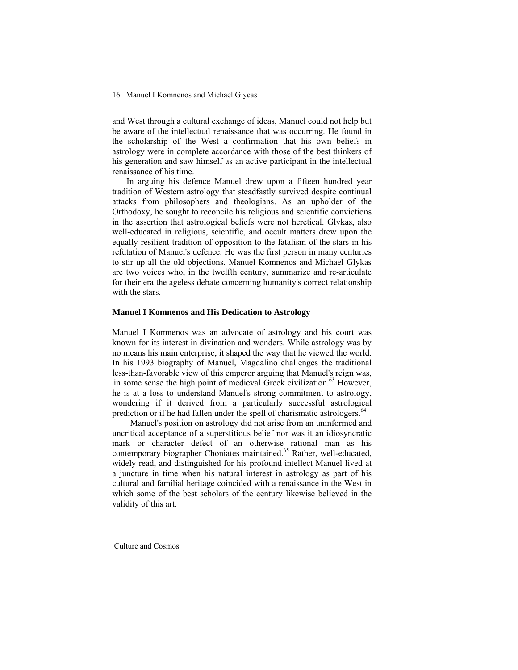and West through a cultural exchange of ideas, Manuel could not help but be aware of the intellectual renaissance that was occurring. He found in the scholarship of the West a confirmation that his own beliefs in astrology were in complete accordance with those of the best thinkers of his generation and saw himself as an active participant in the intellectual renaissance of his time.

 In arguing his defence Manuel drew upon a fifteen hundred year tradition of Western astrology that steadfastly survived despite continual attacks from philosophers and theologians. As an upholder of the Orthodoxy, he sought to reconcile his religious and scientific convictions in the assertion that astrological beliefs were not heretical. Glykas, also well-educated in religious, scientific, and occult matters drew upon the equally resilient tradition of opposition to the fatalism of the stars in his refutation of Manuel's defence. He was the first person in many centuries to stir up all the old objections. Manuel Komnenos and Michael Glykas are two voices who, in the twelfth century, summarize and re-articulate for their era the ageless debate concerning humanity's correct relationship with the stars.

### **Manuel I Komnenos and His Dedication to Astrology**

Manuel I Komnenos was an advocate of astrology and his court was known for its interest in divination and wonders. While astrology was by no means his main enterprise, it shaped the way that he viewed the world. In his 1993 biography of Manuel, Magdalino challenges the traditional less-than-favorable view of this emperor arguing that Manuel's reign was, 'in some sense the high point of medieval Greek civilization.<sup>63</sup> However, he is at a loss to understand Manuel's strong commitment to astrology, wondering if it derived from a particularly successful astrological prediction or if he had fallen under the spell of charismatic astrologers.<sup>64</sup>

 Manuel's position on astrology did not arise from an uninformed and uncritical acceptance of a superstitious belief nor was it an idiosyncratic mark or character defect of an otherwise rational man as his contemporary biographer Choniates maintained.<sup>65</sup> Rather, well-educated, widely read, and distinguished for his profound intellect Manuel lived at a juncture in time when his natural interest in astrology as part of his cultural and familial heritage coincided with a renaissance in the West in which some of the best scholars of the century likewise believed in the validity of this art.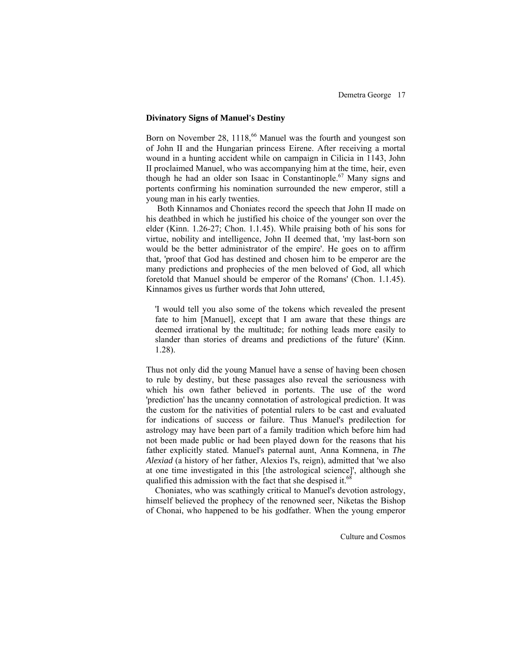#### **Divinatory Signs of Manuel's Destiny**

Born on November 28,  $1118<sup>66</sup>$  Manuel was the fourth and youngest son of John II and the Hungarian princess Eirene. After receiving a mortal wound in a hunting accident while on campaign in Cilicia in 1143, John II proclaimed Manuel, who was accompanying him at the time, heir, even though he had an older son Isaac in Constantinople.<sup>67</sup> Many signs and portents confirming his nomination surrounded the new emperor, still a young man in his early twenties.

 Both Kinnamos and Choniates record the speech that John II made on his deathbed in which he justified his choice of the younger son over the elder (Kinn. 1.26-27; Chon. 1.1.45). While praising both of his sons for virtue, nobility and intelligence, John II deemed that, 'my last-born son would be the better administrator of the empire'. He goes on to affirm that, 'proof that God has destined and chosen him to be emperor are the many predictions and prophecies of the men beloved of God, all which foretold that Manuel should be emperor of the Romans' (Chon. 1.1.45). Kinnamos gives us further words that John uttered,

'I would tell you also some of the tokens which revealed the present fate to him [Manuel], except that I am aware that these things are deemed irrational by the multitude; for nothing leads more easily to slander than stories of dreams and predictions of the future' (Kinn. 1.28).

Thus not only did the young Manuel have a sense of having been chosen to rule by destiny, but these passages also reveal the seriousness with which his own father believed in portents. The use of the word 'prediction' has the uncanny connotation of astrological prediction. It was the custom for the nativities of potential rulers to be cast and evaluated for indications of success or failure. Thus Manuel's predilection for astrology may have been part of a family tradition which before him had not been made public or had been played down for the reasons that his father explicitly stated. Manuel's paternal aunt, Anna Komnena, in *The Alexiad* (a history of her father, Alexios I's, reign), admitted that 'we also at one time investigated in this [the astrological science]', although she qualified this admission with the fact that she despised it.<sup>68</sup>

 Choniates, who was scathingly critical to Manuel's devotion astrology, himself believed the prophecy of the renowned seer, Niketas the Bishop of Chonai, who happened to be his godfather. When the young emperor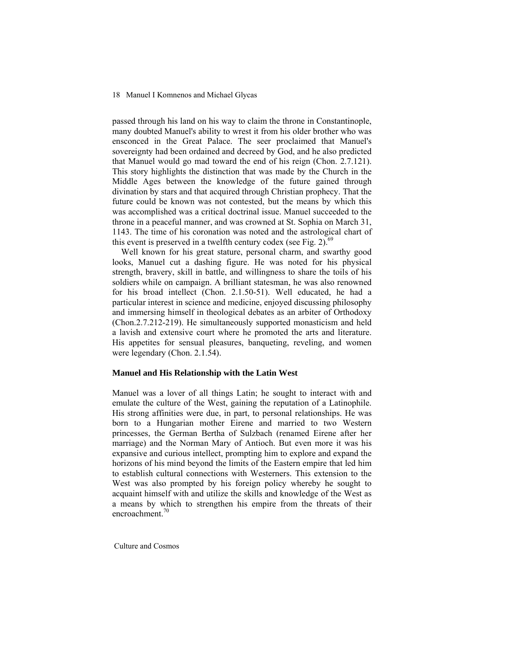passed through his land on his way to claim the throne in Constantinople, many doubted Manuel's ability to wrest it from his older brother who was ensconced in the Great Palace. The seer proclaimed that Manuel's sovereignty had been ordained and decreed by God, and he also predicted that Manuel would go mad toward the end of his reign (Chon. 2.7.121). This story highlights the distinction that was made by the Church in the Middle Ages between the knowledge of the future gained through divination by stars and that acquired through Christian prophecy. That the future could be known was not contested, but the means by which this was accomplished was a critical doctrinal issue. Manuel succeeded to the throne in a peaceful manner, and was crowned at St. Sophia on March 31, 1143. The time of his coronation was noted and the astrological chart of this event is preserved in a twelfth century codex (see Fig. 2).<sup>69</sup>

 Well known for his great stature, personal charm, and swarthy good looks, Manuel cut a dashing figure. He was noted for his physical strength, bravery, skill in battle, and willingness to share the toils of his soldiers while on campaign. A brilliant statesman, he was also renowned for his broad intellect (Chon. 2.1.50-51). Well educated, he had a particular interest in science and medicine, enjoyed discussing philosophy and immersing himself in theological debates as an arbiter of Orthodoxy (Chon.2.7.212-219). He simultaneously supported monasticism and held a lavish and extensive court where he promoted the arts and literature. His appetites for sensual pleasures, banqueting, reveling, and women were legendary (Chon. 2.1.54).

### **Manuel and His Relationship with the Latin West**

Manuel was a lover of all things Latin; he sought to interact with and emulate the culture of the West, gaining the reputation of a Latinophile. His strong affinities were due, in part, to personal relationships. He was born to a Hungarian mother Eirene and married to two Western princesses, the German Bertha of Sulzbach (renamed Eirene after her marriage) and the Norman Mary of Antioch. But even more it was his expansive and curious intellect, prompting him to explore and expand the horizons of his mind beyond the limits of the Eastern empire that led him to establish cultural connections with Westerners. This extension to the West was also prompted by his foreign policy whereby he sought to acquaint himself with and utilize the skills and knowledge of the West as a means by which to strengthen his empire from the threats of their encroachment.<sup>70</sup>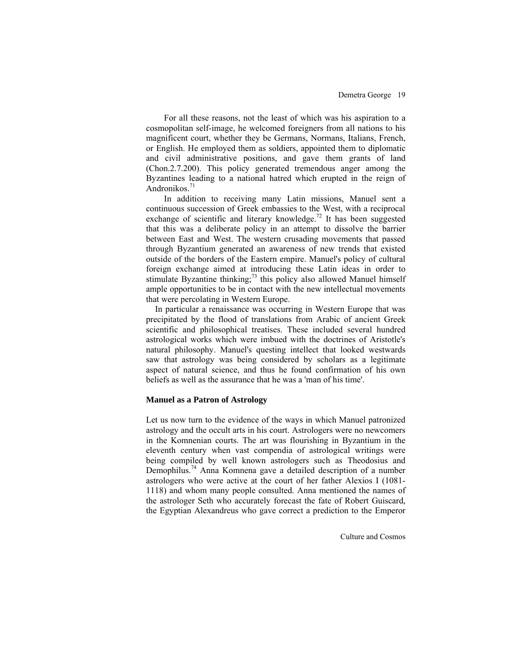For all these reasons, not the least of which was his aspiration to a cosmopolitan self-image, he welcomed foreigners from all nations to his magnificent court, whether they be Germans, Normans, Italians, French, or English. He employed them as soldiers, appointed them to diplomatic and civil administrative positions, and gave them grants of land (Chon.2.7.200). This policy generated tremendous anger among the Byzantines leading to a national hatred which erupted in the reign of Andronikos.<sup>71</sup>

 In addition to receiving many Latin missions, Manuel sent a continuous succession of Greek embassies to the West, with a reciprocal exchange of scientific and literary knowledge.<sup>72</sup> It has been suggested that this was a deliberate policy in an attempt to dissolve the barrier between East and West. The western crusading movements that passed through Byzantium generated an awareness of new trends that existed outside of the borders of the Eastern empire. Manuel's policy of cultural foreign exchange aimed at introducing these Latin ideas in order to stimulate Byzantine thinking;<sup>73</sup> this policy also allowed Manuel himself ample opportunities to be in contact with the new intellectual movements that were percolating in Western Europe.

 In particular a renaissance was occurring in Western Europe that was precipitated by the flood of translations from Arabic of ancient Greek scientific and philosophical treatises. These included several hundred astrological works which were imbued with the doctrines of Aristotle's natural philosophy. Manuel's questing intellect that looked westwards saw that astrology was being considered by scholars as a legitimate aspect of natural science, and thus he found confirmation of his own beliefs as well as the assurance that he was a 'man of his time'.

# **Manuel as a Patron of Astrology**

Let us now turn to the evidence of the ways in which Manuel patronized astrology and the occult arts in his court. Astrologers were no newcomers in the Komnenian courts. The art was flourishing in Byzantium in the eleventh century when vast compendia of astrological writings were being compiled by well known astrologers such as Theodosius and Demophilus.74 Anna Komnena gave a detailed description of a number astrologers who were active at the court of her father Alexios I (1081- 1118) and whom many people consulted. Anna mentioned the names of the astrologer Seth who accurately forecast the fate of Robert Guiscard, the Egyptian Alexandreus who gave correct a prediction to the Emperor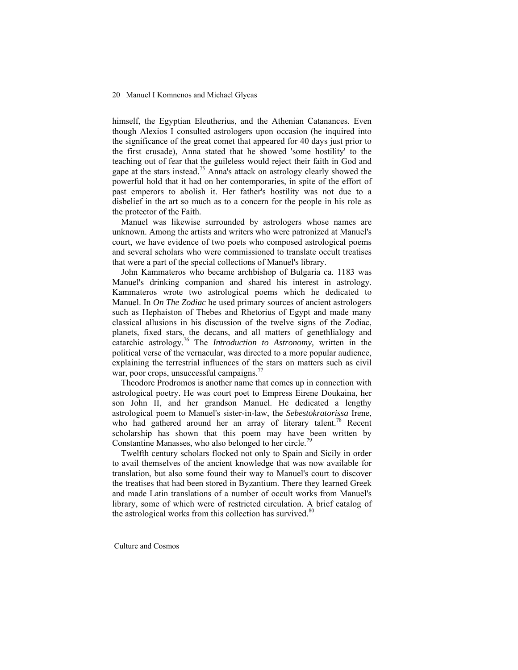himself, the Egyptian Eleutherius, and the Athenian Catanances. Even though Alexios I consulted astrologers upon occasion (he inquired into the significance of the great comet that appeared for 40 days just prior to the first crusade), Anna stated that he showed 'some hostility' to the teaching out of fear that the guileless would reject their faith in God and gape at the stars instead.<sup>75</sup> Anna's attack on astrology clearly showed the powerful hold that it had on her contemporaries, in spite of the effort of past emperors to abolish it. Her father's hostility was not due to a disbelief in the art so much as to a concern for the people in his role as the protector of the Faith.

 Manuel was likewise surrounded by astrologers whose names are unknown. Among the artists and writers who were patronized at Manuel's court, we have evidence of two poets who composed astrological poems and several scholars who were commissioned to translate occult treatises that were a part of the special collections of Manuel's library.

 John Kammateros who became archbishop of Bulgaria ca. 1183 was Manuel's drinking companion and shared his interest in astrology. Kammateros wrote two astrological poems which he dedicated to Manuel. In *On The Zodiac* he used primary sources of ancient astrologers such as Hephaiston of Thebes and Rhetorius of Egypt and made many classical allusions in his discussion of the twelve signs of the Zodiac, planets, fixed stars, the decans, and all matters of genethlialogy and catarchic astrology.76 The *Introduction to Astronomy,* written in the political verse of the vernacular, was directed to a more popular audience, explaining the terrestrial influences of the stars on matters such as civil war, poor crops, unsuccessful campaigns. $\frac{7}{7}$ 

 Theodore Prodromos is another name that comes up in connection with astrological poetry. He was court poet to Empress Eirene Doukaina, her son John II, and her grandson Manuel. He dedicated a lengthy astrological poem to Manuel's sister-in-law, the *Sebestokratorissa* Irene, who had gathered around her an array of literary talent.<sup>78</sup> Recent scholarship has shown that this poem may have been written by Constantine Manasses, who also belonged to her circle.<sup>79</sup>

 Twelfth century scholars flocked not only to Spain and Sicily in order to avail themselves of the ancient knowledge that was now available for translation, but also some found their way to Manuel's court to discover the treatises that had been stored in Byzantium. There they learned Greek and made Latin translations of a number of occult works from Manuel's library, some of which were of restricted circulation. A brief catalog of the astrological works from this collection has survived. $80$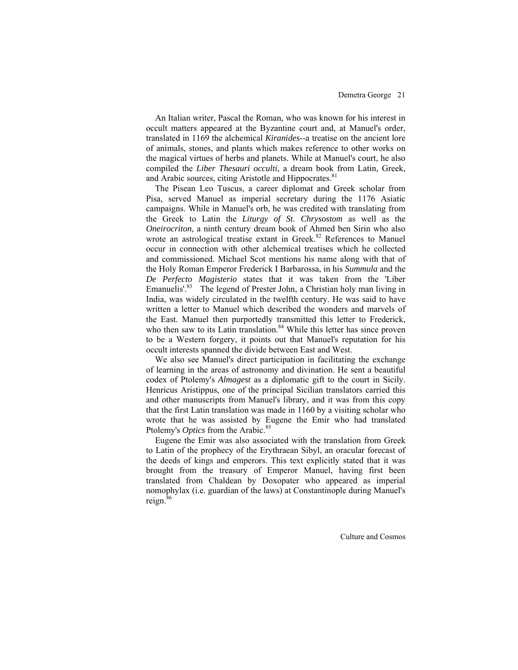An Italian writer, Pascal the Roman, who was known for his interest in occult matters appeared at the Byzantine court and, at Manuel's order, translated in 1169 the alchemical *Kiranides*--a treatise on the ancient lore of animals, stones, and plants which makes reference to other works on the magical virtues of herbs and planets. While at Manuel's court, he also compiled the *Liber Thesauri occulti*, a dream book from Latin, Greek, and Arabic sources, citing Aristotle and Hippocrates.<sup>81</sup>

 The Pisean Leo Tuscus, a career diplomat and Greek scholar from Pisa, served Manuel as imperial secretary during the 1176 Asiatic campaigns. While in Manuel's orb, he was credited with translating from the Greek to Latin the *Liturgy of St. Chrysostom* as well as the *Oneirocriton*, a ninth century dream book of Ahmed ben Sirin who also wrote an astrological treatise extant in Greek.<sup>82</sup> References to Manuel occur in connection with other alchemical treatises which he collected and commissioned. Michael Scot mentions his name along with that of the Holy Roman Emperor Frederick I Barbarossa, in his *Summula* and the *De Perfecto Magisterio* states that it was taken from the 'Liber Emanuelis'.<sup>83</sup> The legend of Prester John, a Christian holy man living in India, was widely circulated in the twelfth century. He was said to have written a letter to Manuel which described the wonders and marvels of the East. Manuel then purportedly transmitted this letter to Frederick, who then saw to its Latin translation. $84$  While this letter has since proven to be a Western forgery, it points out that Manuel's reputation for his occult interests spanned the divide between East and West.

We also see Manuel's direct participation in facilitating the exchange of learning in the areas of astronomy and divination. He sent a beautiful codex of Ptolemy's *Almagest* as a diplomatic gift to the court in Sicily. Henricus Aristippus, one of the principal Sicilian translators carried this and other manuscripts from Manuel's library, and it was from this copy that the first Latin translation was made in 1160 by a visiting scholar who wrote that he was assisted by Eugene the Emir who had translated Ptolemy's *Optics* from the Arabic.<sup>85</sup>

Eugene the Emir was also associated with the translation from Greek to Latin of the prophecy of the Erythraean Sibyl, an oracular forecast of the deeds of kings and emperors. This text explicitly stated that it was brought from the treasury of Emperor Manuel, having first been translated from Chaldean by Doxopater who appeared as imperial nomophylax (i.e. guardian of the laws) at Constantinople during Manuel's reign.<sup>86</sup>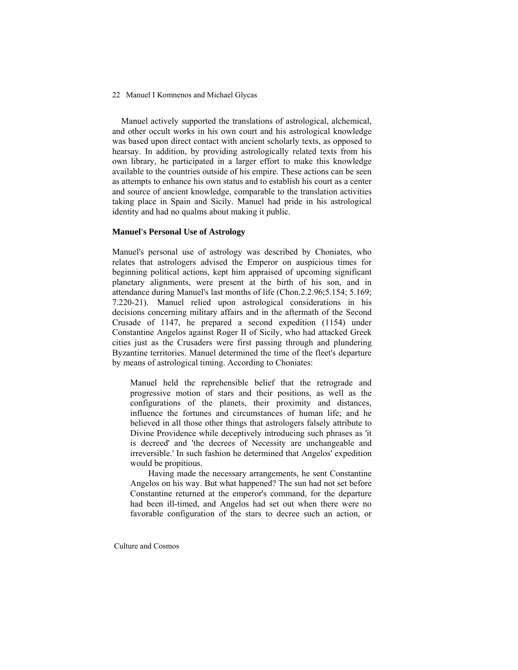Manuel actively supported the translations of astrological, alchemical, and other occult works in his own court and his astrological knowledge was based upon direct contact with ancient scholarly texts, as opposed to hearsay. In addition, by providing astrologically related texts from his own library, he participated in a larger effort to make this knowledge available to the countries outside of his empire. These actions can be seen as attempts to enhance his own status and to establish his court as a center and source of ancient knowledge, comparable to the translation activities taking place in Spain and Sicily. Manuel had pride in his astrological identity and had no qualms about making it public.

# **Manuel's Personal Use of Astrology**

Manuel's personal use of astrology was described by Choniates, who relates that astrologers advised the Emperor on auspicious times for beginning political actions, kept him appraised of upcoming significant planetary alignments, were present at the birth of his son, and in attendance during Manuel's last months of life (Chon.2.2.96;5.154; 5.169; 7.220-21). Manuel relied upon astrological considerations in his decisions concerning military affairs and in the aftermath of the Second Crusade of 1147, he prepared a second expedition (1154) under Constantine Angelos against Roger II of Sicily, who had attacked Greek cities just as the Crusaders were first passing through and plundering Byzantine territories. Manuel determined the time of the fleet's departure by means of astrological timing. According to Choniates:

Manuel held the reprehensible belief that the retrograde and progressive motion of stars and their positions, as well as the configurations of the planets, their proximity and distances, influence the fortunes and circumstances of human life; and he believed in all those other things that astrologers falsely attribute to Divine Providence while deceptively introducing such phrases as 'it is decreed' and 'the decrees of Necessity are unchangeable and irreversible.' In such fashion he determined that Angelos' expedition would be propitious.

 Having made the necessary arrangements, he sent Constantine Angelos on his way. But what happened? The sun had not set before Constantine returned at the emperor's command, for the departure had been ill-timed, and Angelos had set out when there were no favorable configuration of the stars to decree such an action, or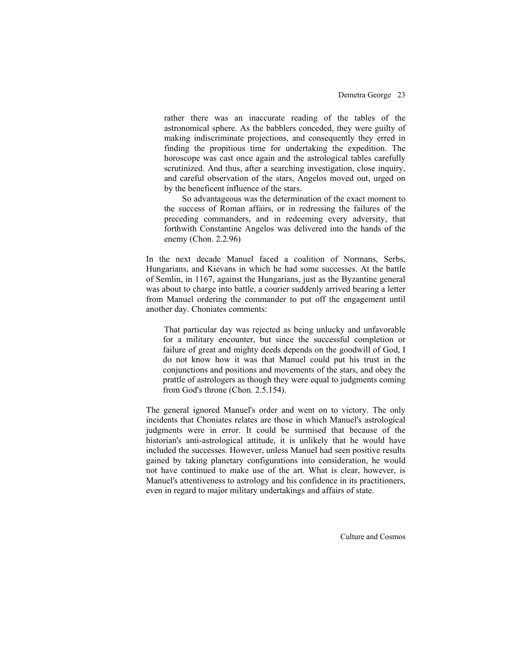rather there was an inaccurate reading of the tables of the astronomical sphere. As the babblers conceded, they were guilty of making indiscriminate projections, and consequently they erred in finding the propitious time for undertaking the expedition. The horoscope was cast once again and the astrological tables carefully scrutinized. And thus, after a searching investigation, close inquiry, and careful observation of the stars, Angelos moved out, urged on by the beneficent influence of the stars.

 So advantageous was the determination of the exact moment to the success of Roman affairs, or in redressing the failures of the preceding commanders, and in redeeming every adversity, that forthwith Constantine Angelos was delivered into the hands of the enemy (Chon. 2.2.96)

In the next decade Manuel faced a coalition of Normans, Serbs, Hungarians, and Kievans in which he had some successes. At the battle of Semlin, in 1167, against the Hungarians, just as the Byzantine general was about to charge into battle, a courier suddenly arrived bearing a letter from Manuel ordering the commander to put off the engagement until another day. Choniates comments:

 That particular day was rejected as being unlucky and unfavorable for a military encounter, but since the successful completion or failure of great and mighty deeds depends on the goodwill of God, I do not know how it was that Manuel could put his trust in the conjunctions and positions and movements of the stars, and obey the prattle of astrologers as though they were equal to judgments coming from God's throne (Chon. 2.5.154).

The general ignored Manuel's order and went on to victory. The only incidents that Choniates relates are those in which Manuel's astrological judgments were in error. It could be surmised that because of the historian's anti-astrological attitude, it is unlikely that he would have included the successes. However, unless Manuel had seen positive results gained by taking planetary configurations into consideration, he would not have continued to make use of the art. What is clear, however, is Manuel's attentiveness to astrology and his confidence in its practitioners, even in regard to major military undertakings and affairs of state.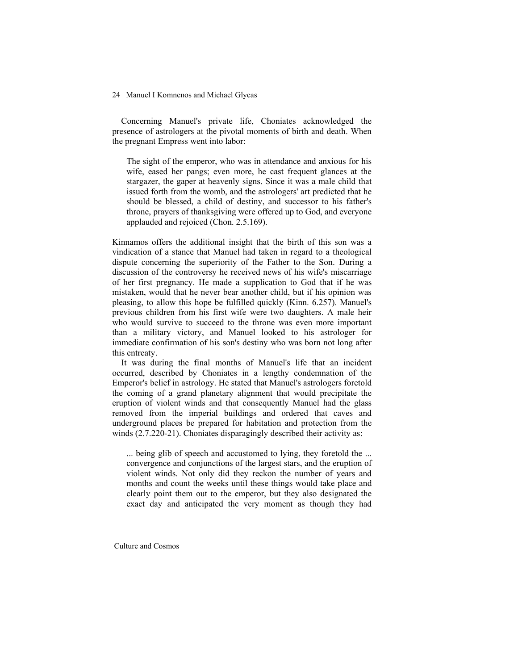Concerning Manuel's private life, Choniates acknowledged the presence of astrologers at the pivotal moments of birth and death. When the pregnant Empress went into labor:

The sight of the emperor, who was in attendance and anxious for his wife, eased her pangs; even more, he cast frequent glances at the stargazer, the gaper at heavenly signs. Since it was a male child that issued forth from the womb, and the astrologers' art predicted that he should be blessed, a child of destiny, and successor to his father's throne, prayers of thanksgiving were offered up to God, and everyone applauded and rejoiced (Chon. 2.5.169).

Kinnamos offers the additional insight that the birth of this son was a vindication of a stance that Manuel had taken in regard to a theological dispute concerning the superiority of the Father to the Son. During a discussion of the controversy he received news of his wife's miscarriage of her first pregnancy. He made a supplication to God that if he was mistaken, would that he never bear another child, but if his opinion was pleasing, to allow this hope be fulfilled quickly (Kinn. 6.257). Manuel's previous children from his first wife were two daughters. A male heir who would survive to succeed to the throne was even more important than a military victory, and Manuel looked to his astrologer for immediate confirmation of his son's destiny who was born not long after this entreaty.

 It was during the final months of Manuel's life that an incident occurred, described by Choniates in a lengthy condemnation of the Emperor's belief in astrology. He stated that Manuel's astrologers foretold the coming of a grand planetary alignment that would precipitate the eruption of violent winds and that consequently Manuel had the glass removed from the imperial buildings and ordered that caves and underground places be prepared for habitation and protection from the winds (2.7.220-21). Choniates disparagingly described their activity as:

... being glib of speech and accustomed to lying, they foretold the ... convergence and conjunctions of the largest stars, and the eruption of violent winds. Not only did they reckon the number of years and months and count the weeks until these things would take place and clearly point them out to the emperor, but they also designated the exact day and anticipated the very moment as though they had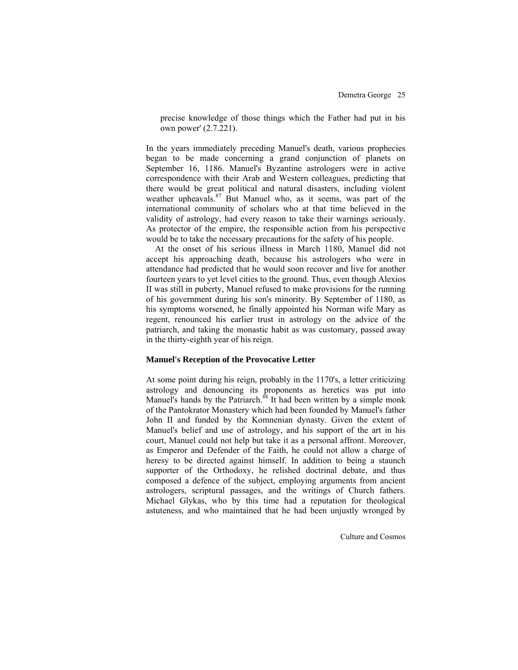precise knowledge of those things which the Father had put in his own power' (2.7.221).

In the years immediately preceding Manuel's death, various prophecies began to be made concerning a grand conjunction of planets on September 16, 1186. Manuel's Byzantine astrologers were in active correspondence with their Arab and Western colleagues, predicting that there would be great political and natural disasters, including violent weather upheavals.<sup>87</sup> But Manuel who, as it seems, was part of the international community of scholars who at that time believed in the validity of astrology, had every reason to take their warnings seriously. As protector of the empire, the responsible action from his perspective would be to take the necessary precautions for the safety of his people.

 At the onset of his serious illness in March 1180, Manuel did not accept his approaching death, because his astrologers who were in attendance had predicted that he would soon recover and live for another fourteen years to yet level cities to the ground. Thus, even though Alexios II was still in puberty, Manuel refused to make provisions for the running of his government during his son's minority. By September of 1180, as his symptoms worsened, he finally appointed his Norman wife Mary as regent, renounced his earlier trust in astrology on the advice of the patriarch, and taking the monastic habit as was customary, passed away in the thirty-eighth year of his reign.

### **Manuel's Reception of the Provocative Letter**

At some point during his reign, probably in the 1170's, a letter criticizing astrology and denouncing its proponents as heretics was put into Manuel's hands by the Patriarch.<sup>88</sup> It had been written by a simple monk of the Pantokrator Monastery which had been founded by Manuel's father John II and funded by the Komnenian dynasty. Given the extent of Manuel's belief and use of astrology, and his support of the art in his court, Manuel could not help but take it as a personal affront. Moreover, as Emperor and Defender of the Faith, he could not allow a charge of heresy to be directed against himself. In addition to being a staunch supporter of the Orthodoxy, he relished doctrinal debate, and thus composed a defence of the subject, employing arguments from ancient astrologers, scriptural passages, and the writings of Church fathers. Michael Glykas, who by this time had a reputation for theological astuteness, and who maintained that he had been unjustly wronged by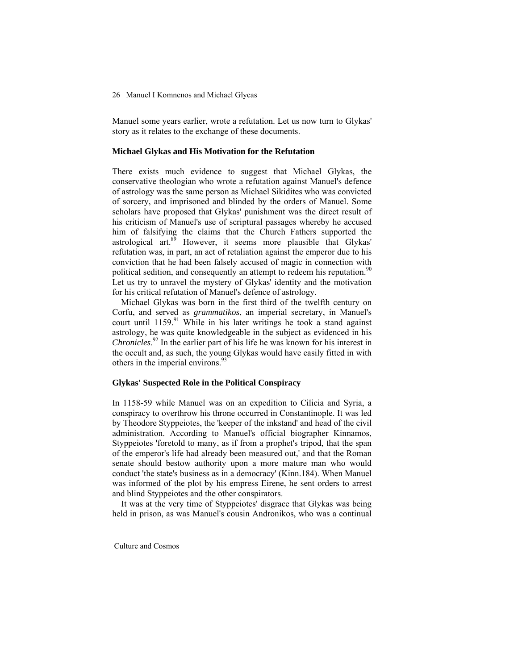Manuel some years earlier, wrote a refutation. Let us now turn to Glykas' story as it relates to the exchange of these documents.

### **Michael Glykas and His Motivation for the Refutation**

There exists much evidence to suggest that Michael Glykas, the conservative theologian who wrote a refutation against Manuel's defence of astrology was the same person as Michael Sikidites who was convicted of sorcery, and imprisoned and blinded by the orders of Manuel. Some scholars have proposed that Glykas' punishment was the direct result of his criticism of Manuel's use of scriptural passages whereby he accused him of falsifying the claims that the Church Fathers supported the astrological art.<sup>89</sup> However, it seems more plausible that Glykas' refutation was, in part, an act of retaliation against the emperor due to his conviction that he had been falsely accused of magic in connection with political sedition, and consequently an attempt to redeem his reputation.<sup>90</sup> Let us try to unravel the mystery of Glykas' identity and the motivation for his critical refutation of Manuel's defence of astrology.

 Michael Glykas was born in the first third of the twelfth century on Corfu, and served as *grammatikos*, an imperial secretary, in Manuel's court until  $1159$ .<sup>91</sup> While in his later writings he took a stand against astrology, he was quite knowledgeable in the subject as evidenced in his *Chronicles*. 92 In the earlier part of his life he was known for his interest in the occult and, as such, the young Glykas would have easily fitted in with others in the imperial environs.<sup>93</sup>

## **Glykas' Suspected Role in the Political Conspiracy**

In 1158-59 while Manuel was on an expedition to Cilicia and Syria, a conspiracy to overthrow his throne occurred in Constantinople. It was led by Theodore Styppeiotes, the 'keeper of the inkstand' and head of the civil administration. According to Manuel's official biographer Kinnamos, Styppeiotes 'foretold to many, as if from a prophet's tripod, that the span of the emperor's life had already been measured out,' and that the Roman senate should bestow authority upon a more mature man who would conduct 'the state's business as in a democracy' (Kinn.184). When Manuel was informed of the plot by his empress Eirene, he sent orders to arrest and blind Styppeiotes and the other conspirators.

 It was at the very time of Styppeiotes' disgrace that Glykas was being held in prison, as was Manuel's cousin Andronikos, who was a continual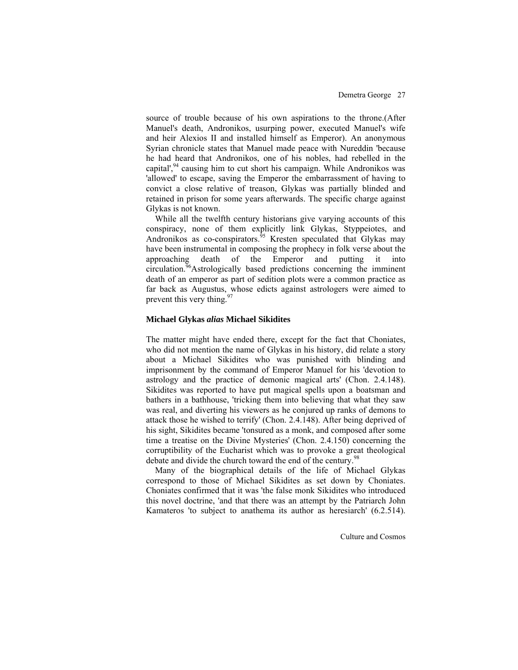source of trouble because of his own aspirations to the throne.(After Manuel's death, Andronikos, usurping power, executed Manuel's wife and heir Alexios II and installed himself as Emperor). An anonymous Syrian chronicle states that Manuel made peace with Nureddin 'because he had heard that Andronikos, one of his nobles, had rebelled in the capital',<sup>94</sup> causing him to cut short his campaign. While Andronikos was 'allowed' to escape, saving the Emperor the embarrassment of having to convict a close relative of treason, Glykas was partially blinded and retained in prison for some years afterwards. The specific charge against Glykas is not known.

While all the twelfth century historians give varying accounts of this conspiracy, none of them explicitly link Glykas, Styppeiotes, and Andronikos as co-conspirators. $95$  Kresten speculated that Glykas may have been instrumental in composing the prophecy in folk verse about the approaching death of the Emperor and putting it into circulation.<sup>96</sup>Astrologically based predictions concerning the imminent death of an emperor as part of sedition plots were a common practice as far back as Augustus, whose edicts against astrologers were aimed to prevent this very thing.<sup>97</sup>

#### **Michael Glykas** *alias* **Michael Sikidites**

The matter might have ended there, except for the fact that Choniates, who did not mention the name of Glykas in his history, did relate a story about a Michael Sikidites who was punished with blinding and imprisonment by the command of Emperor Manuel for his 'devotion to astrology and the practice of demonic magical arts' (Chon. 2.4.148). Sikidites was reported to have put magical spells upon a boatsman and bathers in a bathhouse, 'tricking them into believing that what they saw was real, and diverting his viewers as he conjured up ranks of demons to attack those he wished to terrify' (Chon. 2.4.148). After being deprived of his sight, Sikidites became 'tonsured as a monk, and composed after some time a treatise on the Divine Mysteries' (Chon. 2.4.150) concerning the corruptibility of the Eucharist which was to provoke a great theological debate and divide the church toward the end of the century.<sup>98</sup>

 Many of the biographical details of the life of Michael Glykas correspond to those of Michael Sikidites as set down by Choniates. Choniates confirmed that it was 'the false monk Sikidites who introduced this novel doctrine, 'and that there was an attempt by the Patriarch John Kamateros 'to subject to anathema its author as heresiarch' (6.2.514).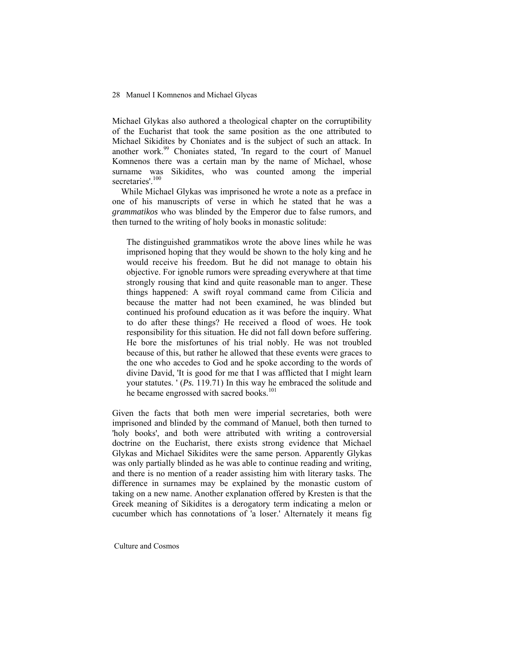Michael Glykas also authored a theological chapter on the corruptibility of the Eucharist that took the same position as the one attributed to Michael Sikidites by Choniates and is the subject of such an attack. In another work.<sup>99</sup> Choniates stated, 'In regard to the court of Manuel Komnenos there was a certain man by the name of Michael, whose surname was Sikidites, who was counted among the imperial secretaries'.<sup>100</sup>

 While Michael Glykas was imprisoned he wrote a note as a preface in one of his manuscripts of verse in which he stated that he was a *grammatikos* who was blinded by the Emperor due to false rumors, and then turned to the writing of holy books in monastic solitude:

The distinguished grammatikos wrote the above lines while he was imprisoned hoping that they would be shown to the holy king and he would receive his freedom. But he did not manage to obtain his objective. For ignoble rumors were spreading everywhere at that time strongly rousing that kind and quite reasonable man to anger. These things happened: A swift royal command came from Cilicia and because the matter had not been examined, he was blinded but continued his profound education as it was before the inquiry. What to do after these things? He received a flood of woes. He took responsibility for this situation. He did not fall down before suffering. He bore the misfortunes of his trial nobly. He was not troubled because of this, but rather he allowed that these events were graces to the one who accedes to God and he spoke according to the words of divine David, 'It is good for me that I was afflicted that I might learn your statutes. ' (*Ps.* 119.71) In this way he embraced the solitude and he became engrossed with sacred books.<sup>101</sup>

Given the facts that both men were imperial secretaries, both were imprisoned and blinded by the command of Manuel, both then turned to 'holy books', and both were attributed with writing a controversial doctrine on the Eucharist, there exists strong evidence that Michael Glykas and Michael Sikidites were the same person. Apparently Glykas was only partially blinded as he was able to continue reading and writing, and there is no mention of a reader assisting him with literary tasks. The difference in surnames may be explained by the monastic custom of taking on a new name. Another explanation offered by Kresten is that the Greek meaning of Sikidites is a derogatory term indicating a melon or cucumber which has connotations of 'a loser.' Alternately it means fig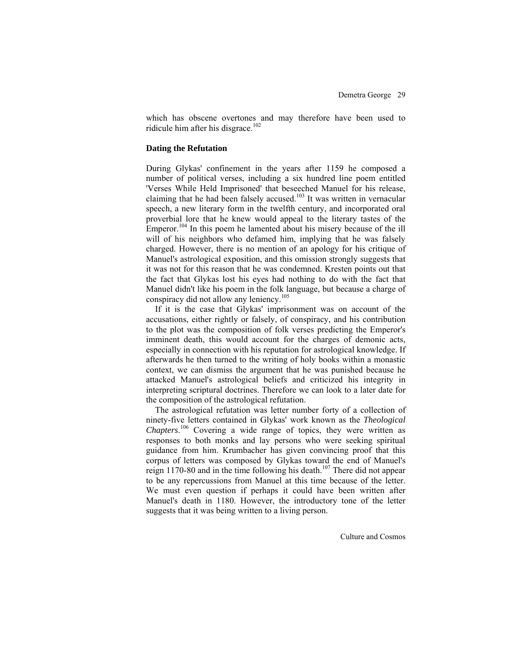which has obscene overtones and may therefore have been used to ridicule him after his disgrace.<sup>102</sup>

### **Dating the Refutation**

During Glykas' confinement in the years after 1159 he composed a number of political verses, including a six hundred line poem entitled 'Verses While Held Imprisoned' that beseeched Manuel for his release, claiming that he had been falsely accused.<sup>103</sup> It was written in vernacular speech, a new literary form in the twelfth century, and incorporated oral proverbial lore that he knew would appeal to the literary tastes of the Emperor.<sup>104</sup> In this poem he lamented about his misery because of the ill will of his neighbors who defamed him, implying that he was falsely charged. However, there is no mention of an apology for his critique of Manuel's astrological exposition, and this omission strongly suggests that it was not for this reason that he was condemned. Kresten points out that the fact that Glykas lost his eyes had nothing to do with the fact that Manuel didn't like his poem in the folk language, but because a charge of conspiracy did not allow any leniency.<sup>105</sup>

If it is the case that Glykas' imprisonment was on account of the accusations, either rightly or falsely, of conspiracy, and his contribution to the plot was the composition of folk verses predicting the Emperor's imminent death, this would account for the charges of demonic acts, especially in connection with his reputation for astrological knowledge. If afterwards he then turned to the writing of holy books within a monastic context, we can dismiss the argument that he was punished because he attacked Manuel's astrological beliefs and criticized his integrity in interpreting scriptural doctrines. Therefore we can look to a later date for the composition of the astrological refutation.

The astrological refutation was letter number forty of a collection of ninety-five letters contained in Glykas' work known as the *Theological Chapters*. <sup>106</sup> Covering a wide range of topics, they were written as responses to both monks and lay persons who were seeking spiritual guidance from him. Krumbacher has given convincing proof that this corpus of letters was composed by Glykas toward the end of Manuel's reign 1170-80 and in the time following his death.<sup>107</sup> There did not appear to be any repercussions from Manuel at this time because of the letter. We must even question if perhaps it could have been written after Manuel's death in 1180. However, the introductory tone of the letter suggests that it was being written to a living person.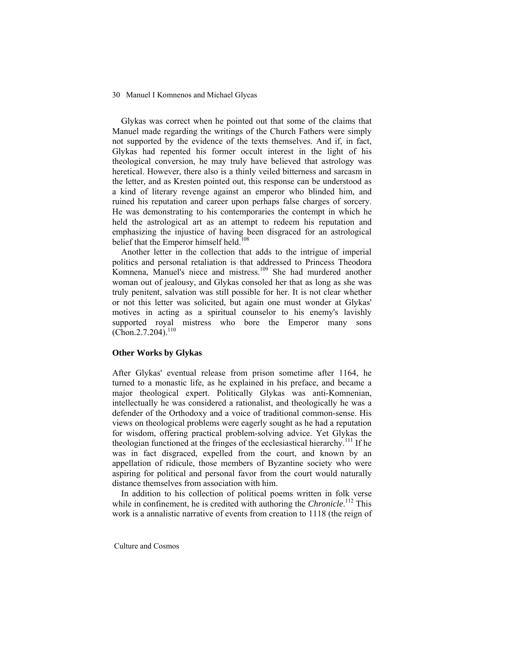Glykas was correct when he pointed out that some of the claims that Manuel made regarding the writings of the Church Fathers were simply not supported by the evidence of the texts themselves. And if, in fact, Glykas had repented his former occult interest in the light of his theological conversion, he may truly have believed that astrology was heretical. However, there also is a thinly veiled bitterness and sarcasm in the letter, and as Kresten pointed out, this response can be understood as a kind of literary revenge against an emperor who blinded him, and ruined his reputation and career upon perhaps false charges of sorcery. He was demonstrating to his contemporaries the contempt in which he held the astrological art as an attempt to redeem his reputation and emphasizing the injustice of having been disgraced for an astrological belief that the Emperor himself held.<sup>108</sup>

 Another letter in the collection that adds to the intrigue of imperial politics and personal retaliation is that addressed to Princess Theodora Komnena, Manuel's niece and mistress.<sup>109</sup> She had murdered another woman out of jealousy, and Glykas consoled her that as long as she was truly penitent, salvation was still possible for her. It is not clear whether or not this letter was solicited, but again one must wonder at Glykas' motives in acting as a spiritual counselor to his enemy's lavishly supported royal mistress who bore the Emperor many sons  $(Chon.2.7.204).$ <sup>110</sup>

#### **Other Works by Glykas**

After Glykas' eventual release from prison sometime after 1164, he turned to a monastic life, as he explained in his preface, and became a major theological expert. Politically Glykas was anti-Komnenian, intellectually he was considered a rationalist, and theologically he was a defender of the Orthodoxy and a voice of traditional common-sense. His views on theological problems were eagerly sought as he had a reputation for wisdom, offering practical problem-solving advice. Yet Glykas the theologian functioned at the fringes of the ecclesiastical hierarchy.<sup>111</sup> If he was in fact disgraced, expelled from the court, and known by an appellation of ridicule, those members of Byzantine society who were aspiring for political and personal favor from the court would naturally distance themselves from association with him.

 In addition to his collection of political poems written in folk verse while in confinement, he is credited with authoring the *Chronicle*.<sup>112</sup> This work is a annalistic narrative of events from creation to 1118 (the reign of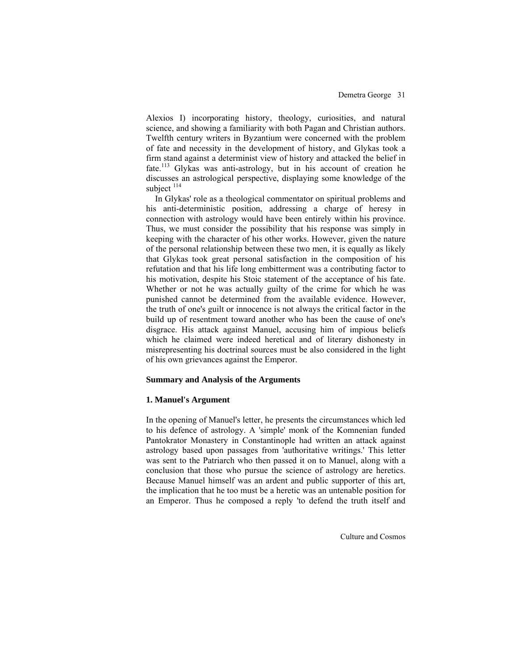Alexios I) incorporating history, theology, curiosities, and natural science, and showing a familiarity with both Pagan and Christian authors. Twelfth century writers in Byzantium were concerned with the problem of fate and necessity in the development of history, and Glykas took a firm stand against a determinist view of history and attacked the belief in fate.113 Glykas was anti-astrology, but in his account of creation he discusses an astrological perspective, displaying some knowledge of the subject <sup>114</sup>

In Glykas' role as a theological commentator on spiritual problems and his anti-deterministic position, addressing a charge of heresy in connection with astrology would have been entirely within his province. Thus, we must consider the possibility that his response was simply in keeping with the character of his other works. However, given the nature of the personal relationship between these two men, it is equally as likely that Glykas took great personal satisfaction in the composition of his refutation and that his life long embitterment was a contributing factor to his motivation, despite his Stoic statement of the acceptance of his fate. Whether or not he was actually guilty of the crime for which he was punished cannot be determined from the available evidence. However, the truth of one's guilt or innocence is not always the critical factor in the build up of resentment toward another who has been the cause of one's disgrace. His attack against Manuel, accusing him of impious beliefs which he claimed were indeed heretical and of literary dishonesty in misrepresenting his doctrinal sources must be also considered in the light of his own grievances against the Emperor.

### **Summary and Analysis of the Arguments**

### **1. Manuel's Argument**

In the opening of Manuel's letter, he presents the circumstances which led to his defence of astrology. A 'simple' monk of the Komnenian funded Pantokrator Monastery in Constantinople had written an attack against astrology based upon passages from 'authoritative writings.' This letter was sent to the Patriarch who then passed it on to Manuel, along with a conclusion that those who pursue the science of astrology are heretics. Because Manuel himself was an ardent and public supporter of this art, the implication that he too must be a heretic was an untenable position for an Emperor. Thus he composed a reply 'to defend the truth itself and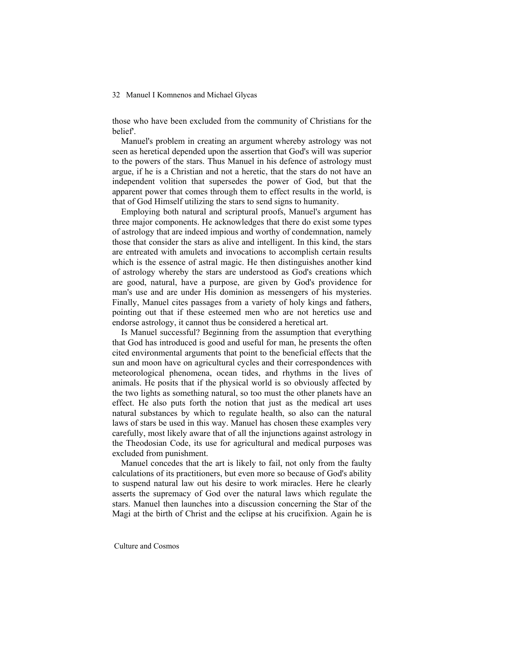those who have been excluded from the community of Christians for the belief'.

 Manuel's problem in creating an argument whereby astrology was not seen as heretical depended upon the assertion that God's will was superior to the powers of the stars. Thus Manuel in his defence of astrology must argue, if he is a Christian and not a heretic, that the stars do not have an independent volition that supersedes the power of God, but that the apparent power that comes through them to effect results in the world, is that of God Himself utilizing the stars to send signs to humanity.

 Employing both natural and scriptural proofs, Manuel's argument has three major components. He acknowledges that there do exist some types of astrology that are indeed impious and worthy of condemnation, namely those that consider the stars as alive and intelligent. In this kind, the stars are entreated with amulets and invocations to accomplish certain results which is the essence of astral magic. He then distinguishes another kind of astrology whereby the stars are understood as God's creations which are good, natural, have a purpose, are given by God's providence for man's use and are under His dominion as messengers of his mysteries. Finally, Manuel cites passages from a variety of holy kings and fathers, pointing out that if these esteemed men who are not heretics use and endorse astrology, it cannot thus be considered a heretical art.

 Is Manuel successful? Beginning from the assumption that everything that God has introduced is good and useful for man, he presents the often cited environmental arguments that point to the beneficial effects that the sun and moon have on agricultural cycles and their correspondences with meteorological phenomena, ocean tides, and rhythms in the lives of animals. He posits that if the physical world is so obviously affected by the two lights as something natural, so too must the other planets have an effect. He also puts forth the notion that just as the medical art uses natural substances by which to regulate health, so also can the natural laws of stars be used in this way. Manuel has chosen these examples very carefully, most likely aware that of all the injunctions against astrology in the Theodosian Code, its use for agricultural and medical purposes was excluded from punishment.

 Manuel concedes that the art is likely to fail, not only from the faulty calculations of its practitioners, but even more so because of God's ability to suspend natural law out his desire to work miracles. Here he clearly asserts the supremacy of God over the natural laws which regulate the stars. Manuel then launches into a discussion concerning the Star of the Magi at the birth of Christ and the eclipse at his crucifixion. Again he is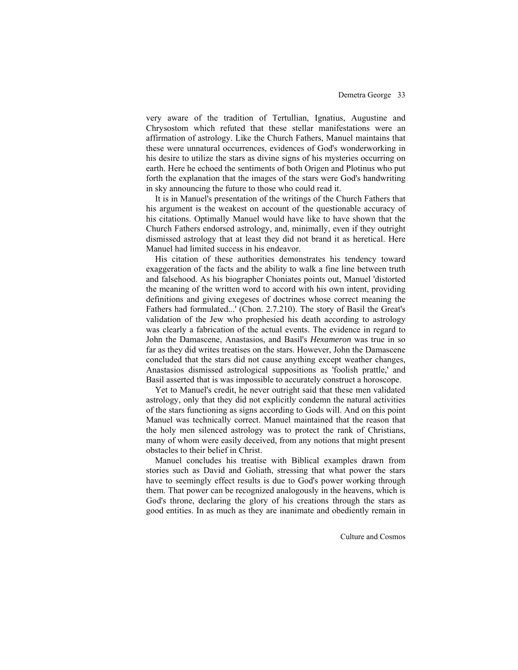very aware of the tradition of Tertullian, Ignatius, Augustine and Chrysostom which refuted that these stellar manifestations were an affirmation of astrology. Like the Church Fathers, Manuel maintains that these were unnatural occurrences, evidences of God's wonderworking in his desire to utilize the stars as divine signs of his mysteries occurring on earth. Here he echoed the sentiments of both Origen and Plotinus who put forth the explanation that the images of the stars were God's handwriting in sky announcing the future to those who could read it.

 It is in Manuel's presentation of the writings of the Church Fathers that his argument is the weakest on account of the questionable accuracy of his citations. Optimally Manuel would have like to have shown that the Church Fathers endorsed astrology, and, minimally, even if they outright dismissed astrology that at least they did not brand it as heretical. Here Manuel had limited success in his endeavor.

 His citation of these authorities demonstrates his tendency toward exaggeration of the facts and the ability to walk a fine line between truth and falsehood. As his biographer Choniates points out, Manuel 'distorted the meaning of the written word to accord with his own intent, providing definitions and giving exegeses of doctrines whose correct meaning the Fathers had formulated...' (Chon. 2.7.210). The story of Basil the Great's validation of the Jew who prophesied his death according to astrology was clearly a fabrication of the actual events. The evidence in regard to John the Damascene, Anastasios, and Basil's *Hexameron* was true in so far as they did writes treatises on the stars. However, John the Damascene concluded that the stars did not cause anything except weather changes, Anastasios dismissed astrological suppositions as 'foolish prattle,' and Basil asserted that is was impossible to accurately construct a horoscope.

Yet to Manuel's credit, he never outright said that these men validated astrology, only that they did not explicitly condemn the natural activities of the stars functioning as signs according to Gods will. And on this point Manuel was technically correct. Manuel maintained that the reason that the holy men silenced astrology was to protect the rank of Christians, many of whom were easily deceived, from any notions that might present obstacles to their belief in Christ.

Manuel concludes his treatise with Biblical examples drawn from stories such as David and Goliath, stressing that what power the stars have to seemingly effect results is due to God's power working through them. That power can be recognized analogously in the heavens, which is God's throne, declaring the glory of his creations through the stars as good entities. In as much as they are inanimate and obediently remain in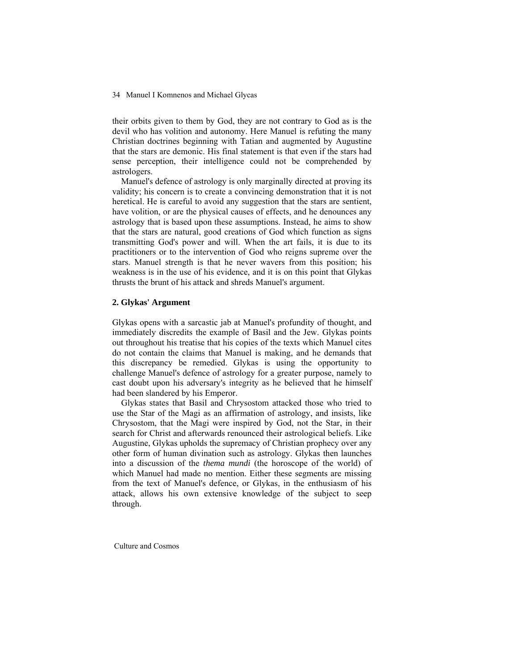their orbits given to them by God, they are not contrary to God as is the devil who has volition and autonomy. Here Manuel is refuting the many Christian doctrines beginning with Tatian and augmented by Augustine that the stars are demonic. His final statement is that even if the stars had sense perception, their intelligence could not be comprehended by astrologers.

Manuel's defence of astrology is only marginally directed at proving its validity; his concern is to create a convincing demonstration that it is not heretical. He is careful to avoid any suggestion that the stars are sentient, have volition, or are the physical causes of effects, and he denounces any astrology that is based upon these assumptions. Instead, he aims to show that the stars are natural, good creations of God which function as signs transmitting God's power and will. When the art fails, it is due to its practitioners or to the intervention of God who reigns supreme over the stars. Manuel strength is that he never wavers from this position; his weakness is in the use of his evidence, and it is on this point that Glykas thrusts the brunt of his attack and shreds Manuel's argument.

# **2. Glykas' Argument**

Glykas opens with a sarcastic jab at Manuel's profundity of thought, and immediately discredits the example of Basil and the Jew. Glykas points out throughout his treatise that his copies of the texts which Manuel cites do not contain the claims that Manuel is making, and he demands that this discrepancy be remedied. Glykas is using the opportunity to challenge Manuel's defence of astrology for a greater purpose, namely to cast doubt upon his adversary's integrity as he believed that he himself had been slandered by his Emperor.

 Glykas states that Basil and Chrysostom attacked those who tried to use the Star of the Magi as an affirmation of astrology, and insists, like Chrysostom, that the Magi were inspired by God, not the Star, in their search for Christ and afterwards renounced their astrological beliefs. Like Augustine, Glykas upholds the supremacy of Christian prophecy over any other form of human divination such as astrology. Glykas then launches into a discussion of the *thema mundi* (the horoscope of the world) of which Manuel had made no mention. Either these segments are missing from the text of Manuel's defence, or Glykas, in the enthusiasm of his attack, allows his own extensive knowledge of the subject to seep through.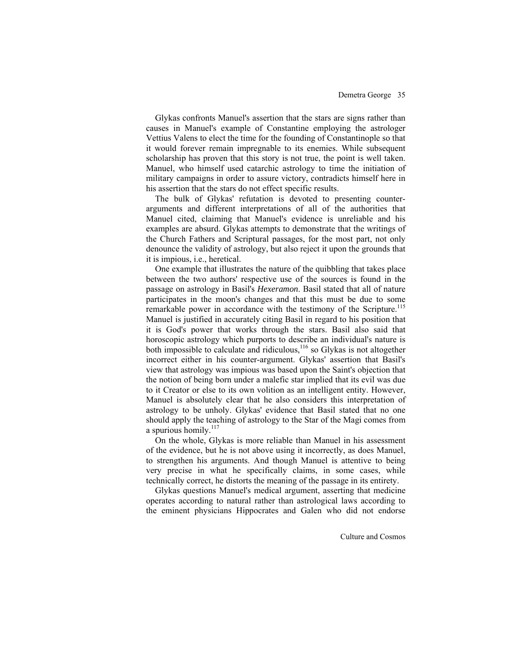Glykas confronts Manuel's assertion that the stars are signs rather than causes in Manuel's example of Constantine employing the astrologer Vettius Valens to elect the time for the founding of Constantinople so that it would forever remain impregnable to its enemies. While subsequent scholarship has proven that this story is not true, the point is well taken. Manuel, who himself used catarchic astrology to time the initiation of military campaigns in order to assure victory, contradicts himself here in his assertion that the stars do not effect specific results.

 The bulk of Glykas' refutation is devoted to presenting counterarguments and different interpretations of all of the authorities that Manuel cited, claiming that Manuel's evidence is unreliable and his examples are absurd. Glykas attempts to demonstrate that the writings of the Church Fathers and Scriptural passages, for the most part, not only denounce the validity of astrology, but also reject it upon the grounds that it is impious, i.e., heretical.

One example that illustrates the nature of the quibbling that takes place between the two authors' respective use of the sources is found in the passage on astrology in Basil's *Hexeramon*. Basil stated that all of nature participates in the moon's changes and that this must be due to some remarkable power in accordance with the testimony of the Scripture.<sup>115</sup> Manuel is justified in accurately citing Basil in regard to his position that it is God's power that works through the stars. Basil also said that horoscopic astrology which purports to describe an individual's nature is both impossible to calculate and ridiculous, $116$  so Glykas is not altogether incorrect either in his counter-argument. Glykas' assertion that Basil's view that astrology was impious was based upon the Saint's objection that the notion of being born under a malefic star implied that its evil was due to it Creator or else to its own volition as an intelligent entity. However, Manuel is absolutely clear that he also considers this interpretation of astrology to be unholy. Glykas' evidence that Basil stated that no one should apply the teaching of astrology to the Star of the Magi comes from a spurious homily.<sup>117</sup>

On the whole, Glykas is more reliable than Manuel in his assessment of the evidence, but he is not above using it incorrectly, as does Manuel, to strengthen his arguments. And though Manuel is attentive to being very precise in what he specifically claims, in some cases, while technically correct, he distorts the meaning of the passage in its entirety.

Glykas questions Manuel's medical argument, asserting that medicine operates according to natural rather than astrological laws according to the eminent physicians Hippocrates and Galen who did not endorse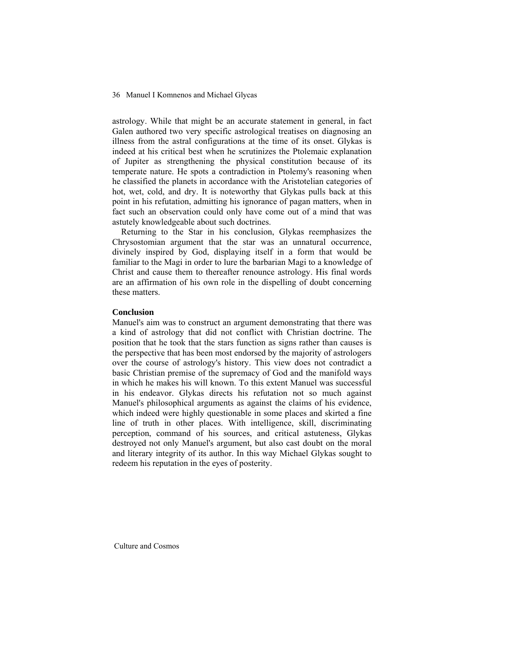astrology. While that might be an accurate statement in general, in fact Galen authored two very specific astrological treatises on diagnosing an illness from the astral configurations at the time of its onset. Glykas is indeed at his critical best when he scrutinizes the Ptolemaic explanation of Jupiter as strengthening the physical constitution because of its temperate nature. He spots a contradiction in Ptolemy's reasoning when he classified the planets in accordance with the Aristotelian categories of hot, wet, cold, and dry. It is noteworthy that Glykas pulls back at this point in his refutation, admitting his ignorance of pagan matters, when in fact such an observation could only have come out of a mind that was astutely knowledgeable about such doctrines.

 Returning to the Star in his conclusion, Glykas reemphasizes the Chrysostomian argument that the star was an unnatural occurrence, divinely inspired by God, displaying itself in a form that would be familiar to the Magi in order to lure the barbarian Magi to a knowledge of Christ and cause them to thereafter renounce astrology. His final words are an affirmation of his own role in the dispelling of doubt concerning these matters.

# **Conclusion**

Manuel's aim was to construct an argument demonstrating that there was a kind of astrology that did not conflict with Christian doctrine. The position that he took that the stars function as signs rather than causes is the perspective that has been most endorsed by the majority of astrologers over the course of astrology's history. This view does not contradict a basic Christian premise of the supremacy of God and the manifold ways in which he makes his will known. To this extent Manuel was successful in his endeavor. Glykas directs his refutation not so much against Manuel's philosophical arguments as against the claims of his evidence, which indeed were highly questionable in some places and skirted a fine line of truth in other places. With intelligence, skill, discriminating perception, command of his sources, and critical astuteness, Glykas destroyed not only Manuel's argument, but also cast doubt on the moral and literary integrity of its author. In this way Michael Glykas sought to redeem his reputation in the eyes of posterity.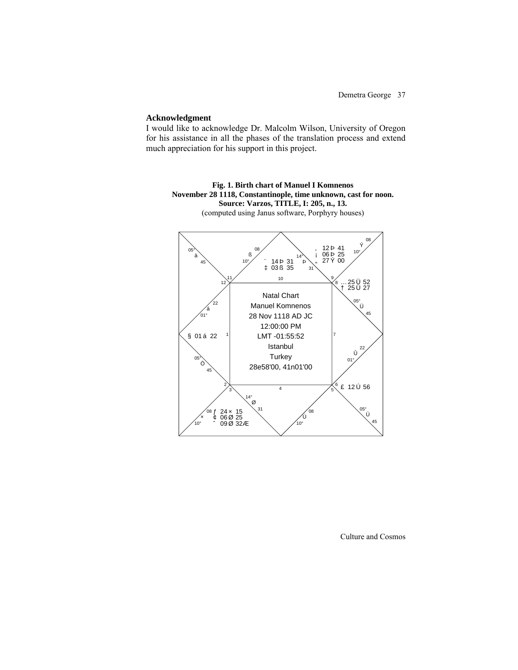### **Acknowledgment**

I would like to acknowledge Dr. Malcolm Wilson, University of Oregon for his assistance in all the phases of the translation process and extend much appreciation for his support in this project.

**Fig. 1. Birth chart of Manuel I Komnenos November 28 1118, Constantinople, time unknown, cast for noon. Source: Varzos, TITLE, I: 205, n., 13.**  (computed using Janus software, Porphyry houses)

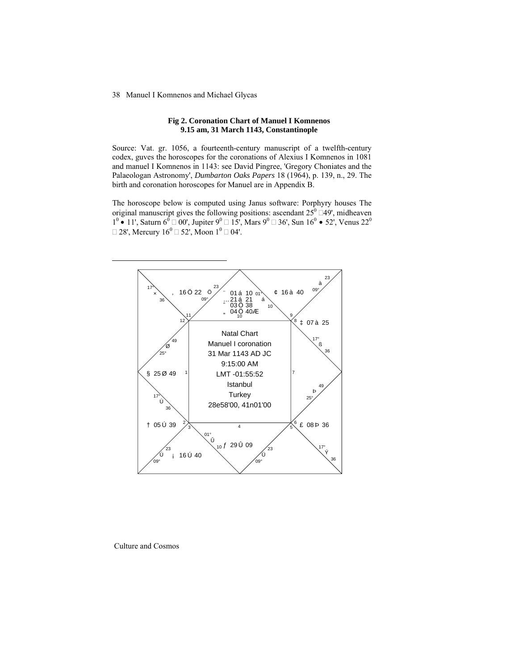## **Fig 2. Coronation Chart of Manuel I Komnenos 9.15 am, 31 March 1143, Constantinople**

Source: Vat. gr. 1056, a fourteenth-century manuscript of a twelfth-century codex, guves the horoscopes for the coronations of Alexius I Komnenos in 1081 and manuel I Komnenos in 1143: see David Pingree, 'Gregory Choniates and the Palaeologan Astronomy', *Dumbarton Oaks Papers* 18 (1964), p. 139, n., 29. The birth and coronation horoscopes for Manuel are in Appendix B.

The horoscope below is computed using Janus software: Porphyry houses The original manuscript gives the following positions: ascendant  $25^{\circ}$   $\Box 49'$ , midheaven  $1^0$  • 11', Saturn 6<sup>0</sup> □ 00', Jupiter 9<sup>0</sup> □ 15', Mars 9<sup>0</sup> □ 36', Sun 16<sup>0</sup> • 52', Venus 22<sup>0</sup>  $\Box$  28', Mercury  $16^0 \Box$  52', Moon  $1^0 \Box$  04'.



Culture and Cosmos

 $\overline{a}$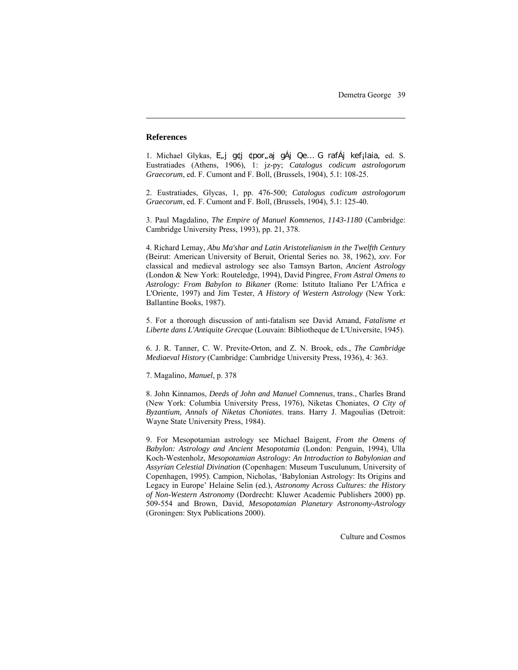### **References**

 $\overline{a}$ 

1. Michael Glykas, E<sub>n</sub>j g¢j ¢por aj gÁj Qe... G rafÁj kef<sub>i</sub>laia, ed. S. Eustratiades (Athens, 1906), 1: jz-py; *Catalogus codicum astrologorum Graecorum*, ed. F. Cumont and F. Boll, (Brussels, 1904), 5.1: 108-25.

2. Eustratiades, Glycas, 1, pp. 476-500; *Catalogus codicum astrologorum Graecorum*, ed. F. Cumont and F. Boll, (Brussels, 1904), 5.1: 125-40.

3. Paul Magdalino, *The Empire of Manuel Komnenos, 1143-1180* (Cambridge: Cambridge University Press, 1993), pp. 21, 378.

4. Richard Lemay, *Abu Ma'shar and Latin Aristotelianism in the Twelfth Century*  (Beirut: American University of Beruit, Oriental Series no. 38, 1962), *xxv*. For classical and medieval astrology see also Tamsyn Barton, *Ancient Astrology* (London & New York: Routeledge, 1994), David Pingree, *From Astral Omens to Astrology: From Babylon to Bikaner* (Rome: Istituto Italiano Per L'Africa e L'Oriente, 1997) and Jim Tester, *A History of Western Astrology* (New York: Ballantine Books, 1987).

5. For a thorough discussion of anti-fatalism see David Amand, *Fatalisme et Liberte dans L'Antiquite Grecque* (Louvain: Bibliotheque de L'Universite, 1945).

6. J. R. Tanner, C. W. Previte-Orton, and Z. N. Brook, eds., *The Cambridge Mediaeval History* (Cambridge: Cambridge University Press, 1936), 4: 363.

7. Magalino, *Manuel*, p. 378

8. John Kinnamos, *Deeds of John and Manuel Comnenus*, trans., Charles Brand (New York: Columbia University Press, 1976), Niketas Choniates, *O City of Byzantium, Annals of Niketas Choniates*. trans. Harry J. Magoulias (Detroit: Wayne State University Press, 1984).

9. For Mesopotamian astrology see Michael Baigent, *From the Omens of Babylon: Astrology and Ancient Mesopotamia* (London: Penguin, 1994), Ulla Koch-Westenholz, *Mesopotamian Astrology: An Introduction to Babylonian and Assyrian Celestial Divination* (Copenhagen: Museum Tusculunum, University of Copenhagen, 1995). Campion, Nicholas, 'Babylonian Astrology: Its Origins and Legacy in Europe' Helaine Selin (ed.), *Astronomy Across Cultures: the History of Non-Western Astronomy* (Dordrecht: Kluwer Academic Publishers 2000) pp. 509-554 and Brown, David, *Mesopotamian Planetary Astronomy-Astrology* (Groningen: Styx Publications 2000).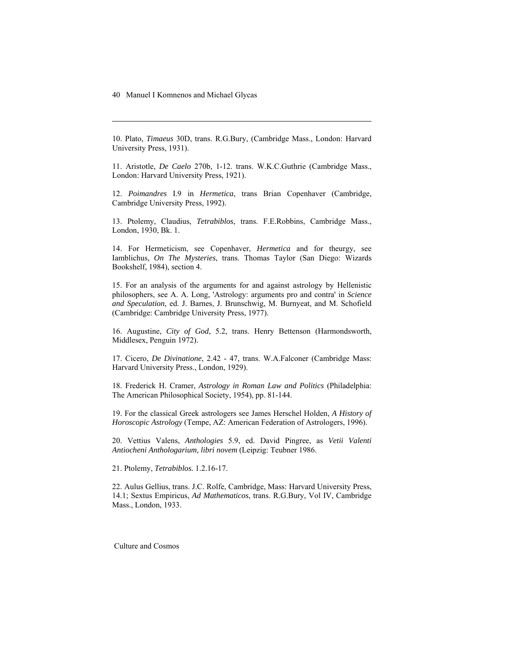-

10. Plato, *Timaeus* 30D, trans. R.G.Bury, (Cambridge Mass., London: Harvard University Press, 1931).

11. Aristotle, *De Caelo* 270b, 1-12. trans. W.K.C.Guthrie (Cambridge Mass., London: Harvard University Press, 1921).

12. *Poimandres* I.9 in *Hermetica*, trans Brian Copenhaver (Cambridge, Cambridge University Press, 1992).

13. Ptolemy, Claudius, *Tetrabiblos*, trans. F.E.Robbins, Cambridge Mass., London, 1930, Bk. 1.

14. For Hermeticism, see Copenhaver, *Hermetica* and for theurgy, see Iamblichus, *On The Mysteries*, trans. Thomas Taylor (San Diego: Wizards Bookshelf, 1984), section 4.

15. For an analysis of the arguments for and against astrology by Hellenistic philosophers, see A. A. Long, 'Astrology: arguments pro and contra' in *Science and Speculation*, ed. J. Barnes, J. Brunschwig, M. Burnyeat, and M. Schofield (Cambridge: Cambridge University Press, 1977).

16. Augustine, *City of God*, 5.2, trans. Henry Bettenson (Harmondsworth, Middlesex, Penguin 1972).

17. Cicero, *De Divinatione*, 2.42 - 47, trans. W.A.Falconer (Cambridge Mass: Harvard University Press., London, 1929).

18. Frederick H. Cramer, *Astrology in Roman Law and Politics* (Philadelphia: The American Philosophical Society, 1954), pp. 81-144.

19. For the classical Greek astrologers see James Herschel Holden, *A History of Horoscopic Astrology* (Tempe, AZ: American Federation of Astrologers, 1996).

20. Vettius Valens, *Anthologies* 5.9, ed. David Pingree, as *Vetii Valenti Antiocheni Anthologarium, libri novem* (Leipzig: Teubner 1986.

21. Ptolemy, *Tetrabiblos.* 1.2.16-17.

22. Aulus Gellius, trans. J.C. Rolfe, Cambridge, Mass: Harvard University Press, 14.1; Sextus Empiricus, *Ad Mathematicos*, trans. R.G.Bury, Vol IV, Cambridge Mass., London, 1933.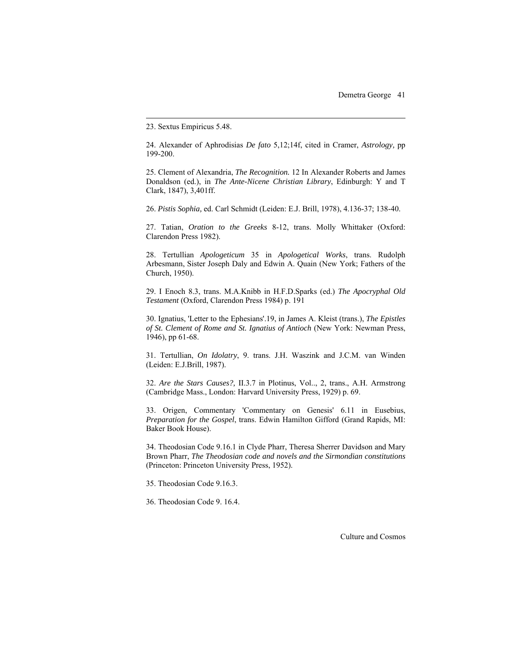23. Sextus Empiricus 5.48.

 $\overline{a}$ 

24. Alexander of Aphrodisias *De fato* 5,12;14f, cited in Cramer, *Astrology,* pp 199-200.

25. Clement of Alexandria, *The Recognition.* 12 In Alexander Roberts and James Donaldson (ed.), in *The Ante-Nicene Christian Library*, Edinburgh: Y and T Clark, 1847), 3,401ff.

26. *Pistis Sophia,* ed. Carl Schmidt (Leiden: E.J. Brill, 1978), 4.136-37; 138-40.

27. Tatian, *Oration to the Greeks* 8-12, trans. Molly Whittaker (Oxford: Clarendon Press 1982).

28. Tertullian *Apologeticum* 35 in *Apologetical Works*, trans. Rudolph Arbesmann, Sister Joseph Daly and Edwin A. Quain (New York; Fathers of the Church, 1950).

29. I Enoch 8.3, trans. M.A.Knibb in H.F.D.Sparks (ed.) *The Apocryphal Old Testament* (Oxford, Clarendon Press 1984) p. 191

30. Ignatius, 'Letter to the Ephesians'.19, in James A. Kleist (trans.), *The Epistles of St. Clement of Rome and St. Ignatius of Antioch* (New York: Newman Press, 1946), pp 61-68.

31. Tertullian, *On Idolatry*, 9. trans. J.H. Waszink and J.C.M. van Winden (Leiden: E.J.Brill, 1987).

32. *Are the Stars Causes?,* II.3.7 in Plotinus, Vol.., 2, trans., A.H. Armstrong (Cambridge Mass., London: Harvard University Press, 1929) p. 69.

33. Origen, Commentary 'Commentary on Genesis' 6.11 in Eusebius, *Preparation for the Gospel*, trans. Edwin Hamilton Gifford (Grand Rapids, MI: Baker Book House).

34. Theodosian Code 9.16.1 in Clyde Pharr, Theresa Sherrer Davidson and Mary Brown Pharr, *The Theodosian code and novels and the Sirmondian constitutions* (Princeton: Princeton University Press, 1952).

35. Theodosian Code 9.16.3.

36. Theodosian Code 9. 16.4.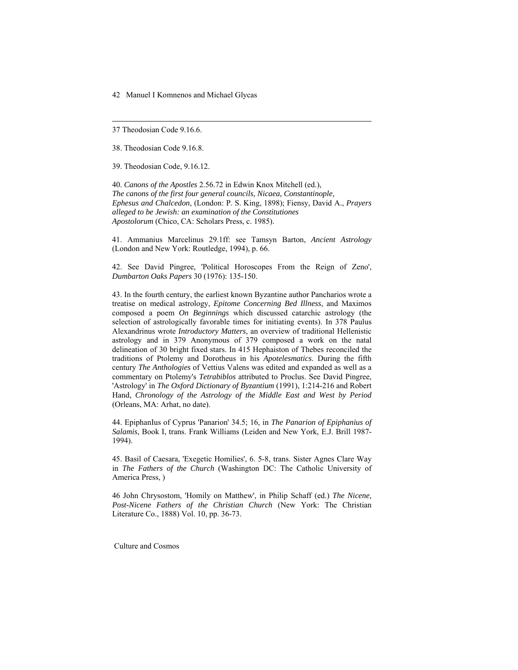37 Theodosian Code 9.16.6.

-

38. Theodosian Code 9.16.8.

39. Theodosian Code, 9.16.12.

40. *Canons of the Apostles* 2.56.72 in Edwin Knox Mitchell (ed.), *The canons of the first four general councils, Nicaea, Constantinople, Ephesus and Chalcedon*, (London: P. S. King, 1898); Fiensy, David A., *Prayers alleged to be Jewish: an examination of the Constitutiones Apostolorum* (Chico, CA: Scholars Press, c. 1985).

41. Ammanius Marcelinus 29.1ff: see Tamsyn Barton, *Ancient Astrology* (London and New York: Routledge, 1994), p. 66.

42. See David Pingree, 'Political Horoscopes From the Reign of Zeno', *Dumbarton Oaks Papers* 30 (1976): 135-150.

43. In the fourth century, the earliest known Byzantine author Pancharios wrote a treatise on medical astrology, *Epitome Concerning Bed Illness*, and Maximos composed a poem *On Beginnings* which discussed catarchic astrology (the selection of astrologically favorable times for initiating events). In 378 Paulus Alexandrinus wrote *Introductory Matters*, an overview of traditional Hellenistic astrology and in 379 Anonymous of 379 composed a work on the natal delineation of 30 bright fixed stars. In 415 Hephaiston of Thebes reconciled the traditions of Ptolemy and Dorotheus in his *Apotelesmatics*. During the fifth century *The Anthologies* of Vettius Valens was edited and expanded as well as a commentary on Ptolemy's *Tetrabiblos* attributed to Proclus. See David Pingree, 'Astrology' in *The Oxford Dictionary of Byzantium* (1991), 1:214-216 and Robert Hand, *Chronology of the Astrology of the Middle East and West by Period* (Orleans, MA: Arhat, no date).

44. EpiphanIus of Cyprus 'Panarion' 34.5; 16, in *The Panarion of Epiphanius of Salamis*, Book I, trans. Frank Williams (Leiden and New York, E.J. Brill 1987- 1994).

45. Basil of Caesara, 'Exegetic Homilies', 6. 5-8, trans. Sister Agnes Clare Way in *The Fathers of the Church* (Washington DC: The Catholic University of America Press, )

46 John Chrysostom, 'Homily on Matthew', in Philip Schaff (ed.) *The Nicene, Post-Nicene Fathers of the Christian Church* (New York: The Christian Literature Co., 1888) Vol. 10, pp. 36-73.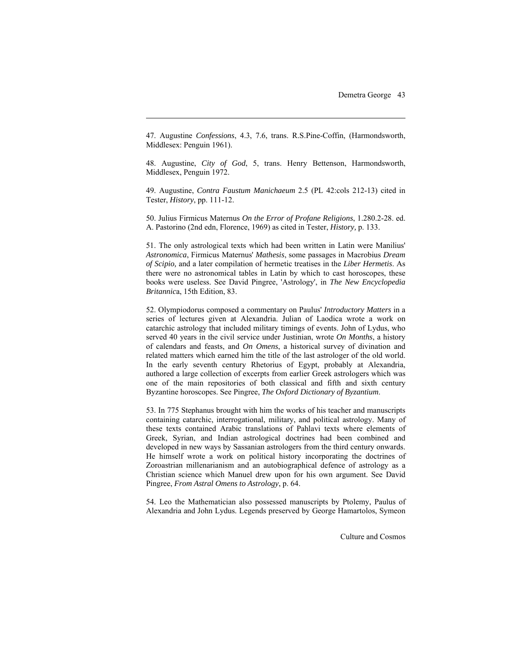47. Augustine *Confessions*, 4.3, 7.6, trans. R.S.Pine-Coffin, (Harmondsworth, Middlesex: Penguin 1961).

 $\overline{a}$ 

48. Augustine, *City of God*, 5, trans. Henry Bettenson, Harmondsworth, Middlesex, Penguin 1972.

49. Augustine, *Contra Faustum Manichaeum* 2.5 (PL 42:cols 212-13) cited in Tester, *History*, pp. 111-12.

50. Julius Firmicus Maternus *On the Error of Profane Religions*, 1.280.2-28. ed. A. Pastorino (2nd edn, Florence, 1969) as cited in Tester, *History,* p. 133.

51. The only astrological texts which had been written in Latin were Manilius' *Astronomica*, Firmicus Maternus' *Mathesis*, some passages in Macrobius *Dream of Scipio,* and a later compilation of hermetic treatises in the *Liber Hermetis*. As there were no astronomical tables in Latin by which to cast horoscopes, these books were useless. See David Pingree, 'Astrology', in *The New Encyclopedia Britannic*a, 15th Edition, 83.

52. Olympiodorus composed a commentary on Paulus' *Introductory Matters* in a series of lectures given at Alexandria. Julian of Laodica wrote a work on catarchic astrology that included military timings of events. John of Lydus, who served 40 years in the civil service under Justinian, wrote *On Months*, a history of calendars and feasts, and *On Omens*, a historical survey of divination and related matters which earned him the title of the last astrologer of the old world. In the early seventh century Rhetorius of Egypt, probably at Alexandria, authored a large collection of excerpts from earlier Greek astrologers which was one of the main repositories of both classical and fifth and sixth century Byzantine horoscopes. See Pingree, *The Oxford Dictionary of Byzantium*.

53. In 775 Stephanus brought with him the works of his teacher and manuscripts containing catarchic, interrogational, military, and political astrology. Many of these texts contained Arabic translations of Pahlavi texts where elements of Greek, Syrian, and Indian astrological doctrines had been combined and developed in new ways by Sassanian astrologers from the third century onwards. He himself wrote a work on political history incorporating the doctrines of Zoroastrian millenarianism and an autobiographical defence of astrology as a Christian science which Manuel drew upon for his own argument. See David Pingree, *From Astral Omens to Astrology*, p. 64.

54. Leo the Mathematician also possessed manuscripts by Ptolemy, Paulus of Alexandria and John Lydus. Legends preserved by George Hamartolos, Symeon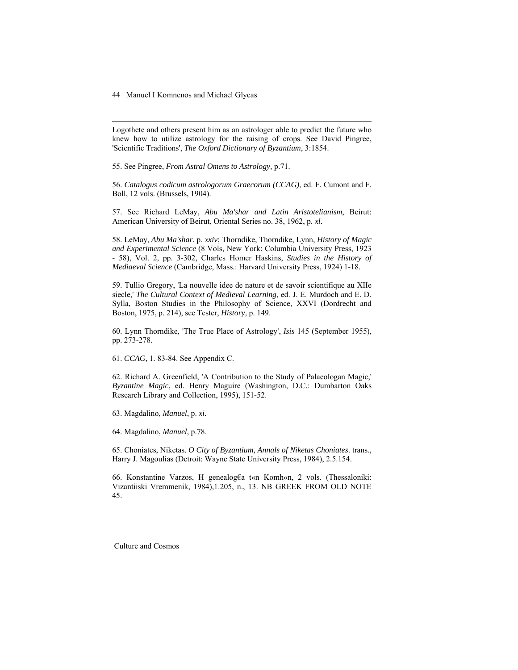-

Logothete and others present him as an astrologer able to predict the future who knew how to utilize astrology for the raising of crops. See David Pingree, 'Scientific Traditions', *The Oxford Dictionary of Byzantium*, 3:1854.

55. See Pingree, *From Astral Omens to Astrology,* p.71.

56. *Catalogus codicum astrologorum Graecorum (CCAG)*, ed. F. Cumont and F. Boll, 12 vols. (Brussels, 1904).

57. See Richard LeMay, *Abu Ma'shar and Latin Aristotelianism*, Beirut: American University of Beirut, Oriental Series no. 38, 1962, p. *xl*.

58. LeMay, *Abu Ma'shar*. p. *xxiv*; Thorndike, Thorndike, Lynn, *History of Magic and Experimental Science* (8 Vols, New York: Columbia University Press, 1923 - 58), Vol. 2, pp. 3-302, Charles Homer Haskins, *Studies in the History of Mediaeval Science* (Cambridge, Mass.: Harvard University Press, 1924) 1-18.

59. Tullio Gregory, 'La nouvelle idee de nature et de savoir scientifique au XIIe siecle,' *The Cultural Context of Medieval Learning*, ed. J. E. Murdoch and E. D. Sylla, Boston Studies in the Philosophy of Science, XXVI (Dordrecht and Boston, 1975, p. 214), see Tester, *History*, p. 149.

60. Lynn Thorndike, 'The True Place of Astrology', *Isis* 145 (September 1955), pp. 273-278.

61. *CCAG*, 1. 83-84. See Appendix C.

62. Richard A. Greenfield, 'A Contribution to the Study of Palaeologan Magic,' *Byzantine Magic*, ed. Henry Maguire (Washington, D.C.: Dumbarton Oaks Research Library and Collection, 1995), 151-52.

63. Magdalino, *Manuel*, p. *xi.*

64. Magdalino, *Manuel*, p.78.

65. Choniates, Niketas. *O City of Byzantium, Annals of Niketas Choniates*. trans., Harry J. Magoulias (Detroit: Wayne State University Press, 1984), 2.5.154.

66. Konstantine Varzos, H genealog€a t«n Komh«n, 2 vols. (Thessaloniki: Vizantiiski Vremmenik, 1984),1.205, n., 13. NB GREEK FROM OLD NOTE 45.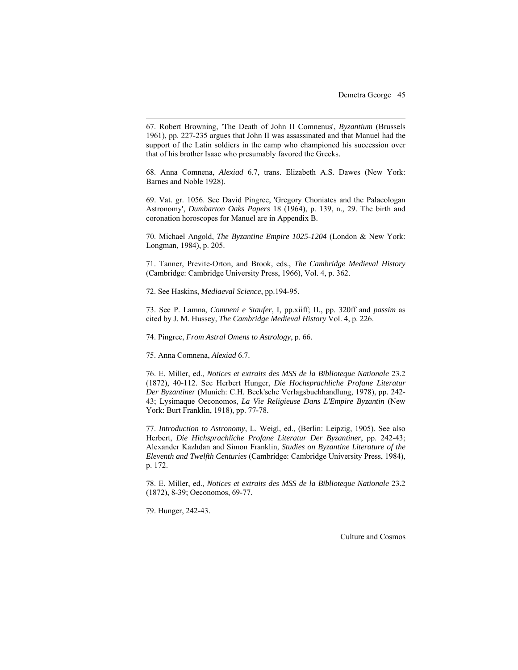67. Robert Browning, 'The Death of John II Comnenus', *Byzantium* (Brussels 1961), pp. 227-235 argues that John II was assassinated and that Manuel had the support of the Latin soldiers in the camp who championed his succession over that of his brother Isaac who presumably favored the Greeks.

68. Anna Comnena, *Alexiad* 6.7, trans. Elizabeth A.S. Dawes (New York: Barnes and Noble 1928).

69. Vat. gr. 1056. See David Pingree, 'Gregory Choniates and the Palaeologan Astronomy', *Dumbarton Oaks Papers* 18 (1964), p. 139, n., 29. The birth and coronation horoscopes for Manuel are in Appendix B.

70. Michael Angold, *The Byzantine Empire 1025-1204* (London & New York: Longman, 1984), p. 205.

71. Tanner, Previte-Orton, and Brook, eds., *The Cambridge Medieval History*  (Cambridge: Cambridge University Press, 1966), Vol. 4, p. 362.

72. See Haskins, *Mediaeval Science*, pp.194-95.

73. See P. Lamna, *Comneni e Staufer*, I, pp.xiiff; II., pp. 320ff and *passim* as cited by J. M. Hussey, *The Cambridge Medieval History* Vol. 4, p. 226.

74. Pingree, *From Astral Omens to Astrology*, p. 66.

75. Anna Comnena, *Alexiad* 6.7.

 $\overline{a}$ 

76. E. Miller, ed., *Notices et extraits des MSS de la Biblioteque Nationale* 23.2 (1872), 40-112. See Herbert Hunger, *Die Hochsprachliche Profane Literatur Der Byzantiner* (Munich: C.H. Beck'sche Verlagsbuchhandlung, 1978), pp. 242- 43; Lysimaque Oeconomos, *La Vie Religieuse Dans L'Empire Byzantin* (New York: Burt Franklin, 1918), pp. 77-78.

77. *Introduction to Astronomy*, L. Weigl, ed., (Berlin: Leipzig, 1905). See also Herbert, *Die Hichsprachliche Profane Literatur Der Byzantiner*, pp. 242-43; Alexander Kazhdan and Simon Franklin, *Studies on Byzantine Literature of the Eleventh and Twelfth Centuries* (Cambridge: Cambridge University Press, 1984), p. 172.

78. E. Miller, ed., *Notices et extraits des MSS de la Biblioteque Nationale* 23.2 (1872), 8-39; Oeconomos, 69-77.

79. Hunger, 242-43.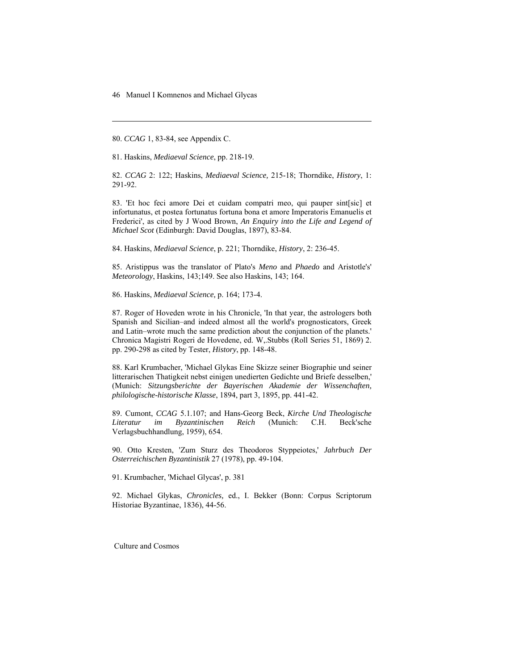80. *CCAG* 1, 83-84, see Appendix C.

-

81. Haskins, *Mediaeval Science*, pp. 218-19.

82. *CCAG* 2: 122; Haskins, *Mediaeval Science,* 215-18; Thorndike, *History*, 1: 291-92.

83. 'Et hoc feci amore Dei et cuidam compatri meo, qui pauper sint[sic] et infortunatus, et postea fortunatus fortuna bona et amore Imperatoris Emanuelis et Frederici', as cited by J Wood Brown, *An Enquiry into the Life and Legend of Michael Scot* (Edinburgh: David Douglas, 1897), 83-84.

84. Haskins, *Mediaeval Science*, p. 221; Thorndike, *History*, 2: 236-45.

85. Aristippus was the translator of Plato's *Meno* and *Phaedo* and Aristotle's' *Meteorology*, Haskins, 143;149. See also Haskins, 143; 164.

86. Haskins, *Mediaeval Science,* p. 164; 173-4.

87. Roger of Hoveden wrote in his Chronicle, 'In that year, the astrologers both Spanish and Sicilian–and indeed almost all the world's prognosticators, Greek and Latin–wrote much the same prediction about the conjunction of the planets.' Chronica Magistri Rogeri de Hovedene, ed. W,.Stubbs (Roll Series 51, 1869) 2. pp. 290-298 as cited by Tester, *History*, pp. 148-48.

88. Karl Krumbacher, 'Michael Glykas Eine Skizze seiner Biographie und seiner litterarischen Thatigkeit nebst einigen unedierten Gedichte und Briefe desselben,' (Munich: *Sitzungsberichte der Bayerischen Akademie der Wissenchaften, philologische-historische Klasse*, 1894, part 3, 1895, pp. 441-42.

89. Cumont, *CCAG* 5.1.107; and Hans-Georg Beck, *Kirche Und Theologische Literatur im Byzantinischen Reich* (Munich: C.H. Beck'sche Verlagsbuchhandlung, 1959), 654.

90. Otto Kresten, 'Zum Sturz des Theodoros Styppeiotes,' *Jahrbuch Der Osterreichischen Byzantinistik* 27 (1978), pp. 49-104.

91. Krumbacher, 'Michael Glycas', p. 381

92. Michael Glykas, *Chronicles,* ed., I. Bekker (Bonn: Corpus Scriptorum Historiae Byzantinae, 1836), 44-56.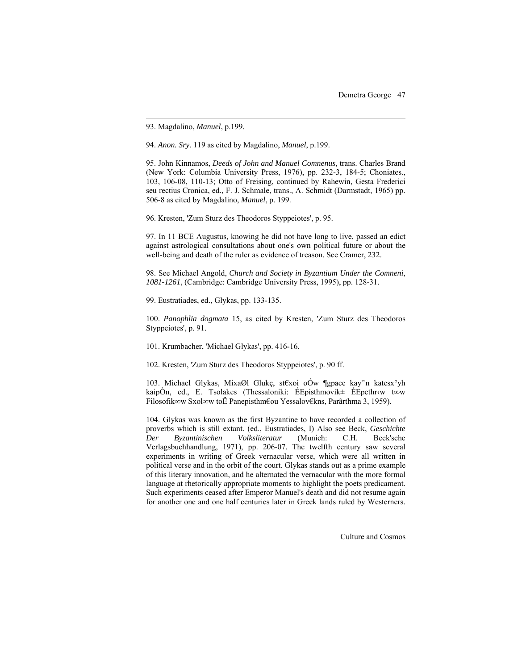93. Magdalino, *Manuel*, p.199.

 $\overline{a}$ 

94. *Anon. Sry*. 119 as cited by Magdalino, *Manuel*, p.199.

95. John Kinnamos, *Deeds of John and Manuel Comnenus*, trans. Charles Brand (New York: Columbia University Press, 1976), pp. 232-3, 184-5; Choniates., 103, 106-08, 110-13; Otto of Freising, continued by Rahewin, Gesta Frederici seu rectius Cronica, ed., F. J. Schmale, trans., A. Schmidt (Darmstadt, 1965) pp. 506-8 as cited by Magdalino, *Manuel*, p. 199.

96. Kresten, 'Zum Sturz des Theodoros Styppeiotes', p. 95.

97. In 11 BCE Augustus, knowing he did not have long to live, passed an edict against astrological consultations about one's own political future or about the well-being and death of the ruler as evidence of treason. See Cramer, 232.

98. See Michael Angold, *Church and Society in Byzantium Under the Comneni*, *1081-1261*, (Cambridge: Cambridge University Press, 1995), pp. 128-31.

99. Eustratiades, ed., Glykas, pp. 133-135.

100. *Panophlia dogmata* 15, as cited by Kresten, 'Zum Sturz des Theodoros Styppeiotes', p. 91.

101. Krumbacher, 'Michael Glykas', pp. 416-16.

102. Kresten, 'Zum Sturz des Theodoros Styppeiotes', p. 90 ff.

103. Michael Glykas, MixaØl Glukç, st€xoi oÓw ¶gpace kay'˘n katesx°yh kaipÒn, ed., E. Tsolakes (Thessaloniki: ÉEpisthmovik± ÉEpethr‹w t∞w Filosofik∞w Sxol∞w toË Panepisthm€ou Yessalov€kns, Parãrthma 3, 1959).

104. Glykas was known as the first Byzantine to have recorded a collection of proverbs which is still extant. (ed., Eustratiades, I) Also see Beck, *Geschichte Der Byzantinischen Volksliteratur* (Munich: C.H. Beck'sche Verlagsbuchhandlung, 1971), pp. 206-07. The twelfth century saw several experiments in writing of Greek vernacular verse, which were all written in political verse and in the orbit of the court. Glykas stands out as a prime example of this literary innovation, and he alternated the vernacular with the more formal language at rhetorically appropriate moments to highlight the poets predicament. Such experiments ceased after Emperor Manuel's death and did not resume again for another one and one half centuries later in Greek lands ruled by Westerners.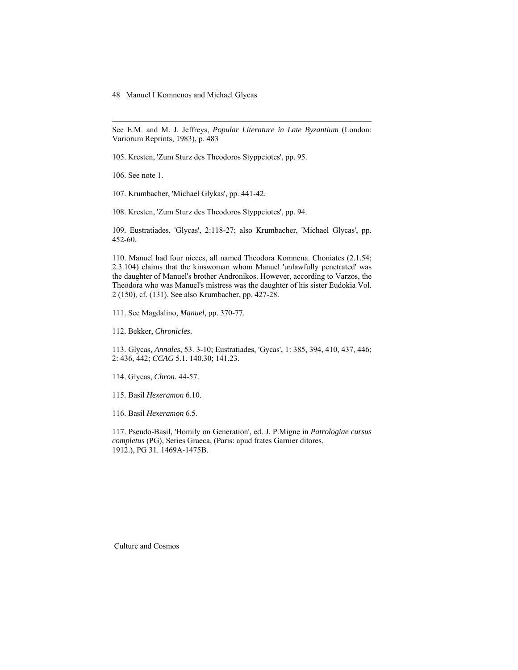#### 48 Manuel I Komnenos and Michael Glycas

See E.M. and M. J. Jeffreys, *Popular Literature in Late Byzantium* (London: Variorum Reprints, 1983), p. 483

105. Kresten, 'Zum Sturz des Theodoros Styppeiotes', pp. 95.

106. See note 1.

-

107. Krumbacher, 'Michael Glykas', pp. 441-42.

108. Kresten, 'Zum Sturz des Theodoros Styppeiotes', pp. 94.

109. Eustratiades, 'Glycas', 2:118-27; also Krumbacher, 'Michael Glycas', pp. 452-60.

110. Manuel had four nieces, all named Theodora Komnena. Choniates (2.1.54; 2.3.104) claims that the kinswoman whom Manuel 'unlawfully penetrated' was the daughter of Manuel's brother Andronikos. However, according to Varzos, the Theodora who was Manuel's mistress was the daughter of his sister Eudokia Vol. 2 (150), cf. (131). See also Krumbacher, pp. 427-28.

111. See Magdalino, *Manuel*, pp. 370-77.

112. Bekker, *Chronicles*.

113. Glycas, *Annales*, 53. 3-10; Eustratiades, 'Gycas', 1: 385, 394, 410, 437, 446; 2: 436, 442; *CCAG* 5.1. 140.30; 141.23.

114. Glycas, *Chron.* 44-57.

115. Basil *Hexeramon* 6.10.

116. Basil *Hexeramon* 6.5.

117. Pseudo-Basil, 'Homily on Generation', ed. J. P.Migne in *Patrologiae cursus completus* (PG), Series Graeca, (Paris: apud frates Garnier ditores, 1912.), PG 31. 1469A-1475B.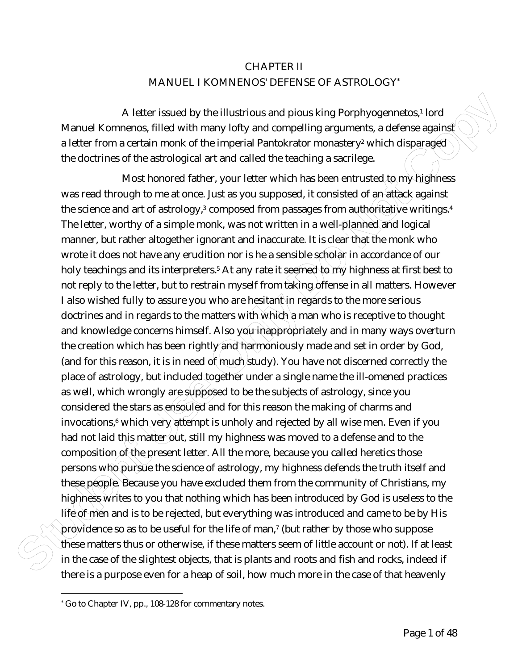# CHAPTER II MANUEL I KOMNENOS' DEFENSE OF ASTROLOGY\*

A letter issued by the illustrious and pious king Porphyogennetos,<sup>1</sup> lord Manuel Komnenos, filled with many lofty and compelling arguments, a defense against a letter from a certain monk of the imperial Pantokrator monastery<sup>2</sup> which disparage $\sigma$ the doctrines of the astrological art and called the teaching a sacrilege.

A letter issued by the illustrious and plous king Porphyogennetos, 1 lord<br>Manuel Komenos filled with many lofty and compelling arguments, a defense again<br>of alter from a certain monito of the imperial Pantokrator monastory Most honored father, your letter which has been entrusted to my highness was read through to me at once. Just as you supposed, it consisted of an attack against the science and art of astrology, $3$  composed from passages from a  $Q$ thoritative writings. $4$ The letter, worthy of a simple monk, was not written in a well-planned and logical manner, but rather altogether ignorant and inaccurate. It is clear that the monk who wrote it does not have any erudition nor is he a sensible scholar in accordance of our holy teachings and its interpreters.<sup>5</sup> At any rate it seemed to my highness at first best to not reply to the letter, but to restrain myself from taking offense in all matters. However I also wished fully to assure you who are hesitant in regards to the more serious doctrines and in regards to the matters with which a man who is receptive to thought and knowledge concerns himself. Also you inappropriately and in many ways overturn the creation which has been rightly and harmoniously made and set in order by God, (and for this reason, it is in need of much study). You have not discerned correctly the place of astrology, but included together under a single name the ill-omened practices as well, which wrongly are supposed to be the subjects of astrology, since you considered the stars as ensouled and for this reason the making of charms and invocations,<sup>6</sup> which very attempt is unholy and rejected by all wise men. Even if you had not laid this matter out, still my highness was moved to a defense and to the composition of the present letter. All the more, because you called heretics those persons who pursue the science of astrology, my highness defends the truth itself and these people. Because you have excluded them from the community of Christians, my highness writes to you that nothing which has been introduced by God is useless to the life of men and is to be rejected, but everything was introduced and came to be by His providence so as to be useful for the life of man,<sup>7</sup> (but rather by those who suppose these matters thus or otherwise, if these matters seem of little account or not). If at least in the case of the slightest objects, that is plants and roots and fish and rocks, indeed if there is a purpose even for a heap of soil, how much more in the case of that heavenly

<u>.</u>

<sup>\*</sup> Go to Chapter IV, pp., 108-128 for commentary notes.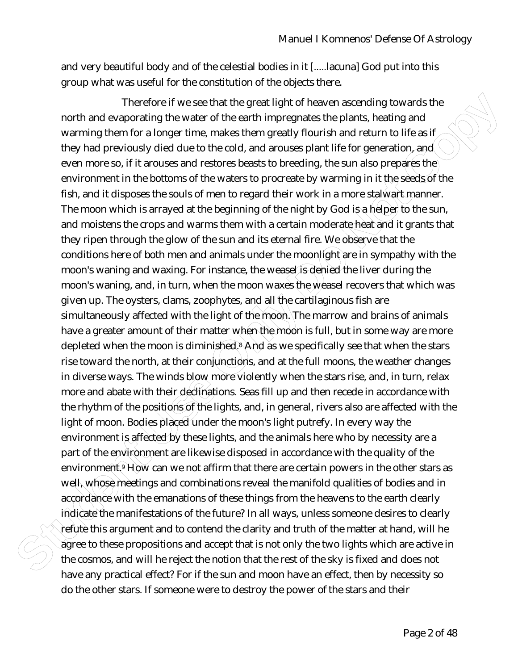and very beautiful body and of the celestial bodies in it [.....lacuna] God put into this group what was useful for the constitution of the objects there.

Therefore if we see that the greating that heaven assemting towards the<br>north and exoperating the waster of the earth immegative the planks, healing and<br>warming them for a longer time, makes them greatly flourish and relut Therefore if we see that the great light of heaven ascending towards the north and evaporating the water of the earth impregnates the plants, heating and warming them for a longer time, makes them greatly flourish and return to life as if they had previously died due to the cold, and arouses plant life for generation, and even more so, if it arouses and restores beasts to breeding, the sun also prepares the environment in the bottoms of the waters to procreate by warming in it the seeds of the fish, and it disposes the souls of men to regard their work in a more stalwart manner. The moon which is arrayed at the beginning of the night by God is a helper to the sun, and moistens the crops and warms them with a certain moderate heat and it grants that they ripen through the glow of the sun and its eternal fire. We observe that the conditions here of both men and animals under the moonlight are in sympathy with the moon's waning and waxing. For instance, the weasel is denied the liver during the moon's waning, and, in turn, when the moon waxes the weasel recovers that which was given up. The oysters, clams, zoophytes, and all the cartilaginous fish are simultaneously affected with the light of the moon. The marrow and brains of animals have a greater amount of their matter when the moon is full, but in some way are more depleted when the moon is diminished.<sup>8</sup> And as we specifically see that when the stars rise toward the north, at their conjunctions, and at the full moons, the weather changes in diverse ways. The winds blow more violently when the stars rise, and, in turn, relax more and abate with their declinations. Seas fill up and then recede in accordance with the rhythm of the positions of the lights, and, in general, rivers also are affected with the light of moon. Bodies placed under the moon's light putrefy. In every way the environment is affected by these lights, and the animals here who by necessity are a part of the environment are likewise disposed in accordance with the quality of the environme $\mathfrak{dt}$ ? How can we not affirm that there are certain powers in the other stars as  $\mathfrak g$ well, whose meetings and combinations reveal the manifold qualities of bodies and in accordance with the emanations of these things from the heavens to the earth clearly indicate the manifestations of the future? In all ways, unless someone desires to clearly refute this argument and to contend the clarity and truth of the matter at hand, will he agree to these propositions and accept that is not only the two lights which are active in the cosmos, and will he reject the notion that the rest of the sky is fixed and does not have any practical effect? For if the sun and moon have an effect, then by necessity so do the other stars. If someone were to destroy the power of the stars and their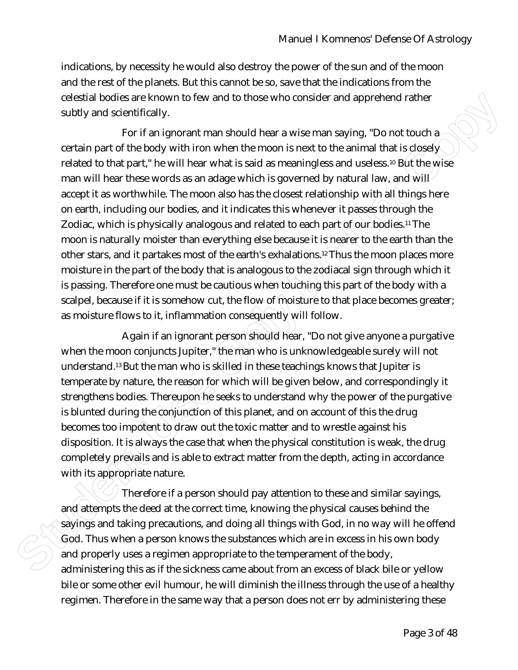indications, by necessity he would also destroy the power of the sun and of the moon and the rest of the planets. But this cannot be so, save that the indications from the celestial bodies are known to few and to those who consider and apprehend rather subtly and scientifically.

colestial bodies are known to fow and to those who consider and apprehend rather<br>subtly and scientifically<br>For if an ignorant man should hear a wise man saying. "Do not touch a<br>certain part of the body with linon when the For if an ignorant man should hear a wise man saying, "Do not touch  $a$ certain part of the body with iron when the moon is next to the animal that is closely related to that part," he will hear what is said as meaningless and useless.<sup>10</sup> But the wise man will hear these words as an adage which is governed by natural law, and will accept it as worthwhile. The moon also has the closest relationship with all things here on earth, including our bodies, and it indicates this whenever it passes through the Zodiac, which is physically analogous and related to each part of our bodies.<sup>11</sup> The moon is naturally moister than everything else because it is nearer to the earth than the other stars, and it partakes most of the earth's exhalations.<sup>12</sup> Thus the moon places more moisture in the part of the body that is analogous to the zodiacal sign through which it is passing. Therefore one must be cautious when touching this part of the body with a scalpel, because if it is somehow cut, the flow of moisture to that place becomes greater; as moisture flows to it, inflammation consequently will follow.

Again if an ignorant person should hear, "Do not give anyone a purgative when the moon conjuncts Jupiter," the man who is unknowledgeable surely will not understand.<sup>13</sup> But the man who is skilled in these teachings knows that Jupiter is temperate by nature, the reason for which will be given below, and correspondingly it strengthens bodies. Thereupon he seeks to understand why the power of the purgative is blunted during the conjunction of this planet, and on account of this the drug becomes too impotent to draw out the toxic matter and to wrestle against his disposition. It is always the case that when the physical constitution is weak, the drug completely prevails and is able to extract matter from the depth, acting in accordance with its appropriate nature.

Therefore if a person should pay attention to these and similar sayings, and attempts the deed at the correct time, knowing the physical causes behind the sayings and taking precautions, and doing all things with God, in no way will he offend God. Thus when a person knows the substances which are in excess in his own body and properly uses a regimen appropriate to the temperament of the body, administering this as if the sickness came about from an excess of black bile or yellow bile or some other evil humour, he will diminish the illness through the use of a healthy regimen. Therefore in the same way that a person does not err by administering these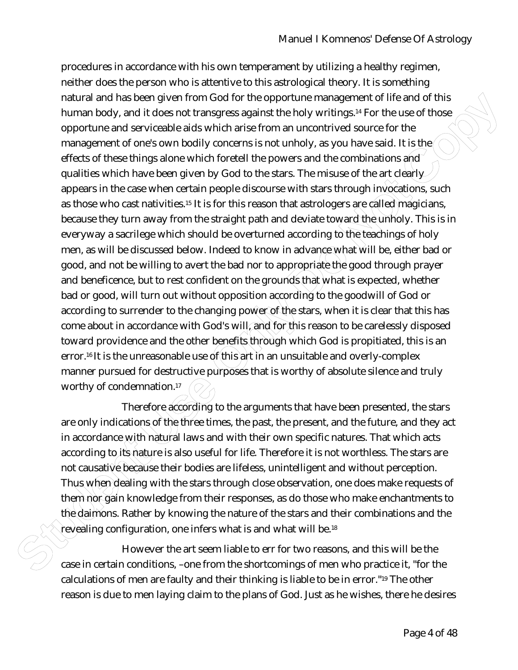natural and has been glowed by the opportune management of life and of this positive many of the comportune and services be a strainegress against the holy wirtings." For the use of those opportune and services be add with procedures in accordance with his own temperament by utilizing a healthy regimen, neither does the person who is attentive to this astrological theory. It is something natural and has been given from God for the opportune management of life and of this human body, and it does not transgress against the holy writings.14 For the use of those opportune and serviceable aids which arise from an uncontrived source for the management of one's own bodily concerns is not unholy, as you have said. It is the effects of these things alone which foretell the powers and the combinations and qualities which have been given by God to the stars. The misuse of the art clearly appears in the case when certain people discourse with stars through invocations, such as those who cast nativities.<sup>15</sup> It is for this reason that astrologers are called magicians, because they turn away from the straight path and deviate toward the unholy. This is in everyway a sacrilege which should be overturned according to the teachings of holy men, as will be discussed below. Indeed to know in advance what will be, either bad or good, and not be willing to avert the bad nor to appropriate the good through prayer and beneficence, but to rest confident on the grounds that what is expected, whether bad or good, will turn out without opposition according to the goodwill of God or according to surrender to the changing power of the stars, when it is clear that this has come about in accordance with God's will, and for this reason to be carelessly disposed toward providence and the other benefits through which God is propitiated, this is an error.<sup>16</sup> It is the unreasonable use of this art in an unsuitable and overly-complex manner pursued for destructive purposes that is worthy of absolute silence and truly worthy of condemnation.<sup>17</sup>

Therefore according to the arguments that have been presented, the stars are only indications of the three times, the past, the present, and the future, and they act in accordance with natural laws and with their own specific natures. That which acts according to its nature is also useful for life. Therefore it is not worthless. The stars are not causative because their bodies are lifeless, unintelligent and without perception. Thus when dealing with the stars through close observation, one does make requests of them not gain knowledge from their responses, as do those who make enchantments to the daimons. Rather by knowing the nature of the stars and their combinations and the revealing configuration, one infers what is and what will be.<sup>18</sup>

However the art seem liable to err for two reasons, and this will be the case in certain conditions, –one from the shortcomings of men who practice it, "for the calculations of men are faulty and their thinking is liable to be in error."19 The other reason is due to men laying claim to the plans of God. Just as he wishes, there he desires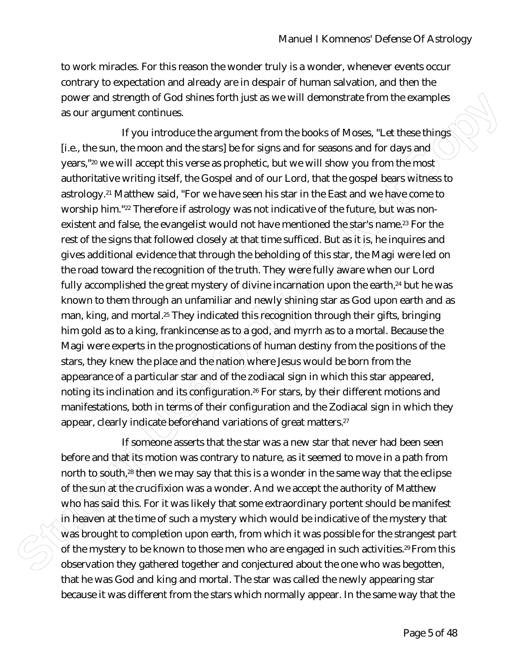to work miracles. For this reason the wonder truly is a wonder, whenever events occur contrary to expectation and already are in despair of human salvation, and then the power and strength of God shines forth just as we will demonstrate from the examples as our argument continues.

power and strength of God binnes forth just as we will demonstrate from the examples<br>as our argument continues.<br>If you introduce the argument from the books of Moses, "Let these things<br>[Le, the sum, the moon and the stars] If you introduce the argument from the books of Moses, "Let these things [i.e., the sun, the moon and the stars] be for signs and for seasons and for days and  $\langle$ years,"<sup>20</sup> we will accept this verse as prophetic, but we will show you from the most authoritative writing itself, the Gospel and of our Lord, that the gospel bears witness to astrology.21 Matthew said, "For we have seen his star in the East and we have come to worship him."<sup>22</sup> Therefore if astrology was not indicative of the future, but was nonexistent and false, the evangelist would not have mentioned the star's name.<sup>23</sup> For the rest of the signs that followed closely at that time sufficed. But as it is, he inquires and gives additional evidence that through the beholding of this star, the Magi were led on the road toward the recognition of the truth. They were fully aware when our Lord fully accomplished the great mystery of divine incarnation upon the earth,<sup>24</sup> but he was known to them through an unfamiliar and newly shining star as God upon earth and as man, king, and mortal.<sup>25</sup> They indicated this recognition through their gifts, bringing him gold as to a king, frankincense as to  $a$  god, and myrrh as to a mortal. Because the Magi were experts in the prognostications of human destiny from the positions of the stars, they knew the place and the nation where Jesus would be born from the appearance of a particular star and of the zodiacal sign in which this star appeared, noting its inclination and its configuration.<sup>26</sup> For stars, by their different motions and manifestations, both in terms of their configuration and the Zodiacal sign in which they appear, clearly indicate beforehand variations of great matters.<sup>27</sup>

If someone asserts that the star was a new star that never had been seen before and that its motion was contrary to nature, as it seemed to move in a path from north to south,<sup>28</sup> then we may say that this is a wonder in the same way that the eclipse of the sun at the crucifixion was a wonder. And we accept the authority of Matthew who has said this. For it was likely that some extraordinary portent should be manifest in heaven at the time of such a mystery which would be indicative of the mystery that was brought to completion upon earth, from which it was possible for the strangest part of the mystery to be known to those men who are engaged in such activities.<sup>29</sup> From this observation they gathered together and conjectured about the one who was begotten, that he was God and king and mortal. The star was called the newly appearing star because it was different from the stars which normally appear. In the same way that the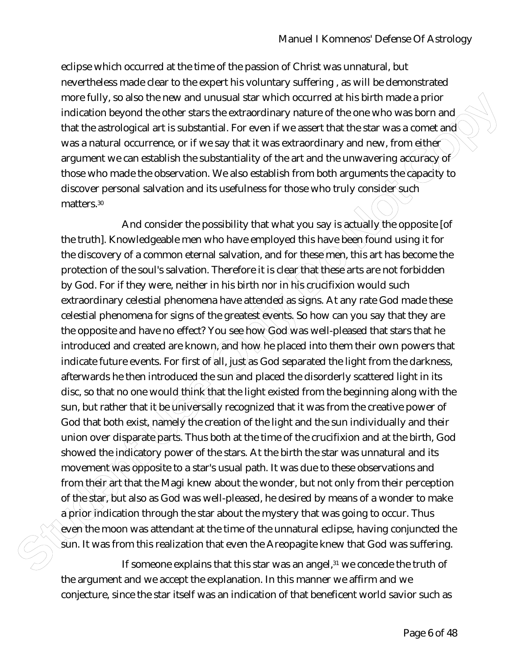eclipse which occurred at the time of the passion of Christ was unnatural, but nevertheless made clear to the expert his voluntary suffering , as will be demonstrated more fully, so also the new and unusual star which occurred at his birth made a prior indication beyond the other stars the extraordinary nature of the one who was born and that the astrological art is substantial. For even if we assert that the star was a comet and was a natural occurrence, or if we say that it was extraordinary and new, from either argument we can establish the substantiality of the art and the unwavering accuracy of those who made the observation. We also establish from both arguments the capacity to discover personal salvation and its usefulness for those who truly consider such matters.<sup>30</sup>

more fully as a bise the reward on the student and with the court of the bise means of the principal and the means of the star was a properties. The cost of two star and the star and the star and the star and the star and And consider the possibility that what you say is actually the opposite [of the truth]. Knowledgeable men who have employed this have been found using it for the discovery of a common eternal salvation, and for these men, this art has become the protection of the soul's salvation. Therefore it is clear that these arts are not forbidden by God. For if they were, neither in his birth nor in his crucifixion would such extraordinary celestial phenomena have attended as signs. At any rate God made these celestial phenomena for signs of the greatest events. So how can you say that they are the opposite and have no effect? You see how God was well-pleased that stars that he introduced and created are known, and how he placed into them their own powers that indicate future events. For first of  $aN$ , just/as God separated the light from the darkness, afterwards he then introduced the sun and placed the disorderly scattered light in its disc, so that no one would think that the light existed from the beginning along with the sun, but rather that it be universally recognized that it was from the creative power of God that both exist, namely the creation of the light and the sun individually and their union over disparate parts. Thus both at the time of the crucifixion and at the birth, God showed the indicatory power of the stars. At the birth the star was unnatural and its movement was opposite to a star's usual path. It was due to these observations and from their art that the Magi knew about the wonder, but not only from their perception of the star, but also as God was well-pleased, he desired by means of a wonder to make a prior indication through the star about the mystery that was going to occur. Thus even the moon was attendant at the time of the unnatural eclipse, having conjuncted the  $\hat{\textbf{s}}$ un. It was from this realization that even the Areopagite knew that God was suffering.

If someone explains that this star was an angel,<sup>31</sup> we concede the truth of the argument and we accept the explanation. In this manner we affirm and we conjecture, since the star itself was an indication of that beneficent world savior such as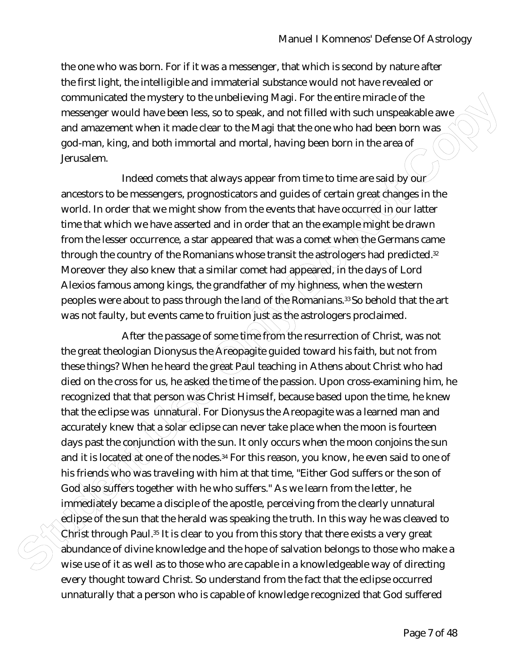the one who was born. For if it was a messenger, that which is second by nature after the first light, the intelligible and immaterial substance would not have revealed or communicated the mystery to the unbelieving Magi. For the entire miracle of the messenger would have been less, so to speak, and not filled with such unspeakable awe and amazement when it made clear to the Magi that the one who had been born was god-man, king, and both immortal and mortal, having been born in the area of Jerusalem.

Indeed comets that always appear from time to time are said by our ancestors to be messengers, prognosticators and guides of certain great changes in the world. In order that we might show from the events that have occurred in our latter time that which we have asserted and in order that an the example might be drawn from the lesser occurrence, a star appeared that was a comet when the Germans came through the country of the Romanians whose transit the astrologers had predicted.<sup>32</sup> Moreover they also knew that a similar comet had appeared, in the days of Lord Alexios famous among kings, the grandfather of my highness, when the western peoples were about to pass through the land of the Romanians.33 So behold that the art was not faulty, but events came to fruition just as the astrologers proclaimed.

communicated the mystery to the unbelliativity Mag. For the entire miracle of the systems and magninger orould have been kess, as to speak, and not filled with such unspeakable average and amazement when it made clear to t After the passage of some time from the resurrection of Christ, was not the great theologian Dionysus the Areopagite guided toward his faith, but not from these things? When he heard the great Paul teaching in Athens about Christ who had died on the cross for us, he asked the time of the passion. Upon cross-examining him, he recognized that that person was Christ Himself, because based upon the time, he knew that the eclipse was unnatural. For Dionysus the Areopagite was a learned man and accurately knew that a solar eclipse can never take place when the moon is fourteen days past the conjunction with the sun. It only occurs when the moon conjoins the sun and it is located at one of the nodes.<sup>34</sup> For this reason, you know, he even said to one of his friends who was traveling with him at that time, "Either God suffers or the son of God also suffers together with he who suffers." As we learn from the letter, he immediately became a disciple of the apostle, perceiving from the clearly unnatural eclipse of the sun that the herald was speaking the truth. In this way he was cleaved to Christ through Paul.<sup>35</sup> It is clear to you from this story that there exists a very great abundance of divine knowledge and the hope of salvation belongs to those who make a wise use of it as well as to those who are capable in a knowledgeable way of directing every thought toward Christ. So understand from the fact that the eclipse occurred unnaturally that a person who is capable of knowledge recognized that God suffered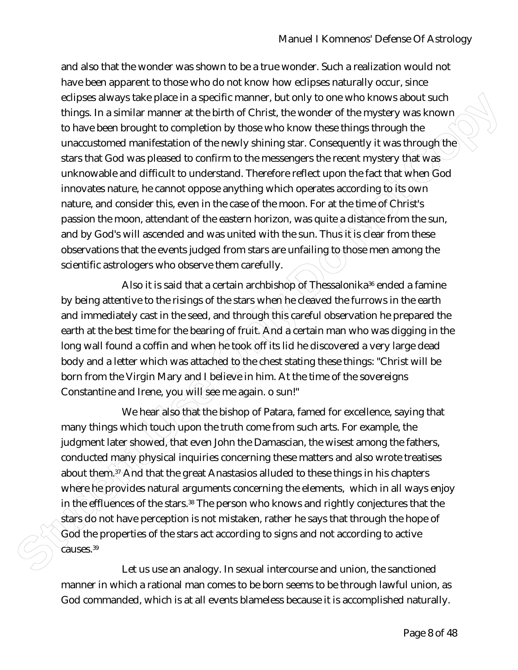clipses alway state place in a specific manner, but only one who knows about such that the place in a system of the mystery was known<br>to have been brought to completion by those who know these things firrough the<br>unactisto and also that the wonder was shown to be a true wonder. Such a realization would not have been apparent to those who do not know how eclipses naturally occur, since eclipses always take place in a specific manner, but only to one who knows about such things. In a similar manner at the birth of Christ, the wonder of the mystery was known to have been brought to completion by those who know these things through the unaccustomed manifestation of the newly shining star. Consequently it was through the stars that God was pleased to confirm to the messengers the recent mystery that was unknowable and difficult to understand. Therefore reflect upon the fact that when  $\text{God}$ innovates nature, he cannot oppose anything which operates according to its own nature, and consider this, even in the case of the moon. For at the time of Christ's passion the moon, attendant of the eastern horizon, was quite a distance from the sun, and by God's will ascended and was united with the sun. Thus it is clear from these observations that the events judged from stars are unfailing to those men among the scientific astrologers who observe them carefully.

Also it is said that a certain archbishop of Thessalonika<sup>36</sup> ended a famine by being attentive to the risings of the stars when he cleaved the furrows in the earth and immediately cast in the seed, and through this careful observation he prepared the earth at the best time for the bearing of fruit. And a certain man who was digging in the long wall found a coffin and when he took off its lid he discovered a very large dead body and a letter which was attached to the chest stating these things: "Christ will be born from the Virgin Mary and I believe in him. At the time of the sovereigns Constantine and Irene, you will see me again. o sun!"

We hear also that the bishop of Patara, famed for excellence, saying that many things which touch upon the truth come from such arts. For example, the judgment later showed, that even John the Damascian, the wisest among the fathers, conducted many physical inquiries concerning these matters and also wrote treatises about them. $3^{\circ}$  And that the great Anastasios alluded to these things in his chapters where he provides natural arguments concerning the elements, which in all ways enjoy in the effluences of the stars.38 The person who knows and rightly conjectures that the stars do not have perception is not mistaken, rather he says that through the hope of God the properties of the stars act according to signs and not according to active causes.<sup>39</sup>

Let us use an analogy. In sexual intercourse and union, the sanctioned manner in which a rational man comes to be born seems to be through lawful union, as God commanded, which is at all events blameless because it is accomplished naturally.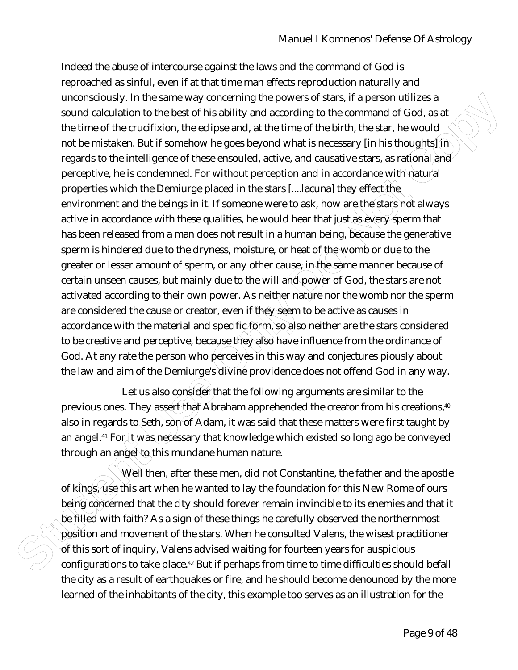unnocedously. In the same way conserting the powers of stars, it is person utilizes a<br>mond calculation to the best of this ability and according to the command of God, as at<br>the time of the crucifixion, the cellpse and, at Indeed the abuse of intercourse against the laws and the command of God is reproached as sinful, even if at that time man effects reproduction naturally and unconsciously. In the same way concerning the powers of stars, if a person utilizes a sound calculation to the best of his ability and according to the command of God, as at the time of the crucifixion, the eclipse and, at the time of the birth, the star, he would not be mistaken. But if somehow he goes beyond what is necessary [in his thoughts] in regards to the intelligence of these ensouled, active, and causative stars, as rational and perceptive, he is condemned. For without perception and in accordance with natural properties which the Demiurge placed in the stars [....lacuna] they effect the environment and the beings in it. If someone were to ask, how are the stars not always active in accordance with these qualities, he would hear that just as every sperm that has been released from a man does not result in a human being, because the generative sperm is hindered due to the dryness, moisture, or heat of the womb or due to the greater or lesser amount of sperm, or any other cause, in the same manner because of certain unseen causes, but mainly due to the will and power of God, the stars are not activated according to their own power. As neither nature nor the womb nor the sperm are considered the cause or creator, even if they seem to be active as causes in accordance with the material and specific form, so also neither are the stars considered to be creative and perceptive, because they also have influence from the ordinance of God. At any rate the person who perceives in this way and conjectures piously about the law and aim of the Demiurge's divine providence does not offend God in any way.

Let us also consider that the following arguments are similar to the previous ones. They assert that Abraham apprehended the creator from his creations,<sup>40</sup> also in regards to Seth, son of Adam, it was said that these matters were first taught by an angel.<sup>41</sup> For it was necessary that knowledge which existed so long ago be conveyed through an angel to this mundane human nature.

Well then, after these men, did not Constantine, the father and the apostle of kings, use this art when he wanted to lay the foundation for this New Rome of ours being concerned that the city should forever remain invincible to its enemies and that it be filled with faith? As a sign of these things he carefully observed the northernmost position and movement of the stars. When he consulted Valens, the wisest practitioner of this sort of inquiry, Valens advised waiting for fourteen years for auspicious configurations to take place.42 But if perhaps from time to time difficulties should befall the city as a result of earthquakes or fire, and he should become denounced by the more learned of the inhabitants of the city, this example too serves as an illustration for the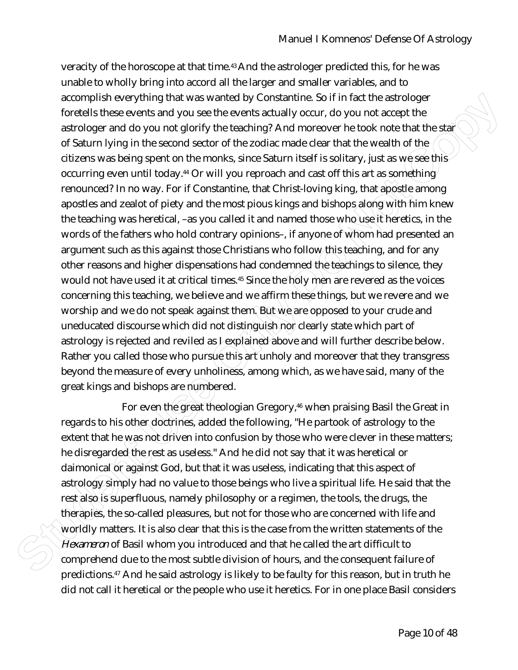accomplish encorphign that was worsed by Constantine. So if in fact the astrology is the configuration of the second structure of the configuration of the second structure of structure in the configuration of the second st veracity of the horoscope at that time.<sup>43</sup> And the astrologer predicted this, for he was unable to wholly bring into accord all the larger and smaller variables, and to accomplish everything that was wanted by Constantine. So if in fact the astrologer foretells these events and you see the events actually occur, do you not accept the astrologer and do you not glorify the teaching? And moreover he took note that the star of Saturn lying in the second sector of the zodiac made clear that the wealth of the citizens was being spent on the monks, since Saturn itself is solitary, just as we see this occurring even until today.<sup>44</sup> Or will you reproach and cast off this art as something renounced? In no way. For if Constantine, that Christ-loving king, that apostle among apostles and zealot of piety and the most pious kings and bishops along with him knew the teaching was heretical, –as you called it and named those who use it heretics, in the words of the fathers who hold contrary opinions-, if anyone of whom had presented an argument such as this against those Christians who follow this teaching, and for any other reasons and higher dispensations had condemned the teachings to silence, they would not have used it at critical times.<sup>45</sup> Since the holy men are revered as the voices concerning this teaching, we believe and we affirm these things, but we revere and we worship and we do not speak against them. But we are opposed to your crude and uneducated discourse which did not distinguish nor clearly state which part of astrology is rejected and reviled as *I* explained above and will further describe below. Rather you called those who pursue this art unholy and moreover that they transgress beyond the measure of every unholiness, among which, as we have said, many of the great kings and bishops are numbered.

For even the great theologian Gregory,<sup>46</sup> when praising Basil the Great in regards to his other doctrines, added the following, "He partook of astrology to the extent that he was not driven into confusion by those who were clever in these matters; he disregarded the rest as useless." And he did not say that it was heretical or daimonical or against God, but that it was useless, indicating that this aspect of astrology simply had no value to those beings who live a spiritual life. He said that the rest also is superfluous, namely philosophy or a regimen, the tools, the drugs, the therapies, the so-called pleasures, but not for those who are concerned with life and worldly matters. It is also clear that this is the case from the written statements of the *Hexameron* of Basil whom you introduced and that he called the art difficult to comprehend due to the most subtle division of hours, and the consequent failure of predictions.47 And he said astrology is likely to be faulty for this reason, but in truth he did not call it heretical or the people who use it heretics. For in one place Basil considers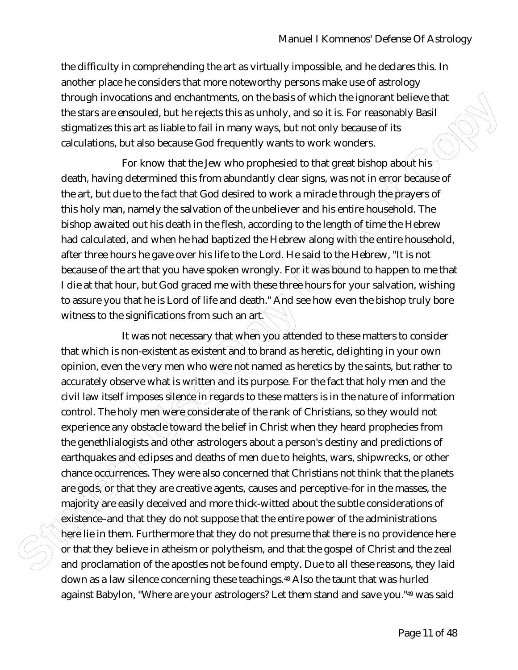the difficulty in comprehending the art as virtually impossible, and he declares this. In another place he considers that more noteworthy persons make use of astrology through invocations and enchantments, on the basis of which the ignorant believe that the stars are ensouled, but he rejects this as unholy, and so it is. For reasonably Basil stigmatizes this art as liable to fail in many ways, but not only because of its calculations, but also because God frequently wants to work wonders.

For know that the Jew who prophesied to that great bishop about his death, having determined this from abundantly clear signs, was not in error because of the art, but due to the fact that God desired to work a miracle through the prayers of this holy man, namely the salvation of the unbeliever and his entire household. The bishop awaited out his death in the flesh, according to the length of time the Hebrew had calculated, and when he had baptized the Hebrew along with the entire household, after three hours he gave over his life to the Lord. He said to the Hebrew, "It is not because of the art that you have spoken wrongly. For it was bound to happen to me that I die at that hour, but God graced me with these three hours for your salvation, wishing to assure you that he is Lord of life and death." And see how even the bishop truly bore witness to the significations from such an art.

through Invocations and enchantments, on the basis of which the Ignorant Eclic vector<br>In the stars are ensound, but he rejects this as unholy, and so it is, For resonably Basil<br>stigmatizes this art as liable to fail in man It was not necessary that when you attended to these matters to consider that which is non-existent as existent and to brand as heretic, delighting in your own opinion, even the very men who were not named as heretics by the saints, but rather to accurately observe what is written and its purpose. For the fact that holy men and the civil law itself imposes silence in regards to these matters is in the nature of information control. The holy men were considerate of the rank of Christians, so they would not experience any obstacle toward the belief in Christ when they heard prophecies from the genethlialogists and other astrologers about a person's destiny and predictions of earthquakes and deaths of men due to heights, wars, shipwrecks, or other chance occurrences. They were also concerned that Christians not think that the planets are gods, or that they are creative agents, causes and perceptive–for in the masses, the majority are easily deceived and more thick-witted about the subtle considerations of existence–and that they do not suppose that the entire power of the administrations here lie in them. Furthermore that they do not presume that there is no providence here or that they believe in atheism or polytheism, and that the gospel of Christ and the zeal and proclamation of the apostles not be found empty. Due to all these reasons, they laid down as a law silence concerning these teachings.48 Also the taunt that was hurled against Babylon, "Where are your astrologers? Let them stand and save you."49 was said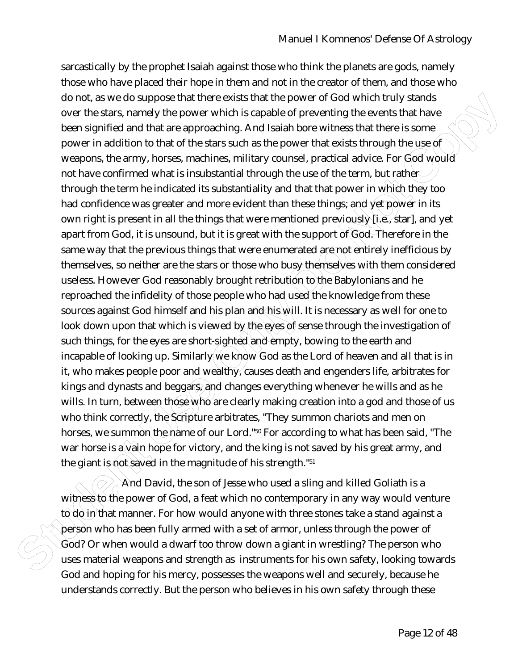do not as we do suppose that there exists that the power of God which ruly stands<br>over the stars, namely the power which is capable of preventing the events that have<br>been signified and that are approaching. And islable bo sarcastically by the prophet Isaiah against those who think the planets are gods, namely those who have placed their hope in them and not in the creator of them, and those who do not, as we do suppose that there exists that the power of God which truly stands over the stars, namely the power which is capable of preventing the events that have been signified and that are approaching. And Isaiah bore witness that there is some power in addition to that of the stars such as the power that exists through the use of weapons, the army, horses, machines, military counsel, practical advice. For God would not have confirmed what is insubstantial through the use of the term, but rather through the term he indicated its substantiality and that that power in which they too had confidence was greater and more evident than these things; and yet power in its own right is present in all the things that were mentioned previously  $\mathcal{N}$ i.e., star], and yet apart from God, it is unsound, but it is great with the support of God. Therefore in the same way that the previous things that were enumerated are not entirely inefficious by themselves, so neither are the stars or those who busy themselves with them considered useless. However God reasonably brought retribution to the Babylonians and he reproached the infidelity of those people who had used the knowledge from these sources against God himself and his plan and this will. It is necessary as well for one to look down upon that which is viewed by the eyes of sense through the investigation of such things, for the eyes are short-sighted and empty, bowing to the earth and incapable of looking up. Similarly we know God as the Lord of heaven and all that is in it, who makes people poor and wealthy, causes death and engenders life, arbitrates for kings and dynasts and beggars, and changes everything whenever he wills and as he wills. In turn, between those who are clearly making creation into a god and those of us who think correctly, the Scripture arbitrates, "They summon chariots and men on horses, we summon the name of our Lord."<sup>50</sup> For according to what has been said, "The war horse is a vain hope for victory, and the king is not saved by his great army, and the giant is not saved in the magnitude of his strength."<sup>51</sup>

And David, the son of Jesse who used a sling and killed Goliath is a witness to the power of God, a feat which no contemporary in any way would venture to do in that manner. For how would anyone with three stones take a stand against a person who has been fully armed with a set of armor, unless through the power of God? Or when would a dwarf too throw down a giant in wrestling? The person who uses material weapons and strength as instruments for his own safety, looking towards God and hoping for his mercy, possesses the weapons well and securely, because he understands correctly. But the person who believes in his own safety through these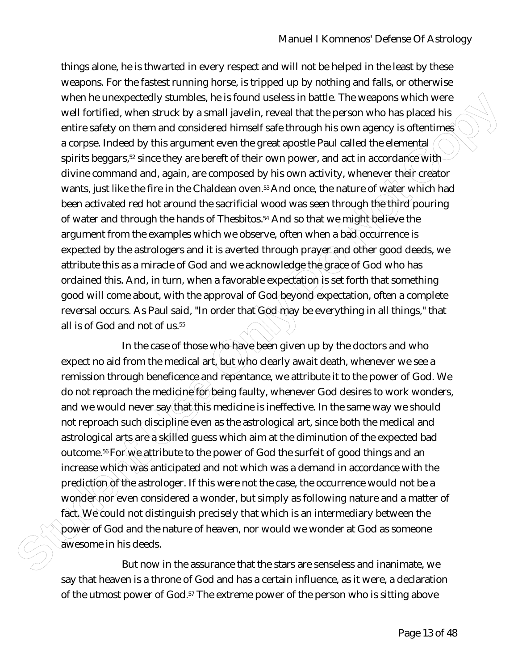when he unexpected yumbolis, he is found usedes in battle. The weapons which were<br>stretched when struck by a small level in, recent that the person who has placed his<br>cette safety on them and considered himself safe throug things alone, he is thwarted in every respect and will not be helped in the least by these weapons. For the fastest running horse, is tripped up by nothing and falls, or otherwise when he unexpectedly stumbles, he is found useless in battle. The weapons which were well fortified, when struck by a small javelin, reveal that the person who has placed his entire safety on them and considered himself safe through his own agency is oftentimes a corpse. Indeed by this argument even the great apostle Paul called the elemental spirits beggars,<sup>52</sup> since they are bereft of their own power, and act in accordance with divine command and, again, are composed by his own activity, whenever their creator wants, just like the fire in the Chaldean oven.<sup>53</sup> And once, the nature of water which had been activated red hot around the sacrificial wood was seen through the third pouring of water and through the hands of Thesbitos.54 And so that we might believe the argument from the examples which we observe, often when a bad occurrence is expected by the astrologers and it is averted through prayer and other good deeds, we attribute this as a miracle of God and we acknowledge the grace of God who has ordained this. And, in turn, when a favorable expectation is set forth that something good will come about, with the approval of God beyond expectation, often a complete reversal occurs. As Paul said, "In order that God may be everything in all things," that all is of God and not of us.<sup>55</sup>

In the case of those who have been given up by the doctors and who expect no aid from the medical art, but who clearly await death, whenever we see a remission through beneficence and repentance, we attribute it to the power of God. We do not reproach the medicine for being faulty, whenever God desires to work wonders, and we would never say that this medicine is ineffective. In the same way we should not reproach such discipline even as the astrological art, since both the medical and astrological arts are a skilled guess which aim at the diminution of the expected bad outcome.<sup>56</sup> For we attribute to the power of God the surfeit of good things and an increase which was anticipated and not which was a demand in accordance with the prediction of the astrologer. If this were not the case, the occurrence would not be a wonder nor even considered a wonder, but simply as following nature and a matter of fact. We could not distinguish precisely that which is an intermediary between the power of God and the nature of heaven, nor would we wonder at God as someone awesome in his deeds.

But now in the assurance that the stars are senseless and inanimate, we say that heaven is a throne of God and has a certain influence, as it were, a declaration of the utmost power of God.57 The extreme power of the person who is sitting above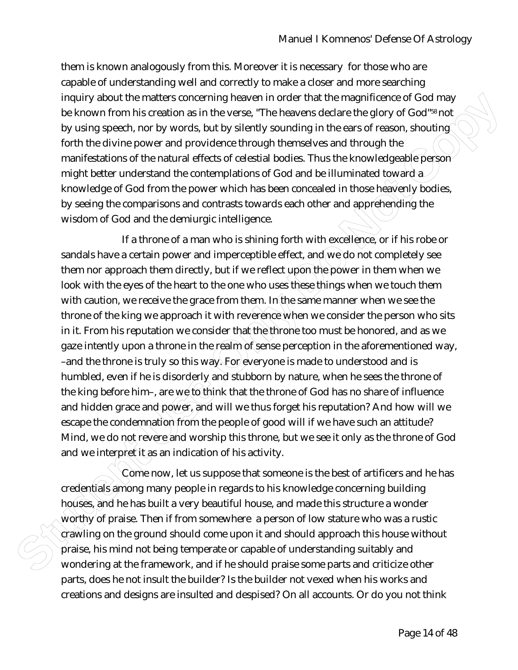them is known analogously from this. Moreover it is necessary for those who are capable of understanding well and correctly to make a closer and more searching inquiry about the matters concerning heaven in order that the magnificence of God may be known from his creation as in the verse, "The heavens declare the glory of God"58 not by using speech, nor by words, but by silently sounding in the ears of reason, shouting forth the divine power and providence through themselves and through the manifestations of the natural effects of celestial bodies. Thus the knowledgeable person might better understand the contemplations of God and be illuminated toward a knowledge of God from the power which has been concealed in those heavenly bodies, by seeing the comparisons and contrasts towards each other and apprehending the wisdom of God and the demiurgic intelligence.

Inquiry about the matter sonecrafting heaven in order that the magnificence of God may<br>by tsiing secestive parameterism control in the search and the search and the search and the search in the diving poses of reasons, sho If a throne of a man who is shining forth with excellence, or if his robe or sandals have a certain power and imperceptible effect, and we do not completely see them nor approach them directly, but if we reflect upon the power in them when we look with the eyes of the heart to the one who uses these things when we touch them with caution, we receive the grace from them. In the same manner when we see the throne of the king we approach it with reverence when we consider the person who sits in it. From his reputation we consider that the throne too must be honored, and as we gaze intently upon a throne in the realm of sense perception in the aforementioned way, –and the throne is truly so this way. For everyone is made to understood and is humbled, even if he is disorderly and stubborn by nature, when he sees the throne of the king before him–, are we to think that the throne of God has no share of influence and hidden grace and power, and will we thus forget his reputation? And how will we escape the condemnation from the people of good will if we have such an attitude? Mind, we do not revere and worship this throne, but we see it only as the throne of God and we interpret it as an indication of his activity.

Come now, let us suppose that someone is the best of artificers and he has credentials among many people in regards to his knowledge concerning building houses, and he has built a very beautiful house, and made this structure a wonder worthy of praise. Then if from somewhere a person of low stature who was a rustic crawling on the ground should come upon it and should approach this house without praise, his mind not being temperate or capable of understanding suitably and wondering at the framework, and if he should praise some parts and criticize other parts, does he not insult the builder? Is the builder not vexed when his works and creations and designs are insulted and despised? On all accounts. Or do you not think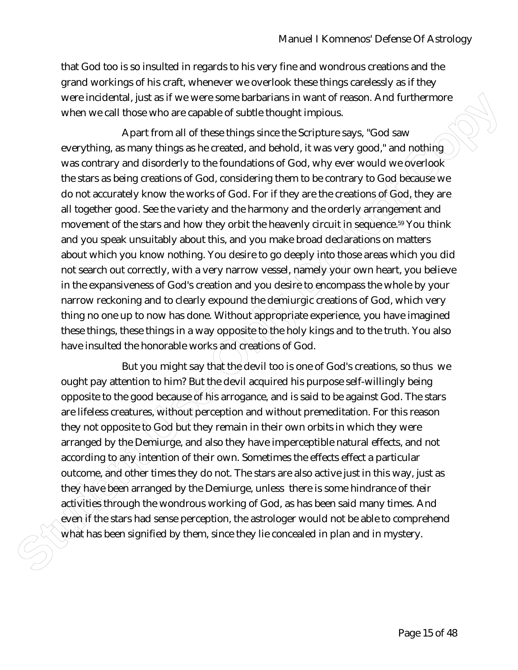that God too is so insulted in regards to his very fine and wondrous creations and the grand workings of his craft, whenever we overlook these things carelessly as if they were incidental, just as if we were some barbarians in want of reason. And furthermore when we call those who are capable of subtle thought impious.

were inclearingly tas if we were some barbons in warn of reason. And furthermore<br>when we call those who are capable of subtle thought implous.<br>Apart from all of these things since the Scripture says, "God sow<br>everyfining a Apart from all of these things since the Scripture says, "God saw everything, as many things as he created, and behold, it was very good," and nothing was contrary and disorderly to the foundations of God, why ever would we overlook the stars as being creations of God, considering them to be contrary to God because we do not accurately know the works of God. For if they are the creations of God, they are all together good. See the variety and the harmony and the orderly arrangement and movement of the stars and how they orbit the heavenly circuit in sequence.<sup>59</sup> You think and you speak unsuitably about this, and you make broad declarations on matters about which you know nothing. You desire to go deeply into those areas which you did not search out correctly, with a very narrow vessel, namely your own heart, you believe in the expansiveness of God's creation and you desire to encompass the whole by your narrow reckoning and to clearly expound the demiurgic creations of God, which very thing no one up to now has done. Without appropriate experience, you have imagined these things, these things in a way opposite to the holy kings and to the truth. You also have insulted the honorable works and creations of God.

But you might say that the devil too is one of God's creations, so thus we ought pay attention to him? But the devil acquired his purpose self-willingly being opposite to the good because of his arrogance, and is said to be against God. The stars are lifeless creatures, without perception and without premeditation. For this reason they not opposite to God but they remain in their own orbits in which they were arranged by the Demiurge, and also they have imperceptible natural effects, and not according to any intention of their own. Sometimes the effects effect a particular outcome, and other times they do not. The stars are also active just in this way, just as they have been arranged by the Demiurge, unless there is some hindrance of their activities through the wondrous working of God, as has been said many times. And even if the stars had sense perception, the astrologer would not be able to comprehend what has been signified by them, since they lie concealed in plan and in mystery.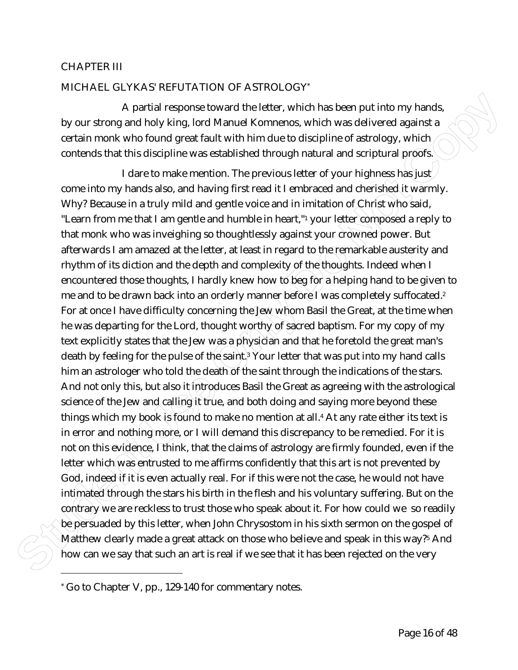### CHAPTER III

## MICHAEL GLYKAS' REFUTATION OF ASTROLOGY\*

A partial response toward the letter, which has been put into my hands, by our strong and holy king, lord Manuel Komnenos, which was delivered against a certain monk who found great fault with him due to discipline of astrology, which contends that this discipline was established through natural and scriptural proofs.

A partial response toward the letter, which has been put into my hands,<br>by our strong and holy king, lord Manuel Kommens, which was delivered againsta<br>certain monk who found great fault with him due to distigline of astrol I dare to make mention. The previous letter of your highness has just come into my hands also, and having first read it I embraced and cherished it warmly. Why? Because in a truly mild and gentle voice and in imitation of Christ who said, "Learn from me that I am gentle and humble in heart,"<sup>1</sup> your letter composed a reply to that monk who was inveighing so thoughtlessly against your crowned power. But afterwards I am amazed at the letter, at least in regard to the remarkable austerity and rhythm of its diction and the depth and complexity of the thoughts. Indeed when I encountered those thoughts, I hardly knew how to beg for a helping hand to be given to me and to be drawn back into an orderly manner before I was completely suffocated.<sup>2</sup> For at once I have difficulty concerning the Jew whom Basil the Great, at the time when he was departing for the Lord, thought worthy of sacred baptism. For my copy of my text explicitly states that the Jew was a physician and that he foretold the great man's death by feeling for the pulse of the saint.} Your letter that was put into my hand calls him an astrologer who told the death of the saint through the indications of the stars. And not only this, but also it introduces Basil the Great as agreeing with the astrological science of the Jew and calling it true, and both doing and saying more beyond these things which my book is found to make no mention at all.<sup>4</sup> At any rate either its text is in error and nothing more, or I will demand this discrepancy to be remedied. For it is not on this evidence, I think, that the claims of astrology are firmly founded, even if the letter which was entrusted to me affirms confidently that this art is not prevented by God, indeed if it is even actually real. For if this were not the case, he would not have intimated through the stars his birth in the flesh and his voluntary suffering. But on the contrary we are reckless to trust those who speak about it. For how could we so readily be persuaded by this letter, when John Chrysostom in his sixth sermon on the gospel of Matthew clearly made a great attack on those who believe and speak in this way?5 And how can we say that such an art is real if we see that it has been rejected on the very

<u>.</u>

<sup>\*</sup> Go to Chapter V, pp., 129-140 for commentary notes.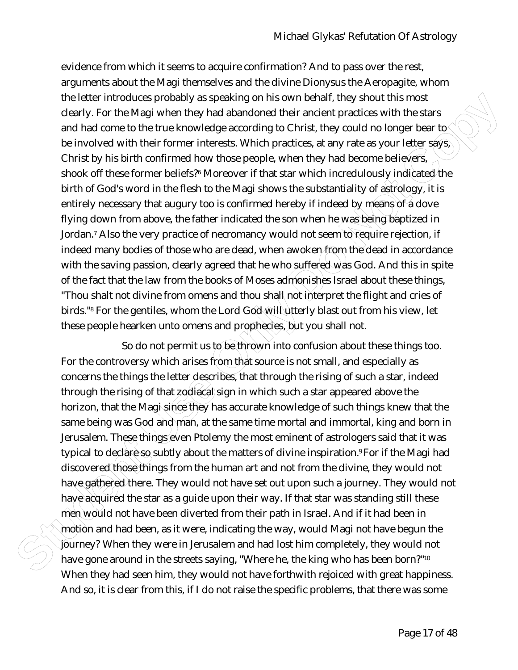the litetre introduces probably as speaking on his own behalt, they shoult this mest<br>clearly. For the Magl when they had abandoned their andent practices with the stars<br>and had come to the true knowledge according to Chris evidence from which it seems to acquire confirmation? And to pass over the rest, arguments about the Magi themselves and the divine Dionysus the Aeropagite, whom the letter introduces probably as speaking on his own behalf, they shout this most clearly. For the Magi when they had abandoned their ancient practices with the stars and had come to the true knowledge according to Christ, they could no longer bear to be involved with their former interests. Which practices, at any rate as your letter says, Christ by his birth confirmed how those people, when they had become believers, shook off these former beliefs?6 Moreover if that star which incredulously indicated/the birth of God's word in the flesh to the Magi shows the substantiality of astrology, it is entirely necessary that augury too is confirmed hereby if indeed by means of a dove flying down from above, the father indicated the son when he was being baptized in Jordan.<sup>7</sup> Also the very practice of necromancy would not seem to require rejection, if indeed many bodies of those who are dead, when awoken from the dead in accordance with the saving passion, clearly agreed that he who suffered was God. And this in spite of the fact that the law from the books of Moses admonishes Israel about these things, "Thou shalt not divine from omens and thou shall not interpret the flight and cries of birds."<sup>8</sup> For the gentiles, whom the Lord God $\mathcal W$ il $\mathcal W$ tterly blast out from his view, let these people hearken unto omens and prophecies, but you shall not.

So do not permit us to be thrown into confusion about these things too. For the controversy which arises from that source is not small, and especially as concerns the things the letter describes, that through the rising of such a star, indeed through the rising of that zodiacal sign in which such a star appeared above the horizon, that the Magi since they has accurate knowledge of such things knew that the same being was God and man, at the same time mortal and immortal, king and born in Jerusalem. These things even Ptolemy the most eminent of astrologers said that it was typical to declare so subtly about the matters of divine inspiration. For if the Magi had discovered those things from the human art and not from the divine, they would not have gathered there. They would not have set out upon such a journey. They would not have acquired the star as a quide upon their way. If that star was standing still these men would not have been diverted from their path in Israel. And if it had been in motion and had been, as it were, indicating the way, would Magi not have begun the journey? When they were in Jerusalem and had lost him completely, they would not have gone around in the streets saying, "Where he, the king who has been born?"<sup>10</sup> When they had seen him, they would not have forthwith rejoiced with great happiness. And so, it is clear from this, if I do not raise the specific problems, that there was some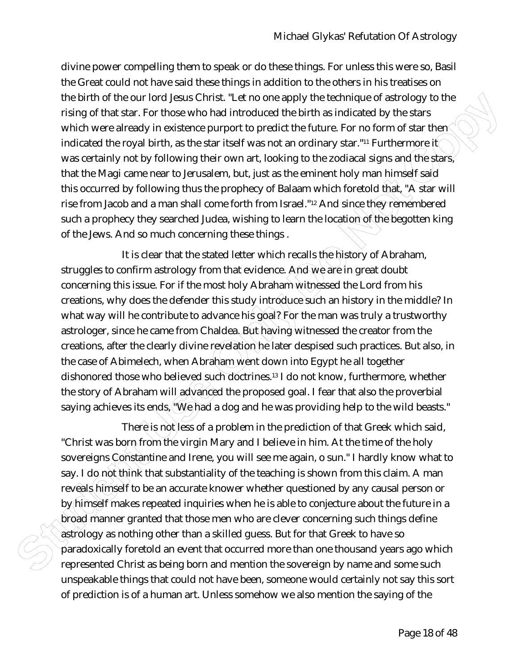divine power compelling them to speak or do these things. For unless this were so, Basil the Great could not have said these things in addition to the others in his treatises on the birth of the our lord Jesus Christ. "Let no one apply the technique of astrology to the rising of that star. For those who had introduced the birth as indicated by the stars which were already in existence purport to predict the future. For no form of star then $\Diamond$ indicated the royal birth, as the star itself was not an ordinary star."<sup>11</sup> Furthermore it was certainly not by following their own art, looking to the zodiacal signs and the stars, that the Magi came near to Jerusalem, but, just as the eminent holy man himself said this occurred by following thus the prophecy of Balaam which foretold that, "A star will rise from Jacob and a man shall come forth from Israel."<sup>12</sup> And since they remembered such a prophecy they searched Judea, wishing to learn the location of the begotten king of the Jews. And so much concerning these things .

the birth of the cour lord Jesus Christi, "Let no one apply the technique of astrology to the<br>tising of that star. For those wind all introduced the birth as indicated by the stars<br>which were already in existence purpor to It is clear that the stated letter which recalls the history of Abraham, struggles to confirm astrology from that evidence. And we are in great doubt concerning this issue. For if the most holy Abraham witnessed the Lord from his creations, why does the defender this study introduce such an history in the middle? In what way will he contribute to advance his goal? For the man was truly a trustworthy astrologer, since he came from Chaldea. But having witnessed the creator from the creations, after the clearly divine revelation he later despised such practices. But also, in the case of Abimelech, when Abraham went down into Egypt he all together dishonored those who believed such doctrines.<sup>13</sup> I do not know, furthermore, whether the story of Abraham will advanced the proposed goal. I fear that also the proverbial saying achieves its ends, " $\widehat{W}$ e had a dog and he was providing help to the wild beasts."

There is not less of a problem in the prediction of that Greek which said, "Christ was born from the virgin Mary and I believe in him. At the time of the holy sovereigns Constantine and Irene, you will see me again, o sun." I hardly know what to say. I do not think that substantiality of the teaching is shown from this claim. A man reveals himself to be an accurate knower whether questioned by any causal person or by himself makes repeated inquiries when he is able to conjecture about the future in a broad manner granted that those men who are clever concerning such things define astrology as nothing other than a skilled guess. But for that Greek to have so paradoxically foretold an event that occurred more than one thousand years ago which represented Christ as being born and mention the sovereign by name and some such unspeakable things that could not have been, someone would certainly not say this sort of prediction is of a human art. Unless somehow we also mention the saying of the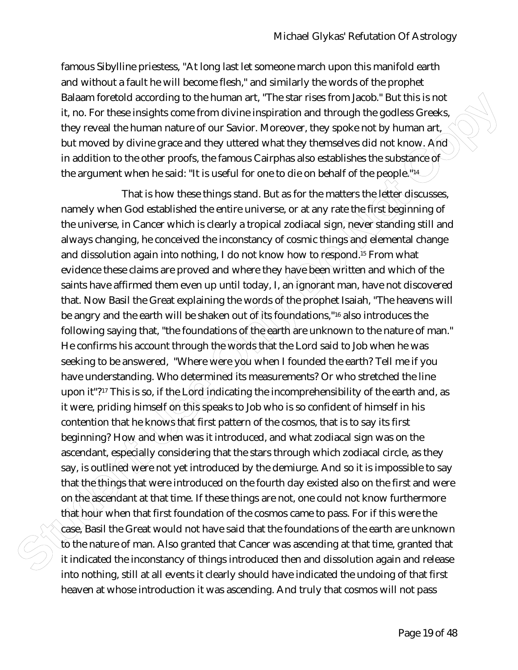famous Sibylline priestess, "At long last let someone march upon this manifold earth and without a fault he will become flesh," and similarly the words of the prophet Balaam foretold according to the human art, "The star rises from Jacob." But this is not it, no. For these insights come from divine inspiration and through the godless Greeks, they reveal the human nature of our Savior. Moreover, they spoke not by human art, but moved by divine grace and they uttered what they themselves did not know. And in addition to the other proofs, the famous Cairphas also establishes the substance of the argument when he said: "It is useful for one to die on behalf of the people." $\mu$ 

Balaam forciold according to the human rat, "The size free free torm Jacob" But this is not the student of the transmission of the transmission of the transmission of the transmission of the student of the student of the s That is how these things stand. But as for the matters the letter discusses, namely when God established the entire universe, or at any rate the first beginning of the universe, in Cancer which is clearly a tropical zodiacal sign, never standing still and always changing, he conceived the inconstancy of cosmic things and elemental change and dissolution again into nothing, I do not know how to respond.<sup>15</sup> From what evidence these claims are proved and where they have been written and which of the saints have affirmed them even up until today, I, an ignorant man, have not discovered that. Now Basil the Great explaining the words of the prophet Isaiah, "The heavens will be angry and the earth will be shaken out of its foundations,"16 also introduces the following saying that, "the foundations of the earth are unknown to the nature of man." He confirms his account through the words that the Lord said to Job when he was seeking to be answered, "Where were you when I founded the earth? Tell me if you have understanding. Who determined its measurements? Or who stretched the line upon it"?<sup>17</sup> This is so, if the  $\text{Log}(i)$  indicating the incomprehensibility of the earth and, as it were, priding himself on this speaks to Job who is so confident of himself in his contention that he knows that first pattern of the cosmos, that is to say its first beginning? How and when was it introduced, and what zodiacal sign was on the ascendant, especially considering that the stars through which zodiacal circle, as they say, is out the dwere not yet introduced by the demiurge. And so it is impossible to say that the things that were introduced on the fourth day existed also on the first and were on the ascendant at that time. If these things are not, one could not know furthermore that hour when that first foundation of the cosmos came to pass. For if this were the case, Basil the Great would not have said that the foundations of the earth are unknown to the nature of man. Also granted that Cancer was ascending at that time, granted that it indicated the inconstancy of things introduced then and dissolution again and release into nothing, still at all events it clearly should have indicated the undoing of that first heaven at whose introduction it was ascending. And truly that cosmos will not pass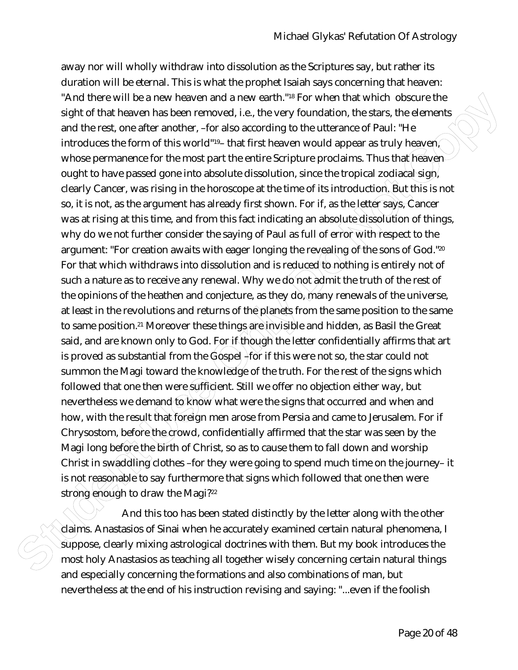**SAnd three could be a new heavenable and we earn h<sup>os</sup> Her When then which observes the therm then the student the first student in the student of the student of the student of the student of the student of the student o** away nor will wholly withdraw into dissolution as the Scriptures say, but rather its duration will be eternal. This is what the prophet Isaiah says concerning that heaven: "And there will be a new heaven and a new earth."18 For when that which obscure the sight of that heaven has been removed, i.e., the very foundation, the stars, the elements and the rest, one after another, –for also according to the utterance of Paul: "He introduces the form of this world"<sup>19</sup>– that first heaven would appear as truly heaven whose permanence for the most part the entire Scripture proclaims. Thus that heavenought to have passed gone into absolute dissolution, since the tropical zodiacal sign, clearly Cancer, was rising in the horoscope at the time of its introduction. But this is not so, it is not, as the argument has already first shown. For if, as the letter says, Cancer was at rising at this time, and from this fact indicating an absolute dissolution of things, why do we not further consider the saying of Paul as full of error with respect to the argument: "For creation awaits with eager longing the revealing of the sons of God."<sup>20</sup> For that which withdraws into dissolution and is reduced to nothing is entirely not of such a nature as to receive any renewal. Why we do not admit the truth of the rest of the opinions of the heathen and conjecture, as they do, many renewals of the universe, at least in the revolutions and returns of the planets from the same position to the same to same position.<sup>21</sup> Moreover these things are invisible and hidden, as Basil the Great said, and are known only to God. For if though the letter confidentially affirms that art is proved as substantial from the  $G$  (spee)  $+$  for if this were not so, the star could not summon the Magi toward the knowledge of the truth. For the rest of the signs which followed that one then were sufficient. Still we offer no objection either way, but nevertheless we demand to know what were the signs that occurred and when and how, with the result that foreign men arose from Persia and came to Jerusalem. For if Chrysostom, before the crowd, confidentially affirmed that the star was seen by the Magi long before the birth of Christ, so as to cause them to fall down and worship Christ in swaddling clothes –for they were going to spend much time on the journey– it is not reasonable to say furthermore that signs which followed that one then were strong enough to draw the Magi?<sup>22</sup>

And this too has been stated distinctly by the letter along with the other claims. Anastasios of Sinai when he accurately examined certain natural phenomena, I suppose, clearly mixing astrological doctrines with them. But my book introduces the most holy Anastasios as teaching all together wisely concerning certain natural things and especially concerning the formations and also combinations of man, but nevertheless at the end of his instruction revising and saying: "...even if the foolish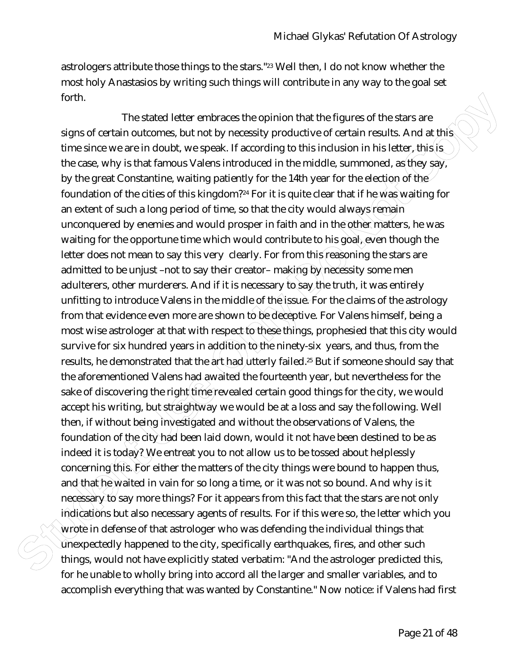astrologers attribute those things to the stars."23 Well then, I do not know whether the most holy Anastasios by writing such things will contribute in any way to the goal set forth.

forth. The stated letter emtraces the opinion that the figures of the stars are<br>signs of certain notcomes, but not by elecessity productive of certain nesults. And at this<br>the since one on do not, we speak. If according to The stated letter embraces the opinion that the figures of the stars are signs of certain outcomes, but not by necessity productive of certain results. And at this time since we are in doubt, we speak. If according to this inclusion in his letter, this is the case, why is that famous Valens introduced in the middle, summoned, as they say, by the great Constantine, waiting patiently for the 14th year for the election of the foundation of the cities of this kingdom?<sup>24</sup> For it is quite clear that if he was waiting for an extent of such a long period of time, so that the city would always remain unconquered by enemies and would prosper in faith and in the other matters, he was waiting for the opportune time which would contribute to his goal, even though the letter does not mean to say this very clearly. For from this reasoning the stars are admitted to be unjust –not to say their creator– making by necessity some men adulterers, other murderers. And if it is necessary to say the truth, it was entirely unfitting to introduce Valens in the middle of the issue. For the claims of the astrology from that evidence even more are shown to be deceptive. For Valens himself, being a most wise astrologer at that with respect to these things, prophesied that this city would survive for six hundred years in addition to the ninety-six years, and thus, from the results, he demonstrated that the art had utterly failed.<sup>25</sup> But if someone should say that the aforementioned Valens had awaited the fourteenth year, but nevertheless for the sake of discovering the right time revealed certain good things for the city, we would accept his writing, but straightway we would be at a loss and say the following. Well then, if without being investigated and without the observations of Valens, the foundation of the city had been laid down, would it not have been destined to be as indeed it is today? We entreat you to not allow us to be tossed about helplessly concerning this. For either the matters of the city things were bound to happen thus, and that he waited in vain for so long a time, or it was not so bound. And why is it necessary to say more things? For it appears from this fact that the stars are not only indications but also necessary agents of results. For if this were so, the letter which you wrote in defense of that astrologer who was defending the individual things that  $\hat{U}$ nexpectedly happened to the city, specifically earthquakes, fires, and other such things, would not have explicitly stated verbatim: "And the astrologer predicted this, for he unable to wholly bring into accord all the larger and smaller variables, and to accomplish everything that was wanted by Constantine." Now notice: if Valens had first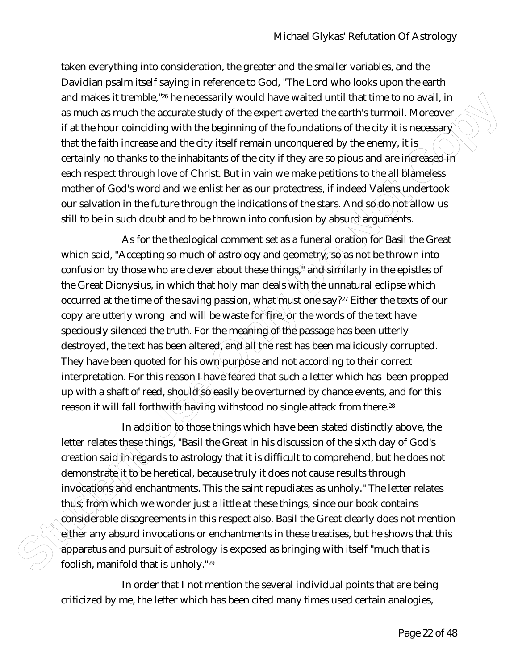taken everything into consideration, the greater and the smaller variables, and the Davidian psalm itself saying in reference to God, "The Lord who looks upon the earth and makes it tremble,"26 he necessarily would have waited until that time to no avail, in as much as much the accurate study of the expert averted the earth's turmoil. Moreover if at the hour coinciding with the beginning of the foundations of the city it is necessar $\hat{\chi}$ that the faith increase and the city itself remain unconquered by the enemy, it is certainly no thanks to the inhabitants of the city if they are so pious and are increased in each respect through love of Christ. But in vain we make petitions to the all blameless mother of God's word and we enlist her as our protectress, if indeed Valens undertook our salvation in the future through the indications of the stars. And so  $d\delta$  not allow us still to be in such doubt and to be thrown into confusion by absurd arguments.

and makes it termble.<sup>3</sup><sup>th</sup> he necessarily would have walted until that there to no ovall. In the student that the student is the student of the students study of the cycle of the characteristic fraction of the characteri As for the theological comment set as a funeral oration for Basil the Great which said, "Accepting so much of astrology and geometry, so as not be thrown into confusion by those who are clever about these things," and similarly in the epistles of the Great Dionysius, in which that holy man deals with the unnatural eclipse which occurred at the time of the saving passion, what must one say?<sup>27</sup> Either the texts of our copy are utterly wrong and will be waste for fire, or the words of the text have speciously silenced the truth. For the meaning of the passage has been utterly destroyed, the text has been altered, and all the rest has been maliciously corrupted. They have been quoted for his own purpose and not according to their correct interpretation. For this reason *I* have feared that such a letter which has been propped up with a shaft of reed, should so easily be overturned by chance events, and for this reason it will fall forthwith having withstood no single attack from there.<sup>28</sup>

In addition to those things which have been stated distinctly above, the letter relates these things, "Basil the Great in his discussion of the sixth day of God's creation said in regards to astrology that it is difficult to comprehend, but he does not demonstrate it to be heretical, because truly it does not cause results through invocations and enchantments. This the saint repudiates as unholy." The letter relates thus; from which we wonder just a little at these things, since our book contains considerable disagreements in this respect also. Basil the Great clearly does not mention either any absurd invocations or enchantments in these treatises, but he shows that this apparatus and pursuit of astrology is exposed as bringing with itself "much that is foolish, manifold that is unholy."<sup>29</sup>

In order that I not mention the several individual points that are being criticized by me, the letter which has been cited many times used certain analogies,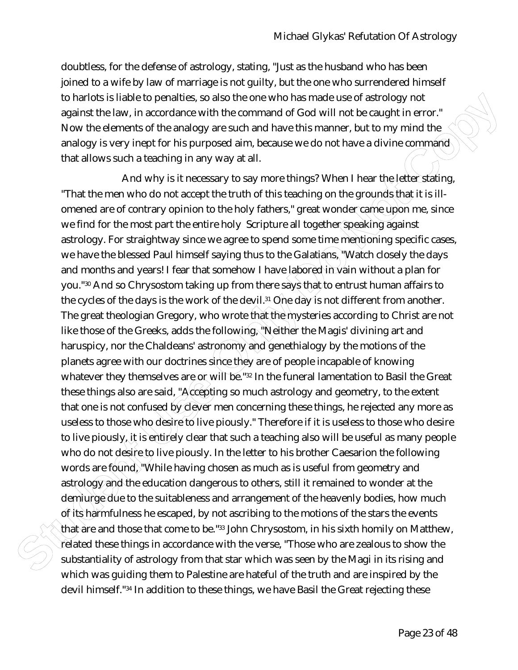doubtless, for the defense of astrology, stating, "Just as the husband who has been joined to a wife by law of marriage is not guilty, but the one who surrendered himself to harlots is liable to penalties, so also the one who has made use of astrology not against the law, in accordance with the command of God will not be caught in error." Now the elements of the analogy are such and have this manner, but to my mind the analogy is very inept for his purposed aim, because we do not have a divine command that allows such a teaching in any way at all.

to hards listel to posside the once who are with one who has made use of astrology hot the commutation spains the law, in accordance with the command of God will not be caught in error.<br>Now the elements of the analogy are And why is it necessary to say more things? When I hear the letter stating, "That the men who do not accept the truth of this teaching on the grounds that it is illomened are of contrary opinion to the holy fathers," great wonder came upon me, since we find for the most part the entire holy Scripture all together speaking against astrology. For straightway since we agree to spend some time mentioning specific cases, we have the blessed Paul himself saying thus to the Galatians, "Watch closely the days and months and years! I fear that somehow I have labored in vain without a plan for you."30 And so Chrysostom taking up from there says that to entrust human affairs to the cycles of the days is the work of the devil.<sup>31</sup> One day is not different from another. The great theologian Gregory, who wrote that the mysteries according to Christ are not like those of the Greeks, adds the following, "Neither the Magis' divining art and haruspicy, nor the Chaldeans' astronomy and genethialogy by the motions of the planets agree with our doctrines since they are of people incapable of knowing whatever they themselves are or will be."32 In the funeral lamentation to Basil the Great these things also are said, "Accepting so much astrology and geometry, to the extent that one is not confused by clever men concerning these things, he rejected any more as useless to those who desire to live piously." Therefore if it is useless to those who desire to live piously, it is entirely clear that such a teaching also will be useful as many people who do not desire to live piously. In the letter to his brother Caesarion the following words are found, "While having chosen as much as is useful from geometry and astrology and the education dangerous to others, still it remained to wonder at the demiurge due to the suitableness and arrangement of the heavenly bodies, how much of its harmfulness he escaped, by not ascribing to the motions of the stars the events that are and those that come to be."33 John Chrysostom, in his sixth homily on Matthew,  $\hat{c}$ elated these things in accordance with the verse, "Those who are zealous to show the substantiality of astrology from that star which was seen by the Magi in its rising and which was guiding them to Palestine are hateful of the truth and are inspired by the devil himself."34 In addition to these things, we have Basil the Great rejecting these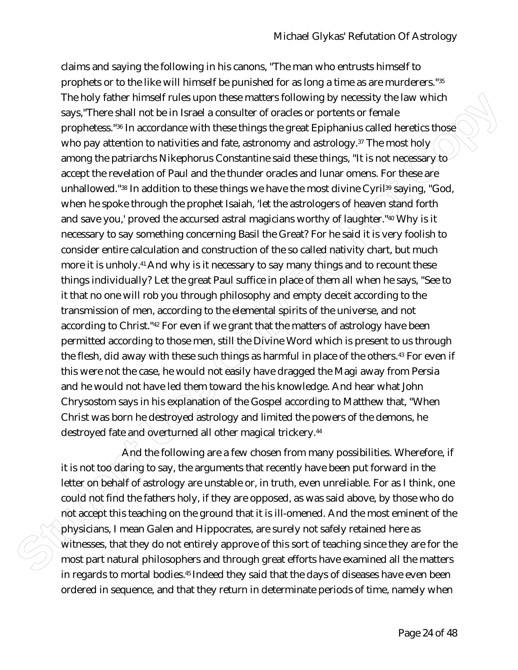Then shortled according to the simple reached with the specifical the complete than the physical three than the properties <sup>sta</sup> in accordance with these things the great Epiphanius called heretics, they when prophetes <sup>st</sup> claims and saying the following in his canons, "The man who entrusts himself to prophets or to the like will himself be punished for as long a time as are murderers."<sup>35</sup> The holy father himself rules upon these matters following by necessity the law which says,"There shall not be in Israel a consulter of oracles or portents or female prophetess."<sup>36</sup> In accordance with these things the great Epiphanius called heretics those who pay attention to nativities and fate, astronomy and astrology.<sup>37</sup> The most holy among the patriarchs Nikephorus Constantine said these things, "It is not necessary to accept the revelation of Paul and the thunder oracles and lunar omens. For these are unhallowed." $38 \text{ In addition to these things we have the most divine Cyril}\frac{39}{3}$  saying, "God, when he spoke through the prophet Isaiah, 'let the astrologers of heaven stand forth and save you,' proved the accursed astral magicians worthy of laughter. 40 Why is it necessary to say something concerning Basil the Great? For he said it is very foolish to consider entire calculation and construction of the so called nativity chart, but much more it is unholy.<sup>41</sup> And why is it necessary to say many things and to recount these things individually? Let the great Paul suffice in place of them all when he says, "See to it that no one will rob you through philosophy and empty deceit according to the transmission of men, according to the elemental spirits of the universe, and not according to Christ."<sup>42</sup> For even if we grant that the matters of astrology have been permitted according to those men, still the Divine Word which is present to us through the flesh, did away with these such things as harmful in place of the others.<sup>43</sup> For even if this were not the case, he would not easily have dragged the Magi away from Persia and he would not have led them toward the his knowledge. And hear what John Chrysostom says in his explanation of the Gospel according to Matthew that, "When Christ was born he destroyed astrology and limited the powers of the demons, he destroyed fate and overturned all other magical trickery.<sup>44</sup>

And the following are a few chosen from many possibilities. Wherefore, if it is not too daring to say, the arguments that recently have been put forward in the letter on behalf of astrology are unstable or, in truth, even unreliable. For as I think, one could not find the fathers holy, if they are opposed, as was said above, by those who do not accept this teaching on the ground that it is ill-omened. And the most eminent of the physicians, I mean Galen and Hippocrates, are surely not safely retained here as  $\hat{W}$ itnesses, that they do not entirely approve of this sort of teaching since they are for the most part natural philosophers and through great efforts have examined all the matters in regards to mortal bodies.45 Indeed they said that the days of diseases have even been ordered in sequence, and that they return in determinate periods of time, namely when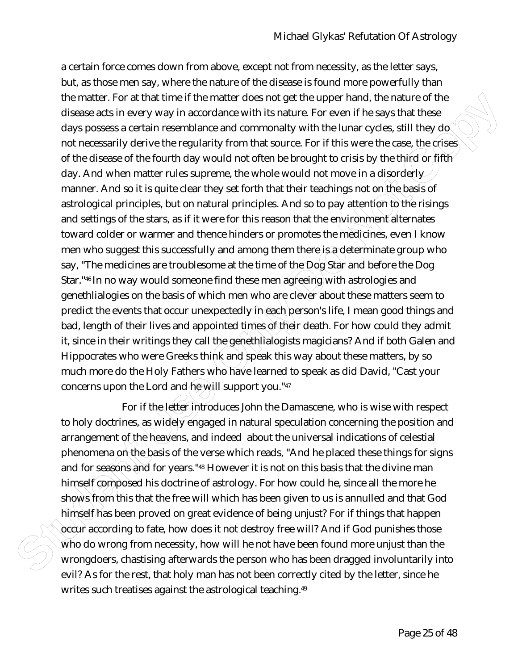the matter. For at that then fit the matter does not get the uspect hand, the nature of the states of the states of the discusse at strain resemblance and commonality with the lunar cycles, still they do not necessary lead a certain force comes down from above, except not from necessity, as the letter says, but, as those men say, where the nature of the disease is found more powerfully than the matter. For at that time if the matter does not get the upper hand, the nature of the disease acts in every way in accordance with its nature. For even if he says that these days possess a certain resemblance and commonalty with the lunar cycles, still they do not necessarily derive the regularity from that source. For if this were the case, the crises of the disease of the fourth day would not often be brought to crisis by the third or fifth day. And when matter rules supreme, the whole would not move in a disorderly manner. And so it is quite clear they set forth that their teachings not on the basis of astrological principles, but on natural principles. And so to pay attention to the risings and settings of the stars, as if it were for this reason that the environment alternates toward colder or warmer and thence hinders or promotes the medicines, even I know men who suggest this successfully and among them there is a determinate group who say, "The medicines are troublesome at the time of the Dog Star and before the Dog Star."<sup>46</sup> In no way would someone find these men agreeing with astrologies and genethlialogies on the basis of which men who are clever about these matters seem to predict the events that occur unexpectedly (in each person's life, I mean good things and bad, length of their lives and appointed times of their death. For how could they admit it, since in their writings they call the genethlialogists magicians? And if both Galen and Hippocrates who were Greeks think and speak this way about these matters, by so much more do the Holy Fathers who have learned to speak as did David, "Cast your concerns upon the Lord and he will support you."47

For if the letter introduces John the Damascene, who is wise with respect to holy doctrines, as widely engaged in natural speculation concerning the position and arrangement of the heavens, and indeed about the universal indications of celestial phenomena on the basis of the verse which reads, "And he placed these things for signs and for seasons and for years."<sup>48</sup> However it is not on this basis that the divine man himself composed his doctrine of astrology. For how could he, since all the more he shows from this that the free will which has been given to us is annulled and that God himself has been proved on great evidence of being unjust? For if things that happen occur according to fate, how does it not destroy free will? And if God punishes those  $\hat{W}$ ho do wrong from necessity, how will he not have been found more unjust than the wrongdoers, chastising afterwards the person who has been dragged involuntarily into evil? As for the rest, that holy man has not been correctly cited by the letter, since he writes such treatises against the astrological teaching.<sup>49</sup>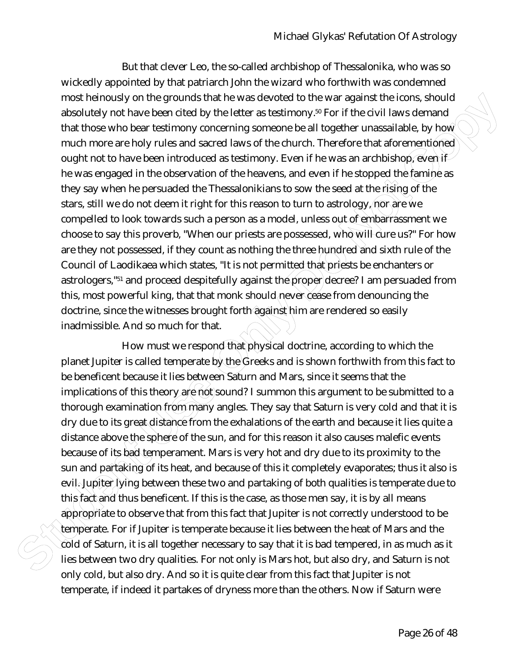most helmotest or the grounds that he was devoted to the war against the loons, should be the student of the student of the comparison of the student of the comparison of the student of the content of the content of the co But that clever Leo, the so-called archbishop of Thessalonika, who was so wickedly appointed by that patriarch John the wizard who forthwith was condemned most heinously on the grounds that he was devoted to the war against the icons, should absolutely not have been cited by the letter as testimony.<sup>50</sup> For if the civil laws demand that those who bear testimony concerning someone be all together unassailable, by how much more are holy rules and sacred laws of the church. Therefore that aforementioned ought not to have been introduced as testimony. Even if he was an archbishop,  $\widetilde{e}$ ven if he was engaged in the observation of the heavens, and even if he stopped the famine as they say when he persuaded the Thessalonikians to sow the seed at the rising of the stars, still we do not deem it right for this reason to turn to astrology, nor are we compelled to look towards such a person as a model, unless out of embarrassment we choose to say this proverb, "When our priests are possessed, who will cure us?" For how are they not possessed, if they count as nothing the three hundred and sixth rule of the Council of Laodikaea which states, "It is not permitted that priests be enchanters or astrologers,"<sup>51</sup> and proceed despitefully against the proper decree? I am persuaded from this, most powerful king, that that monk should never cease from denouncing the doctrine, since the witnesses brought forth against him are rendered so easily inadmissible. And so much for that.

How must we respond that physical doctrine, according to which the planet Jupiter is called temperate by the Greeks and is shown forthwith from this fact to be beneficent because it lies between Saturn and Mars, since it seems that the implications of this theory are not sound? I summon this argument to be submitted to a thorough examination from many angles. They say that Saturn is very cold and that it is dry due to its great distance from the exhalations of the earth and because it lies quite a distance above the sphere of the sun, and for this reason it also causes malefic events because of its bad temperament. Mars is very hot and dry due to its proximity to the sun and partaking of its heat, and because of this it completely evaporates; thus it also is evil. Jupiter lying between these two and partaking of both qualities is temperate due to this fact and thus beneficent. If this is the case, as those men say, it is by all means appropriate to observe that from this fact that Jupiter is not correctly understood to be temperate. For if Jupiter is temperate because it lies between the heat of Mars and the  $\hat{c}$ old of Saturn, it is all together necessary to say that it is bad tempered, in as much as it lies between two dry qualities. For not only is Mars hot, but also dry, and Saturn is not only cold, but also dry. And so it is quite clear from this fact that Jupiter is not temperate, if indeed it partakes of dryness more than the others. Now if Saturn were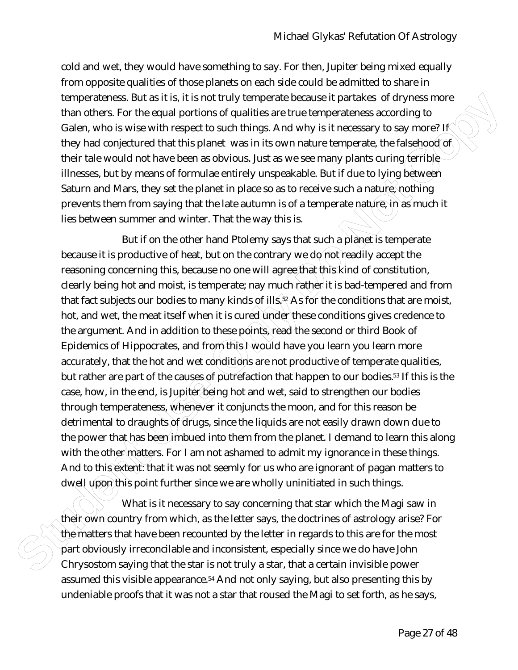cold and wet, they would have something to say. For then, Jupiter being mixed equally from opposite qualities of those planets on each side could be admitted to share in temperateness. But as it is, it is not truly temperate because it partakes of dryness more than others. For the equal portions of qualities are true temperateness according to Galen, who is wise with respect to such things. And why is it necessary to say more? If they had conjectured that this planet was in its own nature temperate, the falsehood of their tale would not have been as obvious. Just as we see many plants curing terrible illnesses, but by means of formulae entirely unspeakable. But if due to lying between Saturn and Mars, they set the planet in place so as to receive such a nature, nothing prevents them from saying that the late autumn is of a temperate nature, in as much it lies between summer and winter. That the way this is.

tromperatorss. But as it ls, it is not truly temperate because it partakes of dryines more than this planet was more than the student with the planet was in this computer of the the buse of the time in the student with the But if on the other hand Ptolemy says that such a planet is temperate because it is productive of heat, but on the contrary we do not readily accept the reasoning concerning this, because no one will agree that this kind of constitution, clearly being hot and moist, is temperate; nay much rather it is bad-tempered and from that fact subjects our bodies to many kinds of ills,  $s$ <sup>2</sup> As for the conditions that are moist, hot, and wet, the meat itself when it is cured under these conditions gives credence to the argument. And in addition to these points, read the second or third Book of Epidemics of Hippocrates, and from this I would have you learn you learn more accurately, that the hot and wet conditions are not productive of temperate qualities, but rather are part of the causes of putrefaction that happen to our bodies.53 If this is the case, how, in the end, is Jupiter being hot and wet, said to strengthen our bodies through temperateness, whenever it conjuncts the moon, and for this reason be detrimental to draughts of drugs, since the liquids are not easily drawn down due to the power that has been imbued into them from the planet. I demand to learn this along with the other matters. For I am not ashamed to admit my ignorance in these things. And to this extent: that it was not seemly for us who are ignorant of pagan matters to dwell upon this point further since we are wholly uninitiated in such things.

What is it necessary to say concerning that star which the Magi saw in their own country from which, as the letter says, the doctrines of astrology arise? For the matters that have been recounted by the letter in regards to this are for the most part obviously irreconcilable and inconsistent, especially since we do have John Chrysostom saying that the star is not truly a star, that a certain invisible power assumed this visible appearance.54 And not only saying, but also presenting this by undeniable proofs that it was not a star that roused the Magi to set forth, as he says,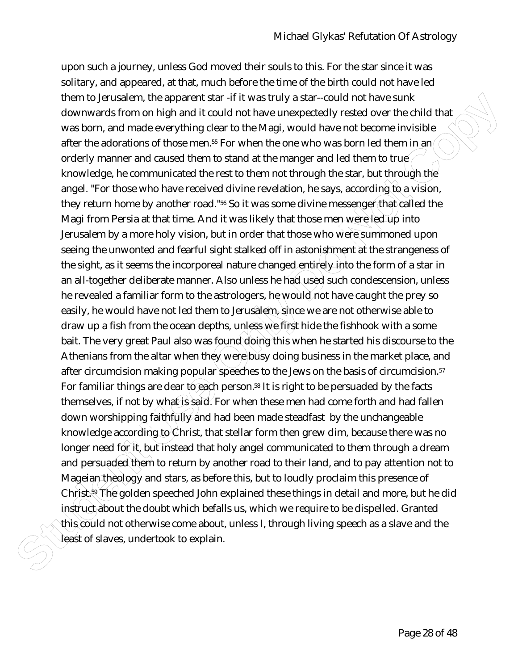them to lenstrate material information and if the was fruly as state-could not those sunk. The particular on the particular on the state of the state of the state of the state of the state of the state of the state of the upon such a journey, unless God moved their souls to this. For the star since it was solitary, and appeared, at that, much before the time of the birth could not have led them to Jerusalem, the apparent star -if it was truly a star--could not have sunk downwards from on high and it could not have unexpectedly rested over the child that was born, and made everything clear to the Magi, would have not become invisible after the adorations of those men.<sup>55</sup> For when the one who was born led them in an/ orderly manner and caused them to stand at the manger and led them to true knowledge, he communicated the rest to them not through the star, but through the angel. "For those who have received divine revelation, he says, according to a vision, they return home by another road."<sup>56</sup> So it was some divine messenger that called the Magi from Persia at that time. And it was likely that those men were led up into Jerusalem by a more holy vision, but in order that those who were summoned upon seeing the unwonted and fearful sight stalked off in astonishment at the strangeness of the sight, as it seems the incorporeal nature changed entirely into the form of a star in an all-together deliberate manner. Also unless he had used such condescension, unless he revealed a familiar form to the astrologers, he would not have caught the prey so easily, he would have not led them to Jerusalem, since we are not otherwise able to draw up a fish from the ocean depths, unless we first hide the fishhook with a some bait. The very great Paul also was found doing this when he started his discourse to the Athenians from the altar when they were busy doing business in the market place, and after circumcision making popular speeches to the Jews on the basis of circumcision.<sup>57</sup> For familiar things are dear to each person.<sup>58</sup> It is right to be persuaded by the facts themselves, if not by what is said. For when these men had come forth and had fallen down worshipping faithfully and had been made steadfast by the unchangeable knowledge according to Christ, that stellar form then grew dim, because there was no longer need for it, but instead that holy angel communicated to them through a dream and persuaded them to return by another road to their land, and to pay attention not to Mageian theology and stars, as before this, but to loudly proclaim this presence of Christ.<sup>59</sup> The golden speeched John explained these things in detail and more, but he did instruct about the doubt which befalls us, which we require to be dispelled. Granted this could not otherwise come about, unless I, through living speech as a slave and the least of slaves, undertook to explain.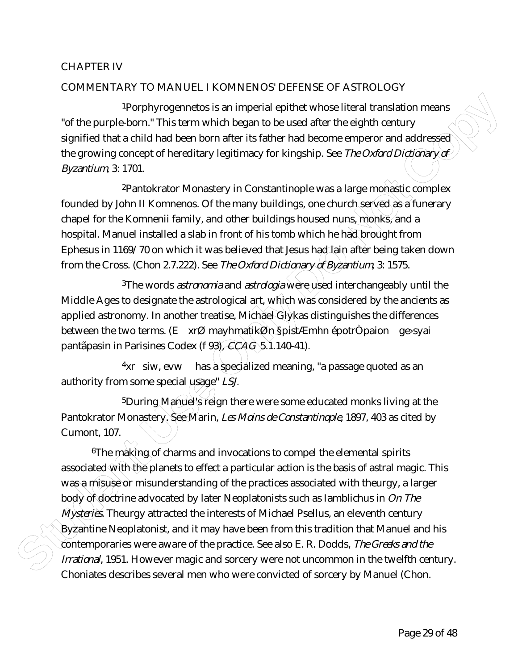## CHAPTER IV

## COMMENTARY TO MANUEL I KOMNENOS' DEFENSE OF ASTROLOGY

1Porphyrogennetos is an imperial epithet whose literal translation means "of the purple-born." This term which began to be used after the eighth century signified that a child had been born after its father had become emperor and addressed the growing concept of hereditary legitimacy for kingship. See *The Oxford Dictionary of Byzantium*, 3: 1701.

<sup>2</sup>Pantokrator Monastery in Constantinople was a large monastic complex founded by John II Komnenos. Of the many buildings, one church served as a funerary chapel for the Komnenii family, and other buildings housed nuns, monks, and a hospital. Manuel installed a slab in front of his tomb which he had brought from Ephesus in 1169/70 on which it was believed that Jesus had lain after being taken down from the Cross. (Chon 2.7.222). See *The Oxford Dictionary of Byzantium*, 3: 1575.

3The words *astronomia* and *astrologia* were used interchangeably until the Middle Ages to designate the astrological art, which was considered by the ancients as applied astronomy. In another treatise, Michael Glykas distinguishes the differences between the two terms. (E xrØ mayhmatikØn §pistÆmhn épotrÒpaion qe>syai pantãpasin in Parisines Codex (f 93), *CCAG* 5.1.140-41).

 $4xr$  siw, evw has a specialized meaning, "a passage quoted as an authority from some special usage" *LSJ.*

5During Manuel's reign there were some educated monks living at the Pantokrator Monastery. See Marin, *Les Moins de Constantinople*, 1897, 403 as cited by Cumont, 107.

**Stading The Student Stading Stading Stading Internal splitter whose literal translation means of the purple bonn "This ferm which beginn to be used affer the eighth century<br>signified that a child had been born affer its** 6The making of charms and invocations to compel the elemental spirits associated with the planets to effect a particular action is the basis of astral magic. This was a misuse or misunderstanding of the practices associated with theurgy, a larger body of doctrine advocated by later Neoplatonists such as Iamblichus in *On The Mysteries*. Theurgy attracted the interests of Michael Psellus, an eleventh century Byzantine Neoplatonist, and it may have been from this tradition that Manuel and his contemporaries were aware of the practice. See also E. R. Dodds, *The Greeks and the Irrational*, 1951. However magic and sorcery were not uncommon in the twelfth century. Choniates describes several men who were convicted of sorcery by Manuel (Chon.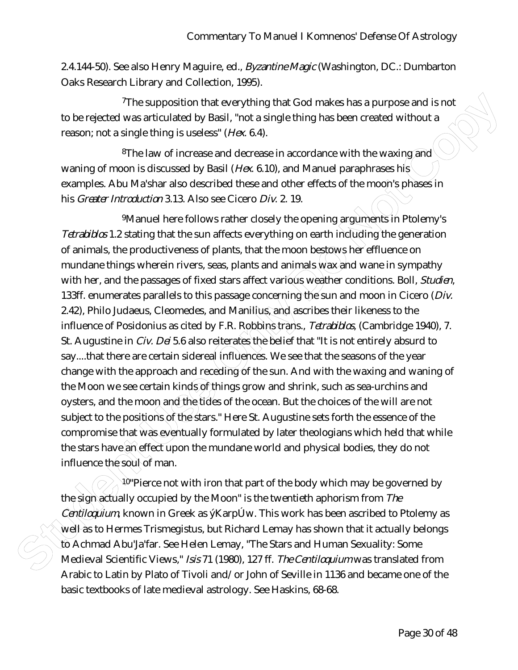2.4.144-50). See also Henry Maguire, ed., *Byzantine Magic* (Washington, DC.: Dumbarton Oaks Research Library and Collection, 1995).

7The supposition that everything that God makes has a purpose and is not to be rejected was articulated by Basil, "not a single thing has been created without a reason; not a single thing is useless" (*Hex*. 6.4).

<sup>8</sup>The law of increase and decrease in accordance with the waxing and waning of moon is discussed by Basil (*Hex*. 6.10), and Manuel paraphrases his examples. Abu Ma'shar also described these and other effects of the moon's phases in his *Greater Introduction* 3.13. Also see Cicero *Div*. 2. 19.

This supposition that leverything that Cool makes has a purpose and is not<br>transform on a ringital band, that a single thing is a scenario of the present of the second the present of the law of increase and decrease in ac 9Manuel here follows rather closely the opening arguments in Ptolemy's *Tetrabiblos* 1.2 stating that the sun affects everything on earth including the generation of animals, the productiveness of plants, that the moon bestows her effluence on mundane things wherein rivers, seas, plants and animals wax and wane in sympathy with her, and the passages of fixed stars affect various weather conditions. Boll, *Studien*, 133ff. enumerates parallels to this passage concerning the sun and moon in Cicero (*Div.* 2.42), Philo Judaeus, Cleomedes, and Manilius, and ascribes their likeness to the influence of Posidonius as cited by F.R. Robbins trans., *Tetrabiblos*, (Cambridge 1940), 7. St. Augustine in *Civ. Dei* 5.6 also reiterates the belief that "It is not entirely absurd to say....that there are certain sidereal influences. We see that the seasons of the year change with the approach and receding of the sun. And with the waxing and waning of the Moon we see certain kinds of things grow and shrink, such as sea-urchins and oysters, and the moon and the tides of the ocean. But the choices of the will are not subject to the positions of the stars." Here St. Augustine sets forth the essence of the compromise that was eventually formulated by later theologians which held that while the stars have an effect upon the mundane world and physical bodies, they do not influence the soul of man.

 $^{10}$ "Pierce not with iron that part of the body which may be governed by the sign actually occupied by the Moon" is the twentieth aphorism from *The Centiloguium*, known in Greek as ý KarpÚw. This work has been ascribed to Ptolemy as well as to Hermes Trismegistus, but Richard Lemay has shown that it actually belongs to Achmad Abu'Ja'far. See Helen Lemay, "The Stars and Human Sexuality: Some Medieval Scientific Views," *Isis* 71 (1980), 127 ff. *The Centiloquium* was translated from Arabic to Latin by Plato of Tivoli and/or John of Seville in 1136 and became one of the basic textbooks of late medieval astrology. See Haskins, 68-68.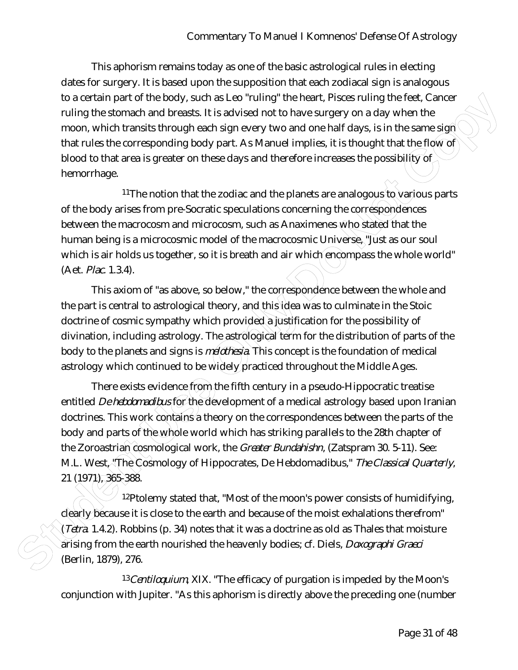This aphorism remains today as one of the basic astrological rules in electing dates for surgery. It is based upon the supposition that each zodiacal sign is analogous to a certain part of the body, such as Leo "ruling" the heart, Pisces ruling the feet, Cancer ruling the stomach and breasts. It is advised not to have surgery on a day when the moon, which transits through each sign every two and one half days, is in the same sign that rules the corresponding body part. As Manuel implies, it is thought that the flow of blood to that area is greater on these days and therefore increases the possibility of hemorrhage.

<sup>11</sup>The notion that the zodiac and the planets are analogous to various parts of the body arises from pre-Socratic speculations concerning the correspondences between the macrocosm and microcosm, such as Anaximenes who stated that the human being is a microcosmic model of the macrocosmic Universe, "Just as our soul which is air holds us together, so it is breath and air which encompass the whole world" (Aet. *Plac.* 1.3.4).

This axiom of "as above, so below," the correspondence between the whole and the part is central to astrological theory, and this idea was to culminate in the Stoic doctrine of cosmic sympathy which provided a justification for the possibility of divination, including astrology. The astrological term for the distribution of parts of the body to the planets and signs is *melothesia*. This concept is the foundation of medical astrology which continued to be widely practiced throughout the Middle Ages.

to a cortain part of the body, such as Leo "tulligit the heart. Places ruling the forest cancer<br>or unit and the state is a student of the heart and taxes is the same sign than the mone, which transits through each sign eve There exists evidence from the fifth century in a pseudo-Hippocratic treatise entitled *De hebdomadibus* for the development of a medical astrology based upon Iranian doctrines. This work contains a theory on the correspondences between the parts of the body and parts of the whole world which has striking parallels to the 28th chapter of the Zoroastrian cosmological work, the *Greater Bundahishn*, (Zatspram 30. 5-11). See: M.L. West, "The Cosmology of Hippocrates, De Hebdomadibus," *The Classical Quarterly*, 21 (1971), 365-388.

12Ptolemy stated that, "Most of the moon's power consists of humidifying, clearly because it is close to the earth and because of the moist exhalations therefrom" (*Tetra*. 1.4.2). Robbins (p. 34) notes that it was a doctrine as old as Thales that moisture arising from the earth nourished the heavenly bodies; cf. Diels, *Doxographi Graeci* (Berlin, 1879), 276.

13*Centiloquium*, XIX. "The efficacy of purgation is impeded by the Moon's conjunction with Jupiter. "As this aphorism is directly above the preceding one (number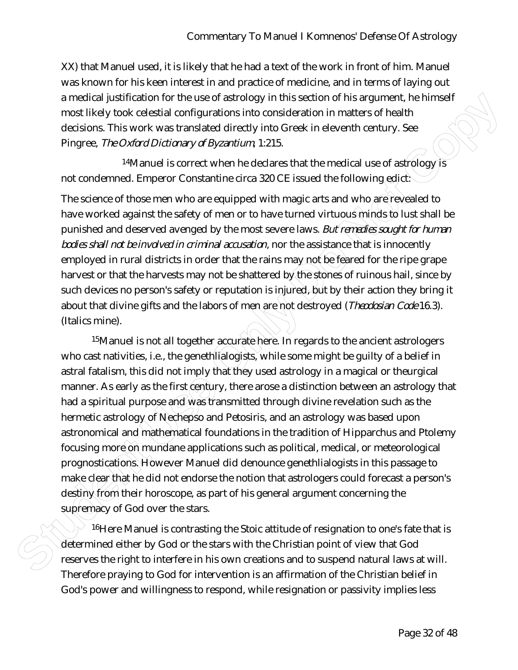XX) that Manuel used, it is likely that he had a text of the work in front of him. Manuel was known for his keen interest in and practice of medicine, and in terms of laying out a medical justification for the use of astrology in this section of his argument, he himself most likely took celestial configurations into consideration in matters of health decisions. This work was translated directly into Greek in eleventh century. See Pingree, *The Oxford Dictionary of Byzantium*, 1:215.

<sup>14</sup>Manuel is correct when he declares that the medical use of astrology is not condemned. Emperor Constantine circa 320 CE issued the following edict.

The science of those men who are equipped with magic arts and who are revealed to have worked against the safety of men or to have turned virtuous minds to lust shall be punished and deserved avenged by the most severe laws. *But remedies sought for human bodies shall not be involved in criminal accusation*, nor the assistance that is innocently employed in rural districts in order that the rains may not be feared for the ripe grape harvest or that the harvests may not be shattered by the stones of ruinous hail, since by such devices no person's safety or reputation is injured, but by their action they bring it about that divine gifts and the labors of men are not destroyed (*Theodosian Code* 16.3). (Italics mine).

a model justification for the use of astrology in this section of this seguence. Relinged into the student of the student of the students of the students of the the students of the students. See Pingree, 7% *Coreal particu* <sup>15</sup>Manuel is not all together accurate here. In regards to the ancient astrologers who cast nativities, i.e., the genethlialogists, while some might be guilty of a belief in astral fatalism, this did not imply that they used astrology in a magical or theurgical manner. As early as the first century, there arose a distinction between an astrology that had a spiritual purpose and was transmitted through divine revelation such as the hermetic astrology of Nechepso and Petosiris, and an astrology was based upon astronomical and mathematical foundations in the tradition of Hipparchus and Ptolemy focusing more on mundane applications such as political, medical, or meteorological prognostications. However Manuel did denounce genethlialogists in this passage to make clear that he did not endorse the notion that astrologers could forecast a person's destiny from their horoscope, as part of his general argument concerning the supremacy of God over the stars.

<sup>16</sup>Here Manuel is contrasting the Stoic attitude of resignation to one's fate that is determined either by God or the stars with the Christian point of view that God reserves the right to interfere in his own creations and to suspend natural laws at will. Therefore praying to God for intervention is an affirmation of the Christian belief in God's power and willingness to respond, while resignation or passivity implies less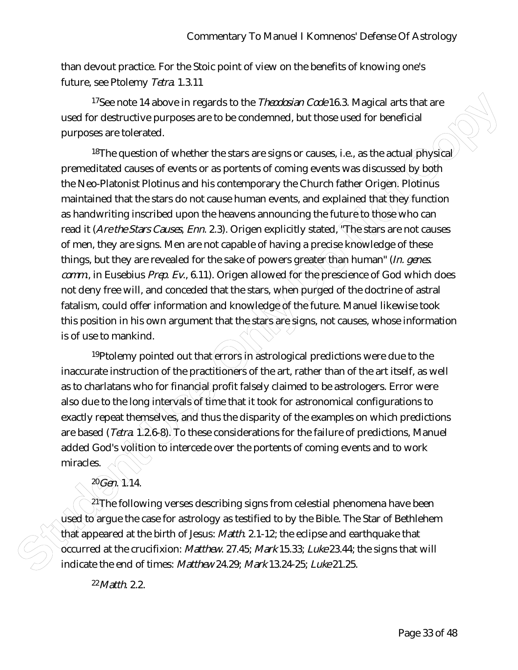than devout practice. For the Stoic point of view on the benefits of knowing one's future, see Ptolemy *Tetra*. 1.3.11

17See note 14 above in regards to the *Theodosian Code* 16.3. Magical arts that are used for destructive purposes are to be condemned, but those used for beneficial purposes are tolerated.

<sup>17</sup>Sue note 14 above in regards to the *Theodomic Court* 63. Magical arts that are<br>used for destructive purposes are to be condemned, but those used for beneficial<br>purposes are tolerated.<br>**Structure Use Students Used Con** <sup>18</sup>The question of whether the stars are signs or causes, i.e., as the actual physical premeditated causes of events or as portents of coming events was discussed by both the Neo-Platonist Plotinus and his contemporary the Church father Origen. Plotinus maintained that the stars do not cause human events, and explained that they function as handwriting inscribed upon the heavens announcing the future to those who can read it (*Are the Stars Causes*, *Enn*. 2.3). Origen explicitly stated, "The stars are not causes of men, they are signs. Men are not capable of having a precise knowledge of these things, but they are revealed for the sake of powers greater than human" (*In. genes. comm*., in Eusebius *Prep. Ev*., 6.11). Origen allowed for the prescience of God which does not deny free will, and conceded that the stars, when purged of the doctrine of astral fatalism, could offer information and knowledge of the future. Manuel likewise took this position in his own argument that the stars are signs, not causes, whose information is of use to mankind.

 $19P$ tolemy pointed out that errors in astrological predictions were due to the inaccurate instruction of the practitioners of the art, rather than of the art itself, as well as to charlatans who for financial profit falsely claimed to be astrologers. Error were also due to the long intervals of time that it took for astronomical configurations to exactly repeat themselves, and thus the disparity of the examples on which predictions are based (*Tetra*. 1.2.6-8). To these considerations for the failure of predictions, Manuel added God's volition to intercede over the portents of coming events and to work miracles.

<sup>21</sup> The following verses describing signs from celestial phenomena have been used to argue the case for astrology as testified to by the Bible. The Star of Bethlehem that appeared at the birth of Jesus: *Matth*. 2.1-12; the eclipse and earthquake that occurred at the crucifixion: *Matthew*. 27.45; *Mark* 15.33; *Luke* 23.44; the signs that will indicate the end of times: *Matthew* 24.29; *Mark* 13.24-25; *Luke* 21.25.

22*Matth*. 2.2.

20*Gen*. 1.14.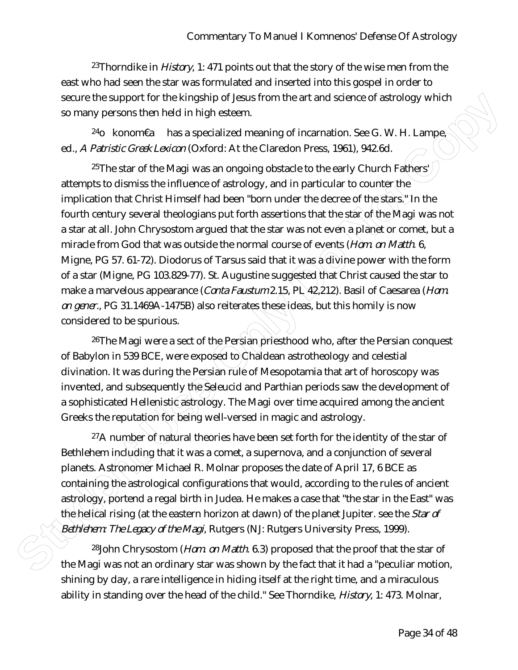23Thorndike in *History*, 1: 471 points out that the story of the wise men from the east who had seen the star was formulated and inserted into this gospel in order to secure the support for the kingship of Jesus from the art and science of astrology which so many persons then held in high esteem.

<sup>24</sup>o konom€a has a specialized meaning of incarnation. See G. W. H. Lampe<sub>r</sub> ed., *A Patristic Greek Lexicon* (Oxford: At the Claredon Press, 1961), 942.6d.

sexuar the support for the kingchip of leavis from the art and science of astrology which<br>so many persons. Then held in high esteem.<br>
<sup>24</sup>Q kontomEa has a specialized meaning of incarration. See G. W. H. Lampe<br>  $\frac{1}{\sqrt{2}}$ <sup>25</sup>The star of the Magi was an ongoing obstacle to the early Church Fathers') attempts to dismiss the influence of astrology, and in particular to counter the implication that Christ Himself had been "born under the decree of the stars." In the fourth century several theologians put forth assertions that the star of the Magi was not a star at all. John Chrysostom argued that the star was not even a planet or comet, but a miracle from God that was outside the normal course of events (*Hom. on Matth*. 6, Migne, PG 57. 61-72). Diodorus of Tarsus said that it was a divine power with the form of a star (Migne, PG 103.829-77). St. Augustine suggested that Christ caused the star to make a marvelous appearance (*Conta Faustum* 2.15, PL 42,212). Basil of Caesarea (*Hom. on gener.*, PG 31.1469A-1475B) also reiterates these ideas, but this homily is now considered to be spurious.

<sup>26</sup>The Magi were a sect of the Persian priesthood who, after the Persian conquest of Babylon in 539 BCE, were exposed to Chaldean astrotheology and celestial divination. It was during the Persian rule of Mesopotamia that art of horoscopy was invented, and subsequently the Seleucid and Parthian periods saw the development of a sophisticated Hellenistic astrology. The Magi over time acquired among the ancient Greeks the reputation for being well-versed in magic and astrology.

 $27A$  number of natural theories have been set forth for the identity of the star of Bethlehem including that it was a comet, a supernova, and a conjunction of several planets. Astronomer Michael R. Molnar proposes the date of April 17, 6 BCE as containing the astrological configurations that would, according to the rules of ancient astrology, portend a regal birth in Judea. He makes a case that "the star in the East" was the helical rising (at the eastern horizon at dawn) of the planet Jupiter. see the *Star of Bethlehem: The Legacy of the Magi*, Rutgers (NJ: Rutgers University Press, 1999).

28John Chrysostom (*Hom*. *on Matth.* 6.3) proposed that the proof that the star of the Magi was not an ordinary star was shown by the fact that it had a "peculiar motion, shining by day, a rare intelligence in hiding itself at the right time, and a miraculous ability in standing over the head of the child." See Thorndike, *History*, 1: 473. Molnar,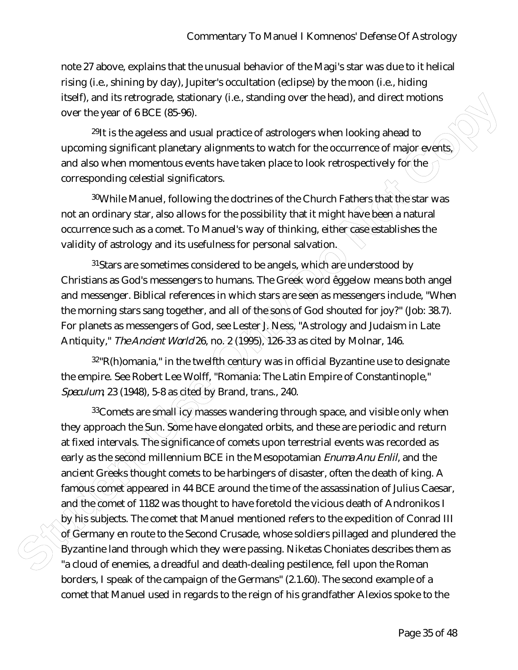note 27 above, explains that the unusual behavior of the Magi's star was due to it helical rising (i.e., shining by day), Jupiter's occultation (eclipse) by the moon (i.e., hiding itself), and its retrograde, stationary (i.e., standing over the head), and direct motions over the year of 6 BCE (85-96).

<sup>29</sup>It is the ageless and usual practice of astrologers when looking ahead to upcoming significant planetary alignments to watch for the occurrence of major events, and also when momentous events have taken place to look retrospectively for the corresponding celestial significators.

30While Manuel, following the doctrines of the Church Fathers that the star was not an ordinary star, also allows for the possibility that it might have been a natural occurrence such as a comet. To Manuel's way of thinking, either case establishes the validity of astrology and its usefulness for personal salvation.

<sup>31</sup>Stars are sometimes considered to be angels, which are understood by Christians as God's messengers to humans. The Greek word êggelow means both angel and messenger. Biblical references in which stars are seen as messengers include, "When the morning stars sang together, and all of the sons of God shouted for joy?" (Job: 38.7). For planets as messengers of God, see Lester J. Ness, "Astrology and Judaism in Late Antiquity," *The Ancient World* 26, no. 2 (1995), 126-33 as cited by Molnar, 146.

 $32$ "R(h)omania," in the twelfth century was in official Byzantine use to designate the empire. See Robert Lee Wolff, "Romania: The Latin Empire of Constantinople," *Speculum*, 23 (1948), 5-8 as cited by Brand, trans., 240.

Itsiof), and Islam terrorgionics, stationary (i.e., standing over the head), and direct motions<br>over the year of 6 BCE (86-36).<br><sup>39</sup>It is the ageless and usual practice of astrologies when looking ahead to<br>upporting signif  $33$ Comets are small  $EQ$  masses wandering through space, and visible only when they approach the Sun. Some have elongated orbits, and these are periodic and return at fixed intervals. The significance of comets upon terrestrial events was recorded as early as the second millennium BCE in the Mesopotamian *Enuma Anu Enlil*, and the ancient Greeks thought comets to be harbingers of disaster, often the death of king. A famous comet appeared in 44 BCE around the time of the assassination of Julius Caesar, and the comet of 1182 was thought to have foretold the vicious death of Andronikos I by his subjects. The comet that Manuel mentioned refers to the expedition of Conrad III of Germany en route to the Second Crusade, whose soldiers pillaged and plundered the Byzantine land through which they were passing. Niketas Choniates describes them as "a cloud of enemies, a dreadful and death-dealing pestilence, fell upon the Roman borders, I speak of the campaign of the Germans" (2.1.60). The second example of a comet that Manuel used in regards to the reign of his grandfather Alexios spoke to the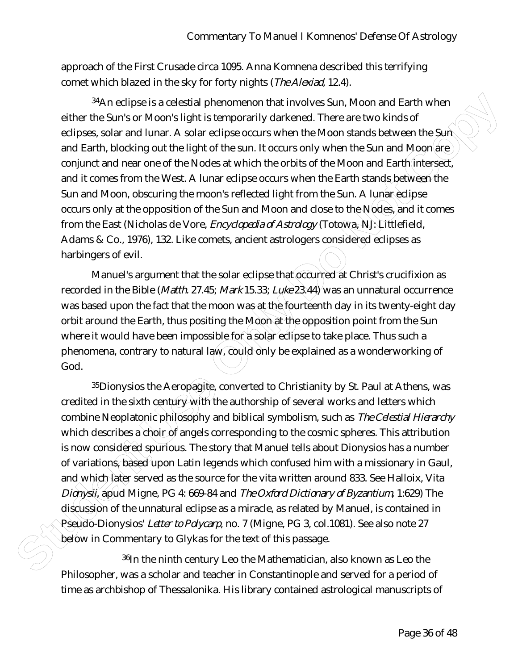approach of the First Crusade circa 1095. Anna Komnena described this terrifying comet which blazed in the sky for forty nights (*The Alexiad*, 12.4).

34An eclipse is a celestial phenomenon that involves Sun, Moon and Earth when either the Sun's or Moon's light is temporarily darkened. There are two kinds of eclipses, solar and lunar. A solar eclipse occurs when the Moon stands between the Sun and Earth, blocking out the light of the sun. It occurs only when the Sun and Moon are  $\rangle$ conjunct and near one of the Nodes at which the orbits of the Moon and Earth intersect, and it comes from the West. A lunar eclipse occurs when the Earth stands between the Sun and Moon, obscuring the moon's reflected light from the Sun. A lunar eclipse occurs only at the opposition of the Sun and Moon and close to the Nodes, and it comes from the East (Nicholas de Vore, *Encyclopedia of Astrology* (Totowa, NJ: Littlefield, Adams & Co., 1976), 132. Like comets, ancient astrologers considered eclipses as harbingers of evil.

Manuel's argument that the solar eclipse that occurred at Christ's crucifixion as recorded in the Bible (*Matth.* 27.45; *Mark* 15.33; *Luke* 23.44) was an unnatural occurrence was based upon the fact that the moon was at the fourteenth day in its twenty-eight day orbit around the Earth, thus positing the Moon at the opposition point from the Sun where it would have been impossible for a solar eclipse to take place. Thus such a phenomena, contrary to natural law, could only be explained as a wonderworking of God.

**Stan estipos is a colustial phenomenon that involves Sun, Moon and Farth when**<br>
eleive the Sun's any form Moon's tight is temporarily darkened. There are low kinds of<br>
delipse, salar or Moon's tight is temporarily darkene <sup>35</sup>Dionysios the Aeropagite, converted to Christianity by St. Paul at Athens, was credited in the sixth century with the authorship of several works and letters which combine Neoplatonic philosophy and biblical symbolism, such as *The Celestial Hierarchy* which describes a choir of angels corresponding to the cosmic spheres. This attribution is now considered spurious. The story that Manuel tells about Dionysios has a number of variations, based upon Latin legends which confused him with a missionary in Gaul, and which later served as the source for the vita written around 833. See Halloix, Vita *Dionysii*, apud Migne, PG 4: 669-84 and *The Oxford Dictionary of Byzantium,* 1:629) The discussion of the unnatural eclipse as a miracle, as related by Manuel, is contained in Pseudo-Dionysios' *Letter to Polycarp*, no. 7 (Migne, PG 3, col.1081). See also note 27 below in Commentary to Glykas for the text of this passage.

36In the ninth century Leo the Mathematician, also known as Leo the Philosopher, was a scholar and teacher in Constantinople and served for a period of time as archbishop of Thessalonika. His library contained astrological manuscripts of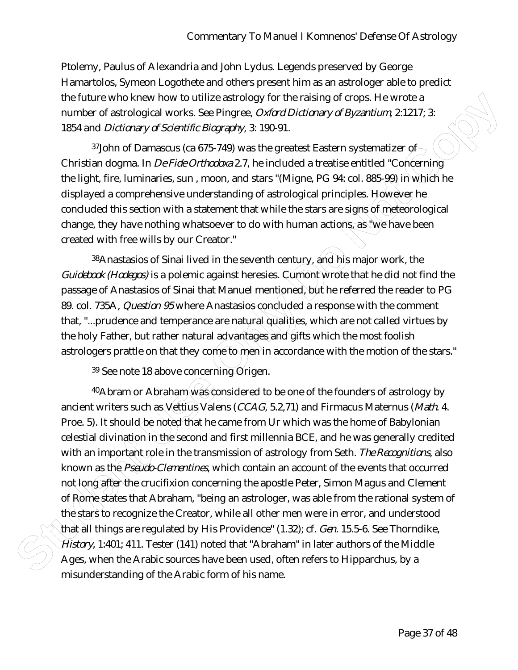Ptolemy, Paulus of Alexandria and John Lydus. Legends preserved by George Hamartolos, Symeon Logothete and others present him as an astrologer able to predict the future who knew how to utilize astrology for the raising of crops. He wrote a number of astrological works. See Pingree, *Oxford Dictionary of Byzantium*, 2:1217; 3: 1854 and *Dictionary of Scientific Biography*, 3: 190-91.

<sup>37</sup>John of Damascus (ca 675-749) was the greatest Eastern systematizer of  $\rightarrow$ Christian dogma. In *De Fide Orthodoxa* 2.7, he included a treatise entitled "Concerning the light, fire, luminaries, sun , moon, and stars "(Migne, PG 94: col. 885-99) in which he displayed a comprehensive understanding of astrological principles. However he concluded this section with a statement that while the stars are signs of meteorological change, they have nothing whatsoever to do with human actions, as "we have been created with free wills by our Creator."

38 Anastasios of Sinai lived in the seventh century, and his major work, the *Guidebook (Hodegos)* is a polemic against heresies. Cumont wrote that he did not find the passage of Anastasios of Sinai that Manuel mentioned, but he referred the reader to PG 89. col. 735A, *Question 95* where Anastasios concluded a response with the comment that, "...prudence and temperance are natural qualities, which are not called virtues by the holy Father, but rather natural advantages and gifts which the most foolish astrologers prattle on that they come to men in accordance with the motion of the stars."

39 See note 18 above concerning Origen.

the future who know how tutilite a strology for the relating of erops. A leventon and the matter and the matter is the matter of strological and *Dictionary of Scientific Blography*. 3: 190-91.<br>
1964 and *Dictionary of Sci*  $40$ Abram or Abraham was considered to be one of the founders of astrology by ancient writers such as Vettius Valens (*CCAG*, 5.2,71) and Firmacus Maternus (*Math*. 4. Proe. 5). It should be noted that he came from Ur which was the home of Babylonian celestial divination in the second and first millennia BCE, and he was generally credited with an important role in the transmission of astrology from Seth. *The Recognitions*, also known as the *Pseudo-Clementines*, which contain an account of the events that occurred not long after the crucifixion concerning the apostle Peter, Simon Magus and Clement of Rome states that Abraham, "being an astrologer, was able from the rational system of the stars to recognize the Creator, while all other men were in error, and understood that all things are regulated by His Providence" (1.32); cf. *Gen.* 15.5-6. See Thorndike, *History*, 1:401; 411. Tester (141) noted that "Abraham" in later authors of the Middle Ages, when the Arabic sources have been used, often refers to Hipparchus, by a misunderstanding of the Arabic form of his name.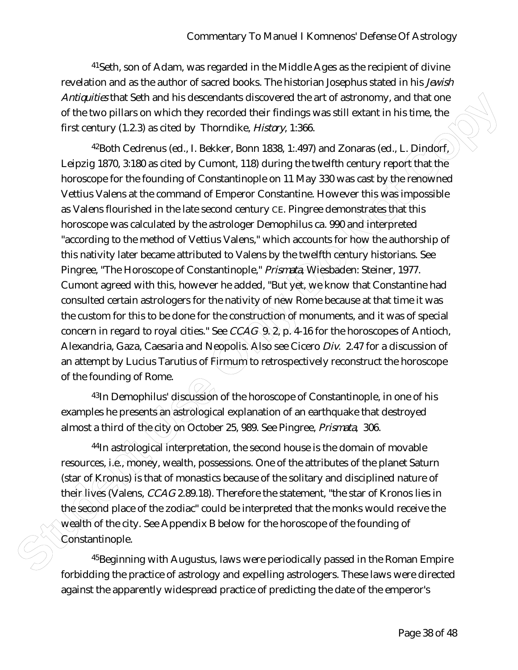41Seth, son of Adam, was regarded in the Middle Ages as the recipient of divine revelation and as the author of sacred books. The historian Josephus stated in his *Jewish Antiquities* that Seth and his descendants discovered the art of astronomy, and that one of the two pillars on which they recorded their findings was still extant in his time, the first century (1.2.3) as cited by Thorndike, *History*, 1:366.

Antagonizative Selection and his described in and particular students of the attention of the contain the student of the student of the column of the column of the student User on the Copyright Copyright Copyright Copyrigh 42Both Cedrenus (ed., I. Bekker, Bonn 1838, 1:.497) and Zonaras (ed., L. Dindorf, Leipzig 1870, 3:180 as cited by Cumont, 118) during the twelfth century report that the horoscope for the founding of Constantinople on 11 May 330 was cast by the renowned Vettius Valens at the command of Emperor Constantine. However this was impossible as Valens flourished in the late second century CE. Pingree demonstrates that this horoscope was calculated by the astrologer Demophilus ca. 990 and interpreted "according to the method of Vettius Valens," which accounts for how the authorship of this nativity later became attributed to Valens by the twelfth century historians. See Pingree, "The Horoscope of Constantinople," *Prismata*, Wiesbaden: Steiner, 1977. Cumont agreed with this, however he added, "But yet, we know that Constantine had consulted certain astrologers for the nativity of new Rome because at that time it was the custom for this to be done for the construction of monuments, and it was of special concern in regard to royal cities." See *CCAG* 9. 2, p. 4-16 for the horoscopes of Antioch, Alexandria, Gaza, Caesaria and Neopolis. Also see Cicero *Div.* 2.47 for a discussion of an attempt by Lucius Tarutius of  $F\rightarrow V$  to retrospectively reconstruct the horoscope of the founding of Rome.

43In Demophilus' discussion of the horoscope of Constantinople, in one of his examples he presents an astrological explanation of an earthquake that destroyed almost a third of the city on October 25, 989. See Pingree, *Prismata*, 306.

44In astrological interpretation, the second house is the domain of movable resources, i.e., money, wealth, possessions. One of the attributes of the planet Saturn (star of Kronus) is that of monastics because of the solitary and disciplined nature of thein lives (Valens, *CCAG* 2.89.18). Therefore the statement, "the star of Kronos lies in the second place of the zodiac" could be interpreted that the monks would receive the wealth of the city. See Appendix B below for the horoscope of the founding of Constantinople.

45Beginning with Augustus, laws were periodically passed in the Roman Empire forbidding the practice of astrology and expelling astrologers. These laws were directed against the apparently widespread practice of predicting the date of the emperor's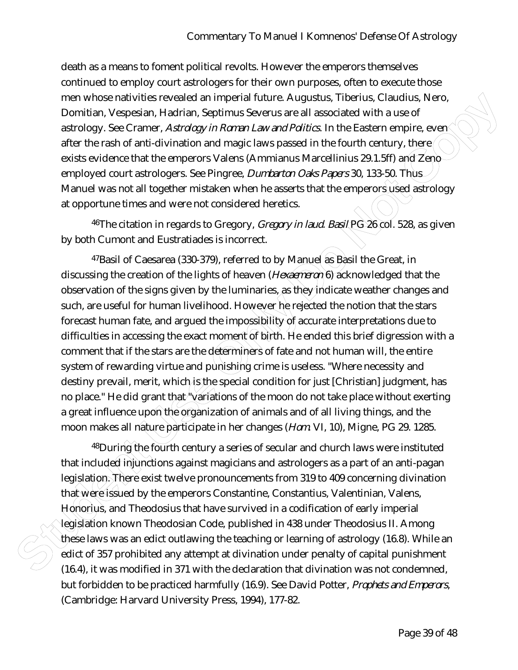death as a means to foment political revolts. However the emperors themselves continued to employ court astrologers for their own purposes, often to execute those men whose nativities revealed an imperial future. Augustus, Tiberius, Claudius, Nero, Domitian, Vespesian, Hadrian, Septimus Severus are all associated with a use of astrology. See Cramer, *Astrology in Roman Law and Politics*. In the Eastern empire, even after the rash of anti-divination and magic laws passed in the fourth century, there exists evidence that the emperors Valens (Ammianus Marcellinius 29.1.5ff) and Zenoemployed court astrologers. See Pingree, *Dumbarton Oaks Papers* 30, 133-50. Thus Manuel was not all together mistaken when he asserts that the emperors used astrology at opportune times and were not considered heretics.

46The citation in regards to Gregory, *Gregory in laud. Basil* PG 26 col. 528, as given by both Cumont and Eustratiades is incorrect.

men whose math/villes revealed an imperal future. Augustus, Tiberlus, Claudius, Nero<br>
Domitian, visepesian, Hadrian, Septimus Severus are all associated with a use of<br>
astrology, See Cramer *Adtraigy/n Reman Laward Petitit* <sup>47</sup>Basil of Caesarea (330-379), referred to by Manuel as Basil the Great, in discussing the creation of the lights of heaven (*Hexaemeron* 6) acknowledged that the observation of the signs given by the luminaries, as they indicate weather changes and such, are useful for human livelihood. However he rejected the notion that the stars forecast human fate, and argued the impossibility of accurate interpretations due to difficulties in accessing the exact moment of birth. He ended this brief digression with a comment that if the stars are the determiners of fate and not human will, the entire system of rewarding virtue and punishing crime is useless. "Where necessity and destiny prevail, merit, which is the special condition for just [Christian] judgment, has no place." He did grant that "variations of the moon do not take place without exerting a great influence upon the organization of animals and of all living things, and the moon makes all nature participate in her changes (*Hom*. VI, 10), Migne, PG 29. 1285.

 $48$ During the fourth century a series of secular and church laws were instituted that included injunctions against magicians and astrologers as a part of an anti-pagan legislation. There exist twelve pronouncements from 319 to 409 concerning divination that were issued by the emperors Constantine, Constantius, Valentinian, Valens, Honorius, and Theodosius that have survived in a codification of early imperial legislation known Theodosian Code, published in 438 under Theodosius II. Among these laws was an edict outlawing the teaching or learning of astrology (16.8). While an edict of 357 prohibited any attempt at divination under penalty of capital punishment (16.4), it was modified in 371 with the declaration that divination was not condemned, but forbidden to be practiced harmfully (16.9). See David Potter, *Prophets and Emperors*, (Cambridge: Harvard University Press, 1994), 177-82.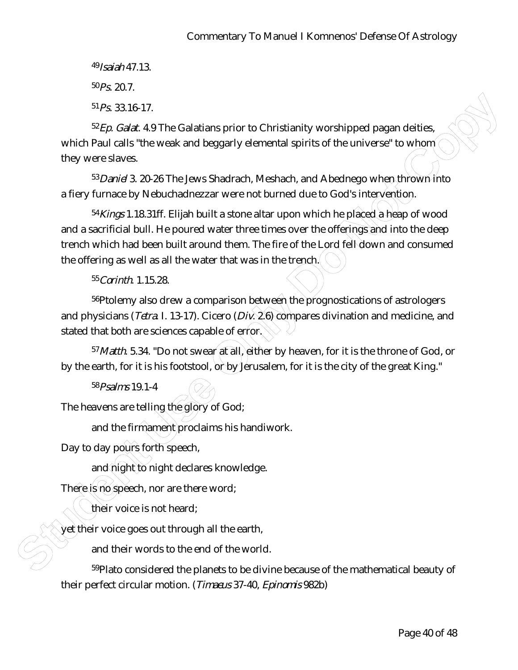49*Isaiah* 47.13.

 $50P_S$ . 20.7.

51*Ps.* 33.16-17.

52*Ep. Galat*. 4.9 The Galatians prior to Christianity worshipped pagan deities, which Paul calls "the weak and beggarly elemental spirits of the universe" to whom they were slaves.

53*Daniel* 3. 20-26 The Jews Shadrach, Meshach, and Abednego when thrown into a fiery furnace by Nebuchadnezzar were not burned due to God's intervention.

<sup>51</sup> Ps 33.16-17.<br>
Styp. Callet 4.9 The Galatians prior to Christianity worshipped pagan delities<br>
which Paul colls <sup>4</sup> the weak and beggarly elemental spirits of the universe <sup>1</sup> to whip<br>
they were slaves.<br>
52 *gowl* 3. 2 54*Kings* 1.18.31ff. Elijah built a stone altar upon which he placed a heap of wood and a sacrificial bull. He poured water three times over the offerings and into the deep trench which had been built around them. The fire of the Lord fell down and consumed the offering as well as all the water that was in the trench.

55*Corinth*. 1.15.28.

<sup>56</sup>Ptolemy also drew a comparison between the prognostications of astrologers and physicians (*Tetra*. I. 13-17). Cicero (*Div*. 2.6) compares divination and medicine, and stated that both are sciences capable of error.

57*Matth*. 5.34. "Do not swear at all, either by heaven, for it is the throne of God, or by the earth, for it is his footstool, or by Jerusalem, for it is the city of the great King."

58*Psalms* 19.1-4

The heavens are telling the glory of God;

and the firmament proclaims his handiwork.

Day to day pours forth speech,

and night to night declares knowledge.

There is no speech, nor are there word;

their voice is not heard;

 $\ket{\psi}$  their voice goes out through all the earth,

and their words to the end of the world.

59Plato considered the planets to be divine because of the mathematical beauty of their perfect circular motion. (*Timaeus* 37-40, *Epinomis* 982b)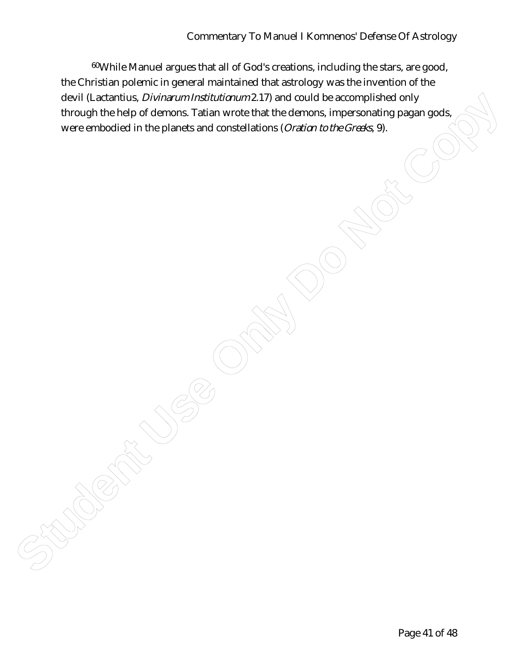**Studies Discutions.** Divisor and The Microsoft Institutions of the method is a conditional that only the behavior of the planets and constallations (*Oration to the Cons*is, 9).<br>
We were embodied in the planets and const 60While Manuel argues that all of God's creations, including the stars, are good, the Christian polemic in general maintained that astrology was the invention of the devil (Lactantius, *Divinarum Institutionum* 2.17) and could be accomplished only through the help of demons. Tatian wrote that the demons, impersonating pagan gods, were embodied in the planets and constellations (*Oration to the Greeks*, 9).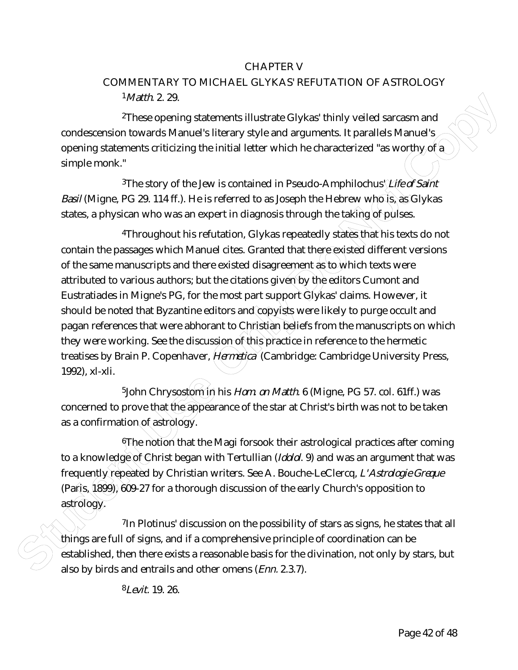## CHAPTER V

## COMMENTARY TO MICHAEL GLYKAS' REFUTATION OF ASTROLOGY 1*Matth*. 2. 29.

2These opening statements illustrate Glykas' thinly veiled sarcasm and condescension towards Manuel's literary style and arguments. It parallels Manuel's opening statements criticizing the initial letter which he characterized "as worthy of  $a$ simple monk."

<sup>3</sup>The story of the Jew is contained in Pseudo-Amphilochus' *Life of Saint Basil* (Migne, PG 29. 114 ff.). He is referred to as Joseph the Hebrew who is as Glykas states, a physican who was an expert in diagnosis through the taking of pulses.

**36.000**<br> **Students** 229.<br> **Students** (This experiments illustrate Glykas' thinly veiled sarcosm and<br>
condescension towards Manuel's literary style and arguments. It parallels Manuel's<br>
opening statements criticizing the 4Throughout his refutation, Glykas repeatedly states that his texts do not contain the passages which Manuel cites. Granted that there existed different versions of the same manuscripts and there existed disagreement as to which texts were attributed to various authors; but the citations given by the editors Cumont and Eustratiades in Migne's PG, for the most part support Glykas' claims. However, it should be noted that Byzantine editors and copyists were likely to purge occult and pagan references that were abhorant to Christian beliefs from the manuscripts on which they were working. See the discussion of this practice in reference to the hermetic treatises by Brain P. Copenhaver, *Hermetica* (Cambridge: Cambridge University Press, 1992), xl-xli.

<sup>5</sup>John Chrysostom in his *Hom. on Matth.* 6 (Migne, PG 57. col. 61ff.) was concerned to prove that the appearance of the star at Christ's birth was not to be taken as a confirmation of astrology.

6The notion that the Magi forsook their astrological practices after coming to a knowledge of Christ began with Tertullian (*Idolol*. 9) and was an argument that was frequently repeated by Christian writers. See A. Bouche-LeClercq, *L'Astrologie Greque* (Paris, 1899), 609-27 for a thorough discussion of the early Church's opposition to astrology.

7In Plotinus' discussion on the possibility of stars as signs, he states that all things are full of signs, and if a comprehensive principle of coordination can be established, then there exists a reasonable basis for the divination, not only by stars, but also by birds and entrails and other omens (*Enn.* 2.3.7).

8*Levit.* 19. 26.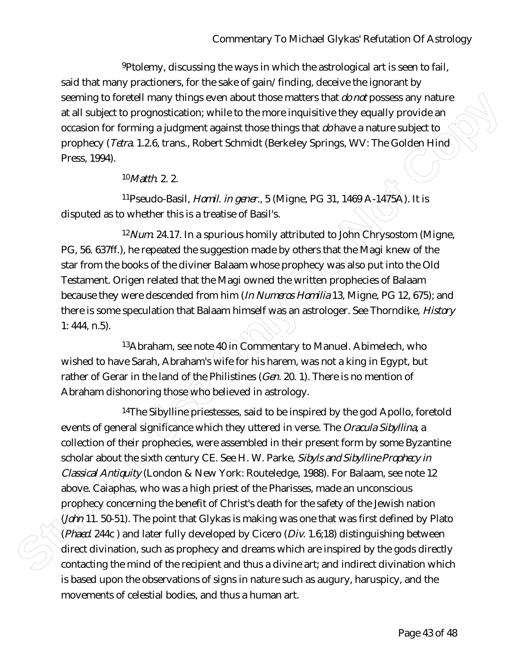9Ptolemy, discussing the ways in which the astrological art is seen to fail, said that many practioners, for the sake of gain/finding, deceive the ignorant by seeming to foretell many things even about those matters that *do not* possess any nature at all subject to prognostication; while to the more inquisitive they equally provide an occasion for forming a judgment against those things that *do* have a nature subject to prophecy (*Tetra*. 1.2.6, trans., Robert Schmidt (Berkeley Springs, WV: The Golden Hind Press, 1994).

10*Matth*. 2. 2.

11Pseudo-Basil, *Homil. in gener*., 5 (Migne, PG 31, 1469 A-1475A). It is disputed as to whether this is a treatise of Basil's.

12*Num.* 24.17. In a spurious homily attributed to John Chrysostom (Migne, PG, 56. 637ff.), he repeated the suggestion made by others that the Magi knew of the star from the books of the diviner Balaam whose prophecy was also put into the Old Testament. Origen related that the Magi owned the written prophecies of Balaam because they were descended from him (*In Numeros Homilia* 13, Migne, PG 12, 675); and there is some speculation that Balaam himself was an astrologer. See Thorndike, *History*  1: 444, n.5).

 $13A$ braham, see note  $\widehat{40}$  in Commentary to Manuel. Abimelech, who wished to have Sarah, Abraham's wife for his harem, was not a king in Egypt, but rather of Gerar in the land of the Philistines (*Gen*. 20. 1). There is no mention of Abraham dishonoring those who believed in astrology.

**Studing Internal providing seven about these mailest band** *Dow* **proses any nature<br>
and all subject to programatization: while to the more inquisitive they equality provide an<br>
consisto for forming a judgment against those** <sup>14</sup>The Sibylline priestesses, said to be inspired by the god Apollo, foretold events of general significance which they uttered in verse. The *Oracula Sibyllina*, a collection of their prophecies, were assembled in their present form by some Byzantine scholar about the sixth century CE. See H. W. Parke, *Sibyls and Sibylline Prophecy in Classical Antiquity* (London & New York: Routeledge, 1988). For Balaam, see note 12 above. Caiaphas, who was a high priest of the Pharisses, made an unconscious prophecy concerning the benefit of Christ's death for the safety of the Jewish nation (*John* 11. 50-51). The point that Glykas is making was one that was first defined by Plato (*Phaed*. 244c ) and later fully developed by Cicero (*Div*. 1.6;18) distinguishing between direct divination, such as prophecy and dreams which are inspired by the gods directly contacting the mind of the recipient and thus a divine art; and indirect divination which is based upon the observations of signs in nature such as augury, haruspicy, and the movements of celestial bodies, and thus a human art.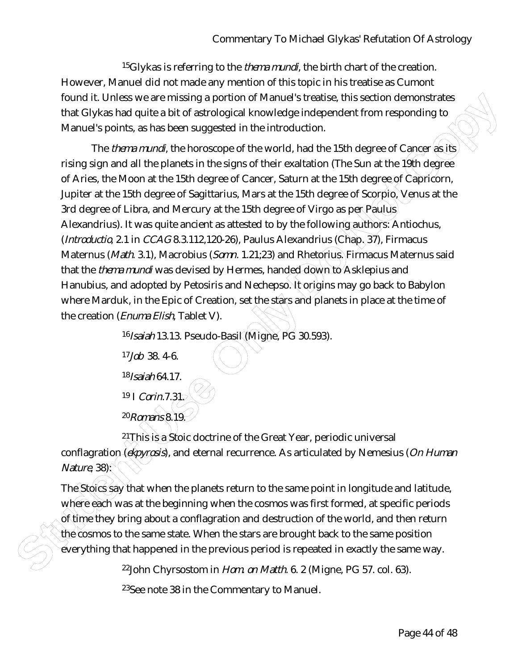15Glykas is referring to the *thema mundi*, the birth chart of the creation. However, Manuel did not made any mention of this topic in his treatise as Cumont found it. Unless we are missing a portion of Manuel's treatise, this section demonstrates that Glykas had quite a bit of astrological knowledge independent from responding to Manuel's points, as has been suggested in the introduction.

from the third is a way are missing a portion of Marwell treations. This section democratization of the structure of the copyrigon of the structure of the copyrigon of the structure of the copyrigon of the studies of the The *thema mundi*, the horoscope of the world, had the 15th degree of Cancer as its rising sign and all the planets in the signs of their exaltation (The Sun at the 19th degree of Aries, the Moon at the 15th degree of Cancer, Saturn at the 15th degree of Capricorn, Jupiter at the 15th degree of Sagittarius, Mars at the 15th degree of Scorpio, Venus at the 3rd degree of Libra, and Mercury at the 15th degree of Virgo as per Paulus Alexandrius). It was quite ancient as attested to by the following authors: Antiochus, (*Introductio*, 2.1 in *CCAG* 8.3.112,120-26), Paulus Alexandrius (Chap. 37), Firmacus Maternus (*Math*. 3.1), Macrobius (*Somn.* 1.21;23) and Rhetorius. Firmacus Maternus said that the *thema mundi* was devised by Hermes, handed down to Asklepius and Hanubius, and adopted by Petosiris and Nechepso. It origins may go back to Babylon where Marduk, in the Epic of Creation, set the stars and planets in place at the time of the creation (*Enuma Elish*, Tablet V).

16*Isaiah* 13.13. Pseudo-Basil (Migne, PG 30.593).

17*Job* 38. 4-6.

18*Isaiah* 64.17.

19 I *Corin*.7.31.

20*Romans* 8.19.

 $21$ This is a Stoic doctrine of the Great Year, periodic universal conflagration (*ekpyrosis*), and eternal recurrence. As articulated by Nemesius (*On Human Nature*, 38):

The Stoics say that when the planets return to the same point in longitude and latitude, where each was at the beginning when the cosmos was first formed, at specific periods of time they bring about a conflagration and destruction of the world, and then return the cosmos to the same state. When the stars are brought back to the same position everything that happened in the previous period is repeated in exactly the same way.

22John Chyrsostom in *Hom. on Matth.* 6. 2 (Migne, PG 57. col. 63).

23See note 38 in the Commentary to Manuel.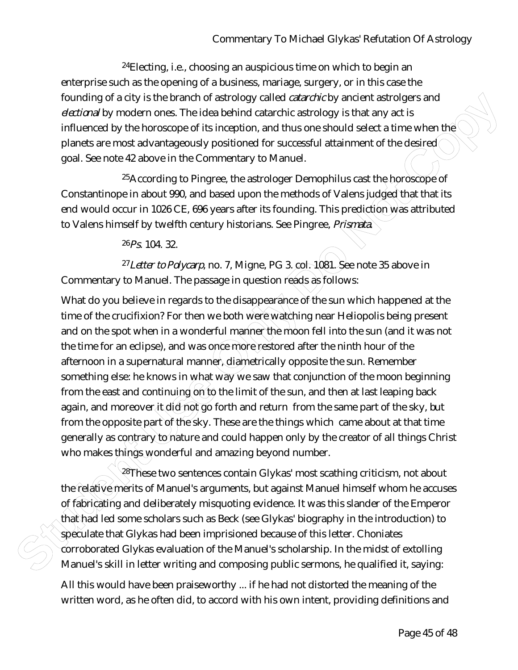24Electing, i.e., choosing an auspicious time on which to begin an enterprise such as the opening of a business, mariage, surgery, or in this case the founding of a city is the branch of astrology called *catarchic* by ancient astrolgers and *electional* by modern ones. The idea behind catarchic astrology is that any act is influenced by the horoscope of its inception, and thus one should select a time when the planets are most advantageously positioned for successful attainment of the desired goal. See note 42 above in the Commentary to Manuel.

<sup>25</sup>According to Pingree, the astrologer Demophilus cast the horoscope of Constantinope in about 990, and based upon the methods of Valens judged that that its end would occur in 1026 CE, 696 years after its founding. This prediction was attributed to Valens himself by twelfth century historians. See Pingree, *Prismata*.

 $26P_S$ . 104. 32.

27*Letter to Polycarp*, no. 7, Migne, PG 3. col. 1081. See note 35 above in Commentary to Manuel. The passage in question reads as follows:

Fourth of a city is the transmedial and studingly called *columbing* busined as foreign and studing and entropy is that any act is<br>neighborast Use of the foreseence of this inception, and thus one should select a time whe What do you believe in regards to the disappearance of the sun which happened at the time of the crucifixion? For then we both were watching near Heliopolis being present and on the spot when in a wonderful manner the moon fell into the sun (and it was not the time for an eclipse), and was once more restored after the ninth hour of the afternoon in a supernatural manner, diametrically opposite the sun. Remember something else: he knows in what way we saw that conjunction of the moon beginning from the east and continuing  $\phi$  to the limit of the sun, and then at last leaping back again, and moreover it did not go forth and return from the same part of the sky, but from the opposite part of the sky. These are the things which came about at that time generally as contrary to nature and could happen only by the creator of all things Christ who makes things wonderful and amazing beyond number.

28These two sentences contain Glykas' most scathing criticism, not about the relative merits of Manuel's arguments, but against Manuel himself whom he accuses of fabricating and deliberately misquoting evidence. It was this slander of the Emperor that had led some scholars such as Beck (see Glykas' biography in the introduction) to speculate that Glykas had been imprisioned because of this letter. Choniates corroborated Glykas evaluation of the Manuel's scholarship. In the midst of extolling Manuel's skill in letter writing and composing public sermons, he qualified it, saying:

All this would have been praiseworthy ... if he had not distorted the meaning of the written word, as he often did, to accord with his own intent, providing definitions and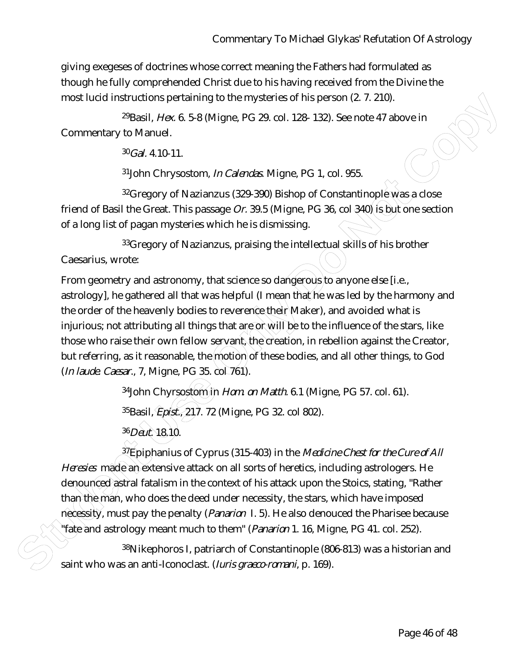giving exegeses of doctrines whose correct meaning the Fathers had formulated as though he fully comprehended Christ due to his having received from the Divine the most lucid instructions pertaining to the mysteries of his person (2. 7. 210).

29Basil, *Hex.* 6. 5-8 (Migne, PG 29. col. 128- 132). See note 47 above in Commentary to Manuel.

30*Gal.* 4.10-11.

31John Chrysostom, *In Calendas*. Migne, PG 1, col. 955.

32Gregory of Nazianzus (329-390) Bishop of Constantinople was a close friend of Basil the Great. This passage *Or.* 39.5 (Migne, PG 36, col 340) is but one section of a long list of pagan mysteries which he is dismissing.

33 Gregory of Nazianzus, praising the intellectual skills of his brother Caesarius, wrote:

most lued instructions pertaining to the mysteries of his person (2.7.210).<br>
Strain, Awe 6.58 (Migne, PG 29, col. 128-132). See note 47 above in<br>
Social, Awe 6.58 (Migne, PG 29, col. 128-132). See note 47 above in<br>  $\frac{10$ From geometry and astronomy, that science so dangerous to anyone else [i.e., astrology], he gathered all that was helpful (I mean that he was led by the harmony and the order of the heavenly bodies to reverence their Maker), and avoided what is injurious; not attributing all things that are or will be to the influence of the stars, like those who raise their own fellow servant, the creation, in rebellion against the Creator, but referring, as it reasonable, the motion of these bodies, and all other things, to God (*In laude. Caesar*., 7, Migne, PG 35. col 761).

<sup>34</sup>John Chyrsostom in *Hom. on Matth.* 6.1 (Migne, PG 57. col. 61). 35Basil, *Epist.*, 217. 72 (Migne, PG 32. col 802). 36*Deut.* 18.10.

37Epiphanius of Cyprus (315-403) in the *Medicine Chest for the Cure of All Heresies* made an extensive attack on all sorts of heretics, including astrologers. He denounced astral fatalism in the context of his attack upon the Stoics, stating, "Rather than the man, who does the deed under necessity, the stars, which have imposed necessity, must pay the penalty (*Panarion* I. 5). He also denouced the Pharisee because "fate and astrology meant much to them" (*Panarion* 1. 16, Migne, PG 41. col. 252).

38Nikephoros I, patriarch of Constantinople (806-813) was a historian and saint who was an anti-Iconoclast. (*Iuris graeco-romani*, p. 169).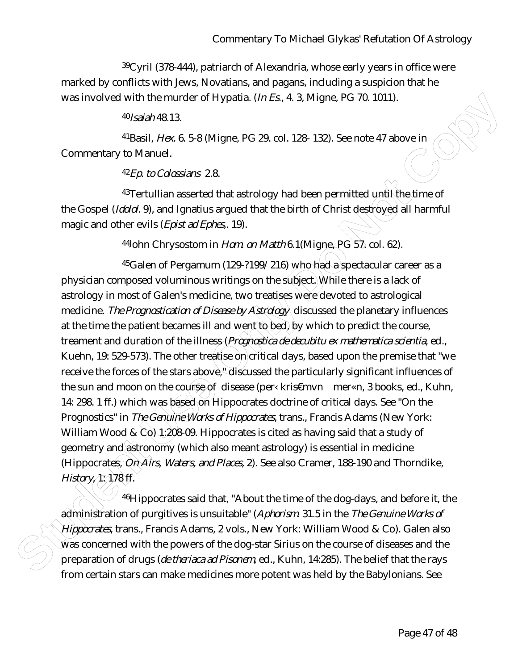39Cyril (378-444), patriarch of Alexandria, whose early years in office were marked by conflicts with Jews, Novatians, and pagans, including a suspicion that he was involved with the murder of Hypatia. (*In Es*., 4. 3, Migne, PG 70. 1011).

40*Isaiah* 48.13.

41Basil, *Hex.* 6. 5-8 (Migne, PG 29. col. 128- 132). See note 47 above in Commentary to Manuel.

42*Ep. to Colossians* 2.8.

 $43$ Tertullian asserted that astrology had been permitted until the time of the Gospel (*Idolol*. 9), and Ignatius argued that the birth of Christ destroyed all harmful magic and other evils (*Epist ad Ephes*,. 19).

44John Chrysostom in *Hom. on Matth* 6.1(Migne, PG 57. col. 62).

was involved with the murder of Hypatia,  $(n \times k, 4, 3, M)$  one, PC 70, 1011).<br>  $\Phi_{0.809}$ /MA 13<br>  $\Phi_{1.809}$ /MA 13<br>  $\Phi_{1.800}$ /MA  $\Phi_{1.800}$  PG 29, col. 128- 132). See note 47 above in<br>
Commentary to Manuel.<br>  $\Phi_{1.80}$   $45$ Galen of Pergamum (129-?199/216) who had a spectacular career as a physician composed voluminous writings on the subject. While there is a lack of astrology in most of Galen's medicine, two treatises were devoted to astrological medicine. *The Prognostication of Disease by Astrology* discussed the planetary influences at the time the patient becames ill and went to bed, by which to predict the course, treament and duration of the illness (*Prognostica de decubitu ex mathematica scientia*, ed., Kuehn, 19: 529-573). The other treatise on critical days, based upon the premise that "we receive the forces of the stars above," discussed the particularly significant influences of the sun and moon on the course of disease (per< kris€mvn mer«n, 3 books, ed., Kuhn, 14: 298. 1 ff.) which was based on Hippocrates doctrine of critical days. See "On the Prognostics" in *The Genuine Works of Hippocrates*, trans., Francis Adams (New York: William Wood & Co) 1:208-09. Hippocrates is cited as having said that a study of geometry and astronomy (which also meant astrology) is essential in medicine (Hippocrates, *On Airs, Waters, and Places,* 2). See also Cramer, 188-190 and Thorndike, *History*, 1: 178 ff.

46Hippocrates said that, "About the time of the dog-days, and before it, the administration of purgitives is unsuitable" (*Aphorism*. 31.5 in the *The Genuine Works of Hippocrates*, trans., Francis Adams, 2 vols., New York: William Wood & Co). Galen also  $\hat{w}$ as concerned with the powers of the dog-star Sirius on the course of diseases and the preparation of drugs (*de theriaca ad Pisonem*, ed., Kuhn, 14:285). The belief that the rays from certain stars can make medicines more potent was held by the Babylonians. See